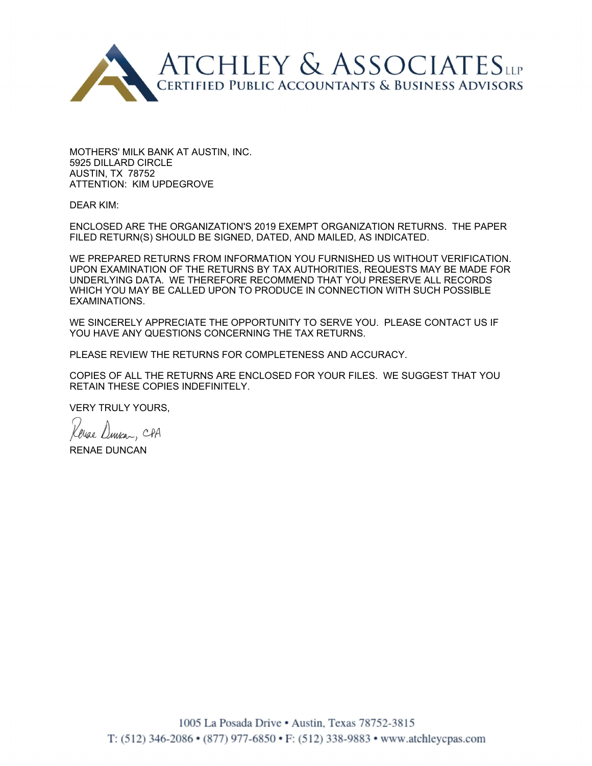

MOTHERS' MILK BANK AT AUSTIN, INC. 5925 DILLARD CIRCLE AUSTIN, TX 78752 ATTENTION: KIM UPDEGROVE

DEAR KIM:

ENCLOSED ARE THE ORGANIZATION'S 2019 EXEMPT ORGANIZATION RETURNS. THE PAPER FILED RETURN(S) SHOULD BE SIGNED, DATED, AND MAILED, AS INDICATED.

WE PREPARED RETURNS FROM INFORMATION YOU FURNISHED US WITHOUT VERIFICATION. UPON EXAMINATION OF THE RETURNS BY TAX AUTHORITIES, REQUESTS MAY BE MADE FOR UNDERLYING DATA. WE THEREFORE RECOMMEND THAT YOU PRESERVE ALL RECORDS WHICH YOU MAY BE CALLED UPON TO PRODUCE IN CONNECTION WITH SUCH POSSIBLE EXAMINATIONS.

WE SINCERELY APPRECIATE THE OPPORTUNITY TO SERVE YOU. PLEASE CONTACT US IF YOU HAVE ANY QUESTIONS CONCERNING THE TAX RETURNS.

PLEASE REVIEW THE RETURNS FOR COMPLETENESS AND ACCURACY.

COPIES OF ALL THE RETURNS ARE ENCLOSED FOR YOUR FILES. WE SUGGEST THAT YOU RETAIN THESE COPIES INDEFINITELY.

VERY TRULY YOURS,

Dunca, CPA

RENAE DUNCAN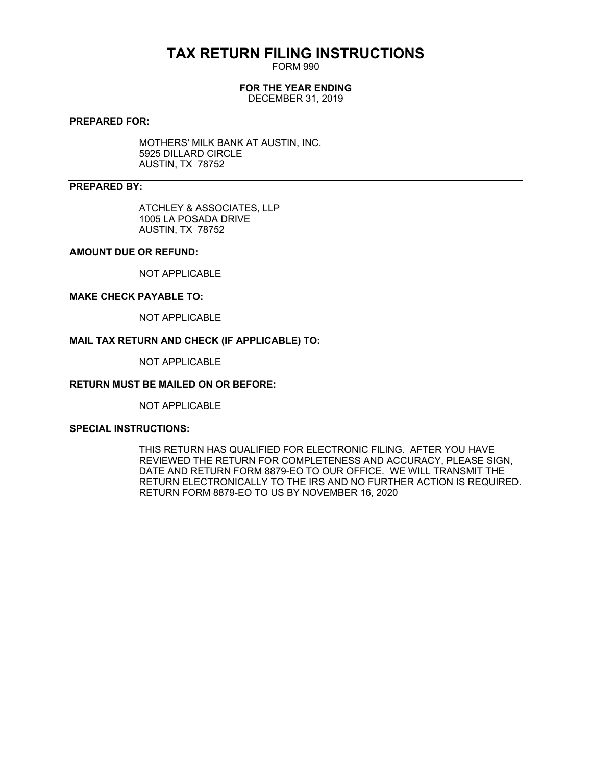# **TAX RETURN FILING INSTRUCTIONS**

FORM 990

# **FOR THE YEAR ENDING**

DECEMBER 31, 2019

# **PREPARED FOR:**

MOTHERS' MILK BANK AT AUSTIN, INC. 5925 DILLARD CIRCLE AUSTIN, TX 78752

# **PREPARED BY:**

ATCHLEY & ASSOCIATES, LLP 1005 LA POSADA DRIVE AUSTIN, TX 78752

# **AMOUNT DUE OR REFUND:**

NOT APPLICABLE

# **MAKE CHECK PAYABLE TO:**

NOT APPLICABLE

# **MAIL TAX RETURN AND CHECK (IF APPLICABLE) TO:**

NOT APPLICABLE

# **RETURN MUST BE MAILED ON OR BEFORE:**

NOT APPLICABLE

# **SPECIAL INSTRUCTIONS:**

THIS RETURN HAS QUALIFIED FOR ELECTRONIC FILING. AFTER YOU HAVE REVIEWED THE RETURN FOR COMPLETENESS AND ACCURACY, PLEASE SIGN, DATE AND RETURN FORM 8879-EO TO OUR OFFICE. WE WILL TRANSMIT THE RETURN ELECTRONICALLY TO THE IRS AND NO FURTHER ACTION IS REQUIRED. RETURN FORM 8879-EO TO US BY NOVEMBER 16, 2020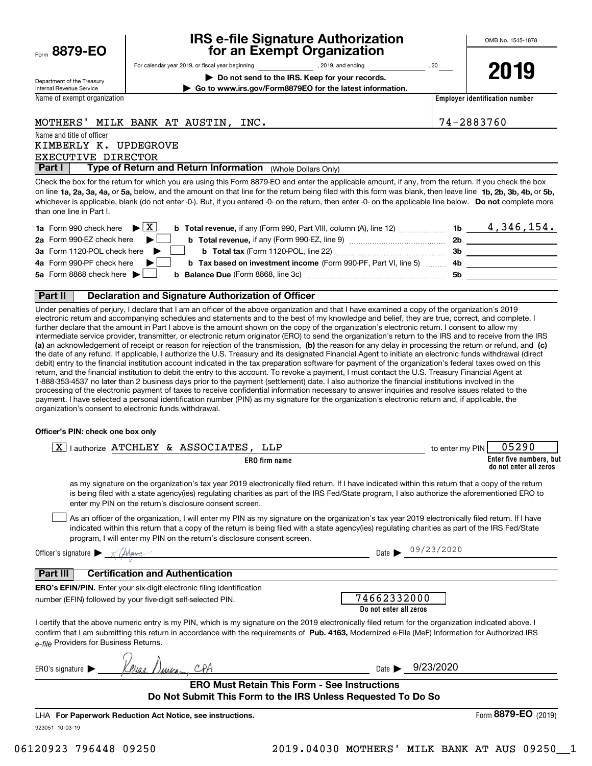| Form 8879-EO |  |
|--------------|--|
|              |  |

# **IRS e-file Signature Authorization 8879-EO for an Exempt Organization**

| Department of the Treasury |  |
|----------------------------|--|
| Internal Revenue Service   |  |

For calendar year 2019, or fiscal year beginning and the state of the state of 2019, and ending calendary pear of  $\sim$  20

**| Do not send to the IRS. Keep for your records. | Go to www.irs.gov/Form8879EO for the latest information.** **2019**

Internal Revenue Service Name of exempt organization

**Employer identification number**

# MOTHERS' MILK BANK AT AUSTIN, INC. THE RESERVE RESERVE THAT AND THE RESERVE RESERVE THAT AND THE RESERVE THAT A

Name and title of officer

# KIMBERLY K. UPDEGROVE

EXECUTIVE DIRECTOR

**Part I** | Type of Return and Return Information (Whole Dollars Only)

on line 1a, 2a, 3a, 4a, or 5a, below, and the amount on that line for the return being filed with this form was blank, then leave line 1b, 2b, 3b, 4b, or 5b, whichever is applicable, blank (do not enter -0-). But, if you entered -0- on the return, then enter -0- on the applicable line below. **Do not** complete more Check the box for the return for which you are using this Form 8879-EO and enter the applicable amount, if any, from the return. If you check the box than one line in Part I.

| <b>1a</b> Form 990 check here $\triangleright \boxed{X}$<br><b>b</b> Total revenue, if any (Form 990, Part VIII, column (A), line 12) | -1b | 4,346,154. |
|---------------------------------------------------------------------------------------------------------------------------------------|-----|------------|
| 2a Form 990-EZ check here<br><b>b</b> Total revenue, if any (Form 990-EZ, line 9) <i>manageranan</i> manageran                        | -2b |            |
| 3a Form 1120-POL check here                                                                                                           | -3b |            |
| 4a Form 990-PF check here<br><b>b</b> Tax based on investment income (Form 990-PF, Part VI, line 5) 4b                                |     |            |
| 5a Form 8868 check here $\blacktriangleright$<br><b>b</b> Balance Due (Form 8868, line 3c)                                            | .5b |            |
|                                                                                                                                       |     |            |

# **Part II Declaration and Signature Authorization of Officer**

(a) an acknowledgement of receipt or reason for rejection of the transmission, (b) the reason for any delay in processing the return or refund, and (c) Under penalties of perjury, I declare that I am an officer of the above organization and that I have examined a copy of the organization's 2019 electronic return and accompanying schedules and statements and to the best of my knowledge and belief, they are true, correct, and complete. I further declare that the amount in Part I above is the amount shown on the copy of the organization's electronic return. I consent to allow my intermediate service provider, transmitter, or electronic return originator (ERO) to send the organization's return to the IRS and to receive from the IRS the date of any refund. If applicable, I authorize the U.S. Treasury and its designated Financial Agent to initiate an electronic funds withdrawal (direct debit) entry to the financial institution account indicated in the tax preparation software for payment of the organization's federal taxes owed on this return, and the financial institution to debit the entry to this account. To revoke a payment, I must contact the U.S. Treasury Financial Agent at 1-888-353-4537 no later than 2 business days prior to the payment (settlement) date. I also authorize the financial institutions involved in the processing of the electronic payment of taxes to receive confidential information necessary to answer inquiries and resolve issues related to the payment. I have selected a personal identification number (PIN) as my signature for the organization's electronic return and, if applicable, the organization's consent to electronic funds withdrawal.

### **Officer's PIN: check one box only**

| lauthorize ATCHLEY & ASSOCIATES, LLP                                                                                                                                                                                                                                                                                                                                             | 05290<br>to enter my PIN                          |
|----------------------------------------------------------------------------------------------------------------------------------------------------------------------------------------------------------------------------------------------------------------------------------------------------------------------------------------------------------------------------------|---------------------------------------------------|
| ERO firm name                                                                                                                                                                                                                                                                                                                                                                    | Enter five numbers, but<br>do not enter all zeros |
| as my signature on the organization's tax year 2019 electronically filed return. If I have indicated within this return that a copy of the return<br>is being filed with a state agency(ies) regulating charities as part of the IRS Fed/State program, I also authorize the aforementioned ERO to<br>enter my PIN on the return's disclosure consent screen.                    |                                                   |
| As an officer of the organization, I will enter my PIN as my signature on the organization's tax year 2019 electronically filed return. If I have<br>indicated within this return that a copy of the return is being filed with a state agency(ies) regulating charities as part of the IRS Fed/State<br>program, I will enter my PIN on the return's disclosure consent screen. |                                                   |
| Officer's signature $\blacktriangleright \frac{\sqrt{f}d\omega_{\text{true}}}{\sqrt{f}d\omega_{\text{true}}}$                                                                                                                                                                                                                                                                    | Date $\triangleright$ 09/23/2020                  |
| <b>Certification and Authentication</b><br>Part III<br><b>ERO's EFIN/PIN.</b> Enter your six-digit electronic filing identification<br>number (EFIN) followed by your five-digit self-selected PIN.                                                                                                                                                                              | 74662332000<br>Do not enter all zeros             |
| I certify that the above numeric entry is my PIN, which is my signature on the 2019 electronically filed return for the organization indicated above. I<br>confirm that I am submitting this return in accordance with the requirements of Pub. 4163, Modernized e-File (MeF) Information for Authorized IRS<br>e-file Providers for Business Returns.                           |                                                   |
| ERO's signature                                                                                                                                                                                                                                                                                                                                                                  | 9/23/2020<br>Date $\blacktriangleright$           |
| <b>ERO Must Retain This Form - See Instructions</b>                                                                                                                                                                                                                                                                                                                              |                                                   |
| Do Not Submit This Form to the IRS Unless Requested To Do So                                                                                                                                                                                                                                                                                                                     |                                                   |
| LHA For Paperwork Reduction Act Notice, see instructions.                                                                                                                                                                                                                                                                                                                        | Form 8879-EO<br>(2019)                            |
| 923051 10-03-19                                                                                                                                                                                                                                                                                                                                                                  |                                                   |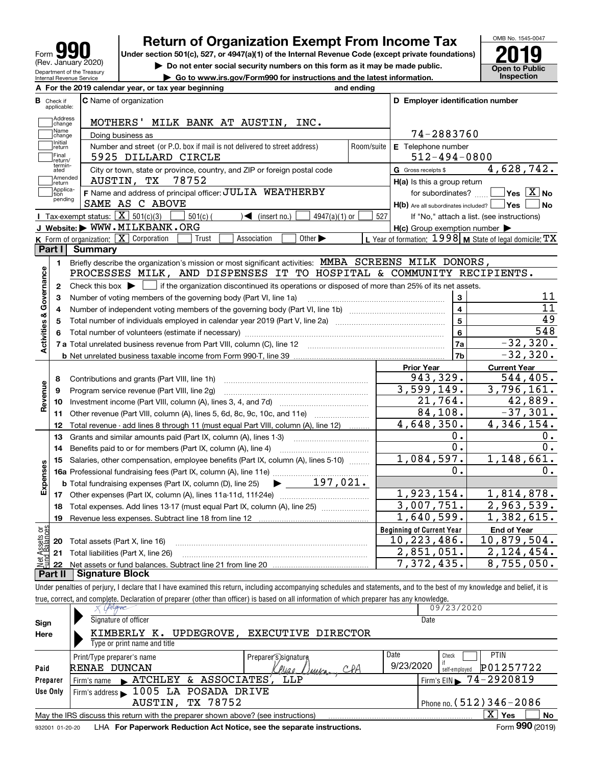| Form                                                   |
|--------------------------------------------------------|
| (Rev. January 2020)                                    |
| Department of the Treasury<br>Internal Revenue Service |

# **Return of Organization Exempt From Income Tax** <br> **Partion 501(c), 527, or 4947(a)(1) of the Internal Revenue Code (except private foundations)**

**Under section 501(c), 527, or 4947(a)(1) of the Internal Revenue Code (except private foundations)**



**but the Do not enter social security numbers on this form as it may be made public. Open to Public**<br> **Common Section**<br> **Common Section**<br> **Common Section**<br> **Common Section | Go to www.irs.gov/Form990 for instructions and the latest information. Inspection**

|                         |                                  | A For the 2019 calendar year, or tax year beginning                                                                                                 | and ending |                                                     |                                                                 |
|-------------------------|----------------------------------|-----------------------------------------------------------------------------------------------------------------------------------------------------|------------|-----------------------------------------------------|-----------------------------------------------------------------|
|                         | <b>B</b> Check if<br>applicable: | <b>C</b> Name of organization                                                                                                                       |            | D Employer identification number                    |                                                                 |
|                         | Address<br>change                | MOTHERS' MILK BANK AT AUSTIN, INC.                                                                                                                  |            |                                                     |                                                                 |
|                         | Name<br>change                   | Doing business as                                                                                                                                   | 74-2883760 |                                                     |                                                                 |
|                         | Initial<br>return                | Number and street (or P.O. box if mail is not delivered to street address)                                                                          | Room/suite | E Telephone number                                  |                                                                 |
|                         | Final<br>return/                 | 5925 DILLARD CIRCLE                                                                                                                                 |            | $512 - 494 - 0800$                                  |                                                                 |
|                         | termin-<br>ated                  | City or town, state or province, country, and ZIP or foreign postal code                                                                            |            | G Gross receipts \$                                 | 4,628,742.                                                      |
|                         | return                           | Amended<br>AUSTIN, TX<br>78752                                                                                                                      |            | H(a) Is this a group return                         |                                                                 |
|                         | Applica-<br>tion<br>pending      | F Name and address of principal officer: JULIA WEATHERBY                                                                                            |            | for subordinates?                                   | $\blacksquare$ Yes $\lceil$ $\overline{\mathrm{X}}$ $\rceil$ No |
|                         |                                  | SAME AS C ABOVE                                                                                                                                     |            | $H(b)$ Are all subordinates included? $\Box$ Yes    | No                                                              |
|                         |                                  | Tax-exempt status: $\boxed{\mathbf{X}}$ 501(c)(3)<br>$501(c)$ (<br>$\sqrt{\frac{1}{1}}$ (insert no.)<br>$4947(a)(1)$ or                             | 527        |                                                     | If "No," attach a list. (see instructions)                      |
|                         |                                  | J Website: WWW.MILKBANK.ORG                                                                                                                         |            | $H(c)$ Group exemption number $\blacktriangleright$ |                                                                 |
|                         |                                  | K Form of organization: $\boxed{\mathbf{X}}$ Corporation<br>Association<br>Other $\blacktriangleright$<br>Trust                                     |            |                                                     | L Year of formation: $1998$ M State of legal domicile: TX       |
|                         | Part I                           | <b>Summary</b>                                                                                                                                      |            |                                                     |                                                                 |
|                         | $\mathbf{1}$                     | Briefly describe the organization's mission or most significant activities: MMBA SCREENS MILK DONORS,                                               |            |                                                     |                                                                 |
| Activities & Governance |                                  | PROCESSES MILK, AND DISPENSES IT TO HOSPITAL & COMMUNITY RECIPIENTS.                                                                                |            |                                                     |                                                                 |
|                         | $\mathbf{2}$                     | Check this box $\blacktriangleright$ $\blacksquare$ if the organization discontinued its operations or disposed of more than 25% of its net assets. |            | 3                                                   | 11                                                              |
|                         | 3                                | Number of voting members of the governing body (Part VI, line 1a)                                                                                   |            | $\overline{\mathbf{4}}$                             | $\overline{11}$                                                 |
|                         | 4<br>5                           |                                                                                                                                                     |            |                                                     | 49                                                              |
|                         | 6                                |                                                                                                                                                     |            | $\overline{5}$<br>6                                 | 548                                                             |
|                         |                                  |                                                                                                                                                     |            | 7a                                                  | $-32,320.$                                                      |
|                         |                                  |                                                                                                                                                     |            | 7 <sub>b</sub>                                      | $-32,320.$                                                      |
|                         |                                  |                                                                                                                                                     |            | <b>Prior Year</b>                                   | <b>Current Year</b>                                             |
|                         | 8                                | Contributions and grants (Part VIII, line 1h)                                                                                                       |            | 943,329.                                            | 544,405.                                                        |
| Revenue                 | 9                                | Program service revenue (Part VIII, line 2g)                                                                                                        |            | 3,599,149.                                          | 3,796,161.                                                      |
|                         | 10                               |                                                                                                                                                     |            | 21,764.                                             | $\overline{42,889}$ .                                           |
|                         | 11                               | Other revenue (Part VIII, column (A), lines 5, 6d, 8c, 9c, 10c, and 11e)                                                                            |            | 84,108.                                             | $-37,301.$                                                      |
|                         | 12                               | Total revenue - add lines 8 through 11 (must equal Part VIII, column (A), line 12)                                                                  |            | 4,648,350.                                          | 4,346,154.                                                      |
|                         | 13                               | Grants and similar amounts paid (Part IX, column (A), lines 1-3)                                                                                    |            | 0.                                                  | 0.                                                              |
|                         | 14                               | Benefits paid to or for members (Part IX, column (A), line 4)                                                                                       |            | $\overline{0}$ .                                    | $\overline{0}$ .                                                |
|                         | 15                               | Salaries, other compensation, employee benefits (Part IX, column (A), lines 5-10)                                                                   |            | 1,084,597.                                          | 1,148,661.                                                      |
| Expenses                |                                  |                                                                                                                                                     |            | 0.                                                  | 0.                                                              |
|                         |                                  | $\blacktriangleright$ 197,021.<br><b>b</b> Total fundraising expenses (Part IX, column (D), line 25)                                                |            |                                                     |                                                                 |
|                         |                                  |                                                                                                                                                     |            | 1,923,154.                                          | 1,814,878.                                                      |
|                         | 18                               | Total expenses. Add lines 13-17 (must equal Part IX, column (A), line 25)                                                                           |            | 3,007,751.                                          | 2,963,539.                                                      |
|                         | 19                               |                                                                                                                                                     |            | 1,640,599.                                          | 1,382,615.                                                      |
| គង្គ                    |                                  |                                                                                                                                                     |            | <b>Beginning of Current Year</b>                    | End of Year                                                     |
| Assets<br>1 Balanc      | 20                               | Total assets (Part X, line 16)                                                                                                                      |            | 10, 223, 486.                                       | 10,879,504.                                                     |
|                         | 21                               | Total liabilities (Part X, line 26)                                                                                                                 |            | $\overline{2}$ , 851, 051.                          | 2,124,454.                                                      |
|                         | 22                               | <b>Signature Block</b>                                                                                                                              |            | 7,372,435.                                          | 8,755,050.                                                      |
|                         | Part II                          |                                                                                                                                                     |            |                                                     |                                                                 |

Under penalties of perjury, I declare that I have examined this return, including accompanying schedules and statements, and to the best of my knowledge and belief, it is true, correct, and complete. Declaration of preparer (other than officer) is based on all information of which preparer has any knowledge.

|          | Algune                                                                                                       |                       | 09/23/2020                            |           |  |  |  |
|----------|--------------------------------------------------------------------------------------------------------------|-----------------------|---------------------------------------|-----------|--|--|--|
| Sign     | Signature of officer                                                                                         |                       | Date                                  |           |  |  |  |
| Here     | KIMBERLY K.<br>UPDEGROVE,                                                                                    | EXECUTIVE DIRECTOR    |                                       |           |  |  |  |
|          | Type or print name and title                                                                                 |                       |                                       |           |  |  |  |
|          | Print/Type preparer's name                                                                                   | Preparer S) signature | Date<br><b>PTIN</b><br>Check          |           |  |  |  |
| Paid     | RENAE DUNCAN                                                                                                 | CPA<br>Cerae Dunca    | 9/23/2020<br>self-employed            | P01257722 |  |  |  |
| Preparer | $\blacktriangleright$ ATCHLEY & ASSOCIATES',<br>Firm's name                                                  | LLP                   | $Firm's EIN \rightarrow 74 - 2920819$ |           |  |  |  |
| Use Only | Firm's address 1005 LA POSADA DRIVE                                                                          |                       |                                       |           |  |  |  |
|          | <b>AUSTIN, TX 78752</b>                                                                                      |                       | Phone no. $(512)$ 346 - 2086          |           |  |  |  |
|          | X'<br>Yes<br>No<br>May the IRS discuss this return with the preparer shown above? (see instructions)         |                       |                                       |           |  |  |  |
|          | Form 990 (2019)<br>LHA For Paperwork Reduction Act Notice, see the separate instructions.<br>932001 01-20-20 |                       |                                       |           |  |  |  |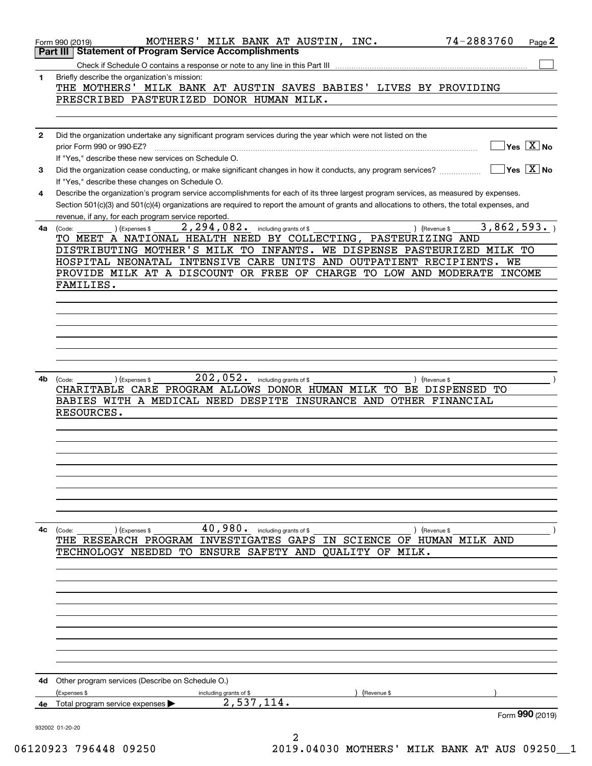|              | MOTHERS' MILK BANK AT AUSTIN, INC.<br>74-2883760<br>Page 2<br>Form 990 (2019)                                                                                                                       |
|--------------|-----------------------------------------------------------------------------------------------------------------------------------------------------------------------------------------------------|
|              | <b>Statement of Program Service Accomplishments</b><br>Part III                                                                                                                                     |
|              |                                                                                                                                                                                                     |
| 1            | Briefly describe the organization's mission:<br>THE MOTHERS' MILK BANK AT AUSTIN SAVES BABIES' LIVES BY PROVIDING                                                                                   |
|              | PRESCRIBED PASTEURIZED DONOR HUMAN MILK.                                                                                                                                                            |
|              |                                                                                                                                                                                                     |
|              |                                                                                                                                                                                                     |
| $\mathbf{2}$ | Did the organization undertake any significant program services during the year which were not listed on the                                                                                        |
|              | $Yes \ \boxed{X}$ No<br>prior Form 990 or 990-EZ?                                                                                                                                                   |
|              | If "Yes," describe these new services on Schedule O.                                                                                                                                                |
| 3            | $\sqrt{}$ Yes $\sqrt{}$ X $\sqrt{}$ No<br>Did the organization cease conducting, or make significant changes in how it conducts, any program services?                                              |
|              | If "Yes," describe these changes on Schedule O.                                                                                                                                                     |
| 4            | Describe the organization's program service accomplishments for each of its three largest program services, as measured by expenses.                                                                |
|              | Section 501(c)(3) and 501(c)(4) organizations are required to report the amount of grants and allocations to others, the total expenses, and<br>revenue, if any, for each program service reported. |
| 4a           | 3,862,593.<br>2, 294, 082. including grants of \$<br>$\left(\text{Code:}\right)$ $\left(\text{Expenses $}\right)$<br>) (Revenue \$                                                                  |
|              | TO MEET A NATIONAL HEALTH NEED BY COLLECTING, PASTEURIZING AND                                                                                                                                      |
|              | DISTRIBUTING MOTHER'S MILK TO INFANTS. WE DISPENSE PASTEURIZED MILK TO                                                                                                                              |
|              | HOSPITAL NEONATAL INTENSIVE CARE UNITS AND OUTPATIENT RECIPIENTS. WE                                                                                                                                |
|              | PROVIDE MILK AT A DISCOUNT OR FREE OF CHARGE TO LOW AND MODERATE INCOME                                                                                                                             |
|              | FAMILIES.                                                                                                                                                                                           |
|              |                                                                                                                                                                                                     |
|              |                                                                                                                                                                                                     |
|              |                                                                                                                                                                                                     |
|              |                                                                                                                                                                                                     |
|              |                                                                                                                                                                                                     |
|              |                                                                                                                                                                                                     |
| 4b           | $\overline{202}$ , $052$ . including grants of \$<br>) (Expenses \$<br>) (Revenue \$<br>(Code:                                                                                                      |
|              | CHARITABLE CARE PROGRAM ALLOWS DONOR HUMAN MILK TO BE DISPENSED TO                                                                                                                                  |
|              | BABIES WITH A MEDICAL NEED DESPITE INSURANCE AND OTHER FINANCIAL                                                                                                                                    |
|              | RESOURCES.                                                                                                                                                                                          |
|              |                                                                                                                                                                                                     |
|              |                                                                                                                                                                                                     |
|              |                                                                                                                                                                                                     |
|              |                                                                                                                                                                                                     |
|              |                                                                                                                                                                                                     |
|              |                                                                                                                                                                                                     |
|              |                                                                                                                                                                                                     |
|              |                                                                                                                                                                                                     |
|              |                                                                                                                                                                                                     |
| 4с           | $40,980$ . including grants of \$<br>) (Revenue \$<br>(Code:<br>) (Expenses \$<br>THE RESEARCH PROGRAM INVESTIGATES GAPS IN SCIENCE OF HUMAN MILK AND                                               |
|              | ENSURE SAFETY AND QUALITY OF MILK.<br><b>TECHNOLOGY NEEDED</b><br>TO                                                                                                                                |
|              |                                                                                                                                                                                                     |
|              |                                                                                                                                                                                                     |
|              |                                                                                                                                                                                                     |
|              |                                                                                                                                                                                                     |
|              |                                                                                                                                                                                                     |
|              |                                                                                                                                                                                                     |
|              |                                                                                                                                                                                                     |
|              |                                                                                                                                                                                                     |
|              |                                                                                                                                                                                                     |
|              |                                                                                                                                                                                                     |
| 4d           | Other program services (Describe on Schedule O.)                                                                                                                                                    |
|              | (Expenses \$<br>including grants of \$<br>(Revenue \$                                                                                                                                               |
| 4е           | 2,537,114.<br>Total program service expenses ▶<br>Form 990 (2019)                                                                                                                                   |
|              |                                                                                                                                                                                                     |
|              | 932002 01-20-20                                                                                                                                                                                     |

06120923 796448 09250 2019.04030 MOTHERS' MILK BANK AT AUS 09250\_\_1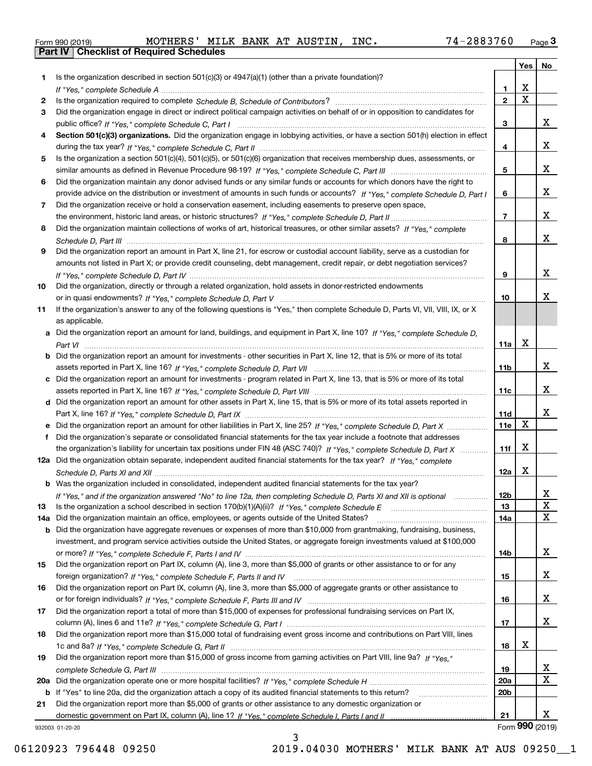| Form 990 (2019) |  |  |
|-----------------|--|--|

**Part IV Checklist of Required Schedules**

 $_{\rm Form}$   $_{990}$   $_{(2019)}$   $_{\rm MOTHERS}$   $_{\rm MILK}$   $_{\rm BANK}$   $_{\rm AT}$   $_{\rm AUSTIN}$  ,  $_{\rm INC}$  ,  $_{\rm NCC}$   $_{\rm 74-2883760}$   $_{\rm Page}$  3 MOTHERS' MILK BANK AT AUSTIN, INC. 74-2883760

|           |                                                                                                                                       |                        | Yes         | No              |
|-----------|---------------------------------------------------------------------------------------------------------------------------------------|------------------------|-------------|-----------------|
|           | Is the organization described in section $501(c)(3)$ or $4947(a)(1)$ (other than a private foundation)?                               |                        |             |                 |
|           |                                                                                                                                       | 1                      | x           |                 |
| 2         |                                                                                                                                       | $\mathbf{2}$           | $\mathbf X$ |                 |
| 3         | Did the organization engage in direct or indirect political campaign activities on behalf of or in opposition to candidates for       |                        |             |                 |
|           |                                                                                                                                       | 3                      |             | x               |
| 4         | Section 501(c)(3) organizations. Did the organization engage in lobbying activities, or have a section 501(h) election in effect      |                        |             | x               |
|           |                                                                                                                                       | 4                      |             |                 |
| 5         | Is the organization a section 501(c)(4), 501(c)(5), or 501(c)(6) organization that receives membership dues, assessments, or          | 5                      |             | x               |
| 6         | Did the organization maintain any donor advised funds or any similar funds or accounts for which donors have the right to             |                        |             |                 |
|           | provide advice on the distribution or investment of amounts in such funds or accounts? If "Yes," complete Schedule D, Part I          | 6                      |             | x               |
| 7         | Did the organization receive or hold a conservation easement, including easements to preserve open space,                             |                        |             |                 |
|           |                                                                                                                                       | $\overline{7}$         |             | x               |
| 8         | Did the organization maintain collections of works of art, historical treasures, or other similar assets? If "Yes," complete          |                        |             |                 |
|           |                                                                                                                                       | 8                      |             | x               |
| 9         | Did the organization report an amount in Part X, line 21, for escrow or custodial account liability, serve as a custodian for         |                        |             |                 |
|           | amounts not listed in Part X; or provide credit counseling, debt management, credit repair, or debt negotiation services?             |                        |             |                 |
|           |                                                                                                                                       | 9                      |             | x               |
| 10        | Did the organization, directly or through a related organization, hold assets in donor-restricted endowments                          |                        |             |                 |
|           |                                                                                                                                       | 10                     |             | x               |
| 11        | If the organization's answer to any of the following questions is "Yes," then complete Schedule D, Parts VI, VII, VIII, IX, or X      |                        |             |                 |
|           | as applicable.                                                                                                                        |                        |             |                 |
|           | a Did the organization report an amount for land, buildings, and equipment in Part X, line 10? If "Yes," complete Schedule D,         | 11a                    | X           |                 |
|           | <b>b</b> Did the organization report an amount for investments - other securities in Part X, line 12, that is 5% or more of its total |                        |             |                 |
|           |                                                                                                                                       | 11 <sub>b</sub>        |             | x               |
|           | c Did the organization report an amount for investments - program related in Part X, line 13, that is 5% or more of its total         |                        |             |                 |
|           |                                                                                                                                       | 11c                    |             | x               |
|           | d Did the organization report an amount for other assets in Part X, line 15, that is 5% or more of its total assets reported in       |                        |             |                 |
|           |                                                                                                                                       | 11d                    |             | x               |
|           | e Did the organization report an amount for other liabilities in Part X, line 25? If "Yes," complete Schedule D, Part X               | 11e                    | X           |                 |
| f         | Did the organization's separate or consolidated financial statements for the tax year include a footnote that addresses               |                        |             |                 |
|           | the organization's liability for uncertain tax positions under FIN 48 (ASC 740)? If "Yes," complete Schedule D, Part X                | 11f                    | X           |                 |
|           | 12a Did the organization obtain separate, independent audited financial statements for the tax year? If "Yes," complete               |                        |             |                 |
|           |                                                                                                                                       | 12a                    | X           |                 |
|           | <b>b</b> Was the organization included in consolidated, independent audited financial statements for the tax year?                    |                        |             |                 |
|           | If "Yes," and if the organization answered "No" to line 12a, then completing Schedule D, Parts XI and XII is optional                 | 12 <sub>b</sub><br>13  |             | x.<br>X         |
| 13<br>14a | Did the organization maintain an office, employees, or agents outside of the United States?                                           | 14a                    |             | X               |
|           | b Did the organization have aggregate revenues or expenses of more than \$10,000 from grantmaking, fundraising, business,             |                        |             |                 |
|           | investment, and program service activities outside the United States, or aggregate foreign investments valued at \$100,000            |                        |             |                 |
|           |                                                                                                                                       | 14b                    |             | x               |
| 15        | Did the organization report on Part IX, column (A), line 3, more than \$5,000 of grants or other assistance to or for any             |                        |             |                 |
|           |                                                                                                                                       | 15                     |             | x               |
| 16        | Did the organization report on Part IX, column (A), line 3, more than \$5,000 of aggregate grants or other assistance to              |                        |             |                 |
|           |                                                                                                                                       | 16                     |             | X               |
| 17        | Did the organization report a total of more than \$15,000 of expenses for professional fundraising services on Part IX,               |                        |             |                 |
|           |                                                                                                                                       | 17                     |             | X               |
| 18        | Did the organization report more than \$15,000 total of fundraising event gross income and contributions on Part VIII, lines          |                        |             |                 |
|           |                                                                                                                                       | 18                     | х           |                 |
| 19        | Did the organization report more than \$15,000 of gross income from gaming activities on Part VIII, line 9a? If "Yes."                |                        |             |                 |
|           |                                                                                                                                       | 19                     |             | X,<br>X         |
| 20a       | <b>b</b> If "Yes" to line 20a, did the organization attach a copy of its audited financial statements to this return?                 | 20a<br>20 <sub>b</sub> |             |                 |
| 21        | Did the organization report more than \$5,000 of grants or other assistance to any domestic organization or                           |                        |             |                 |
|           |                                                                                                                                       | 21                     |             | x               |
|           | 932003 01-20-20                                                                                                                       |                        |             | Form 990 (2019) |

932003 01-20-20

3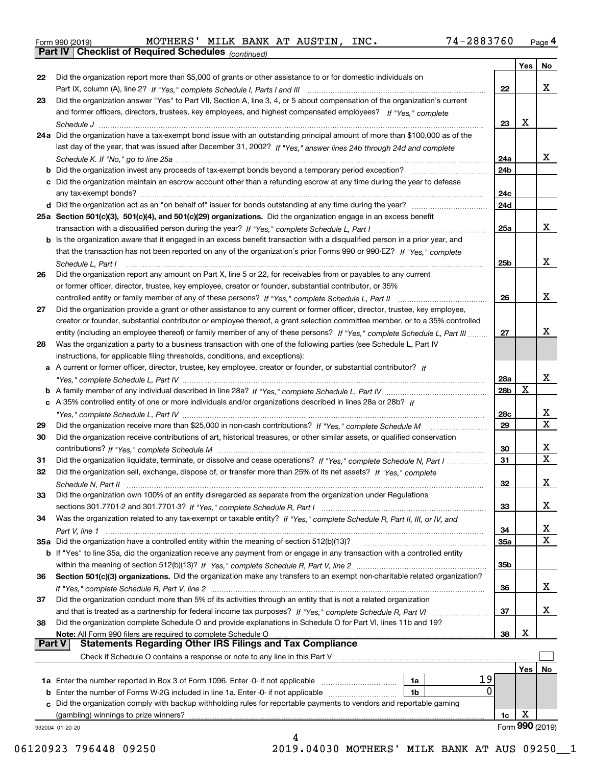|  | Form 990 (2019) |
|--|-----------------|

**Part IV Checklist of Required Schedules**

T

|               |                                                                                                                                                                                                                                               |                 | Yes | No                           |
|---------------|-----------------------------------------------------------------------------------------------------------------------------------------------------------------------------------------------------------------------------------------------|-----------------|-----|------------------------------|
| 22            | Did the organization report more than \$5,000 of grants or other assistance to or for domestic individuals on                                                                                                                                 |                 |     |                              |
|               |                                                                                                                                                                                                                                               | 22              |     | x                            |
| 23            | Did the organization answer "Yes" to Part VII, Section A, line 3, 4, or 5 about compensation of the organization's current                                                                                                                    |                 |     |                              |
|               | and former officers, directors, trustees, key employees, and highest compensated employees? If "Yes," complete                                                                                                                                |                 |     |                              |
|               |                                                                                                                                                                                                                                               | 23              | X   |                              |
|               | 24a Did the organization have a tax-exempt bond issue with an outstanding principal amount of more than \$100,000 as of the                                                                                                                   |                 |     |                              |
|               | last day of the year, that was issued after December 31, 2002? If "Yes," answer lines 24b through 24d and complete                                                                                                                            |                 |     |                              |
|               |                                                                                                                                                                                                                                               | 24a             |     | X.                           |
|               | <b>b</b> Did the organization invest any proceeds of tax-exempt bonds beyond a temporary period exception?                                                                                                                                    | 24b             |     |                              |
|               | c Did the organization maintain an escrow account other than a refunding escrow at any time during the year to defease                                                                                                                        |                 |     |                              |
|               |                                                                                                                                                                                                                                               | 24c             |     |                              |
|               |                                                                                                                                                                                                                                               | 24d             |     |                              |
|               | 25a Section 501(c)(3), 501(c)(4), and 501(c)(29) organizations. Did the organization engage in an excess benefit                                                                                                                              |                 |     |                              |
|               |                                                                                                                                                                                                                                               | 25a             |     | x                            |
|               | <b>b</b> Is the organization aware that it engaged in an excess benefit transaction with a disqualified person in a prior year, and                                                                                                           |                 |     |                              |
|               | that the transaction has not been reported on any of the organization's prior Forms 990 or 990-EZ? If "Yes," complete                                                                                                                         |                 |     |                              |
|               | Schedule L, Part I                                                                                                                                                                                                                            | 25 <sub>b</sub> |     | x                            |
| 26            | Did the organization report any amount on Part X, line 5 or 22, for receivables from or payables to any current                                                                                                                               |                 |     |                              |
|               | or former officer, director, trustee, key employee, creator or founder, substantial contributor, or 35%                                                                                                                                       |                 |     |                              |
|               |                                                                                                                                                                                                                                               | 26              |     | x                            |
| 27            | Did the organization provide a grant or other assistance to any current or former officer, director, trustee, key employee,                                                                                                                   |                 |     |                              |
|               | creator or founder, substantial contributor or employee thereof, a grant selection committee member, or to a 35% controlled                                                                                                                   |                 |     |                              |
|               |                                                                                                                                                                                                                                               | 27              |     | х                            |
|               | entity (including an employee thereof) or family member of any of these persons? If "Yes," complete Schedule L, Part III<br>Was the organization a party to a business transaction with one of the following parties (see Schedule L, Part IV |                 |     |                              |
| 28            |                                                                                                                                                                                                                                               |                 |     |                              |
|               | instructions, for applicable filing thresholds, conditions, and exceptions):<br>a A current or former officer, director, trustee, key employee, creator or founder, or substantial contributor? If                                            |                 |     |                              |
|               |                                                                                                                                                                                                                                               |                 |     | x                            |
|               |                                                                                                                                                                                                                                               | 28a             | X   |                              |
|               |                                                                                                                                                                                                                                               | 28 <sub>b</sub> |     |                              |
|               | c A 35% controlled entity of one or more individuals and/or organizations described in lines 28a or 28b? If                                                                                                                                   |                 |     | x                            |
|               |                                                                                                                                                                                                                                               | 28c             |     | $\overline{\mathbf{x}}$      |
| 29            |                                                                                                                                                                                                                                               | 29              |     |                              |
| 30            | Did the organization receive contributions of art, historical treasures, or other similar assets, or qualified conservation                                                                                                                   |                 |     |                              |
|               |                                                                                                                                                                                                                                               | 30              |     | х<br>$\overline{\mathbf{x}}$ |
| 31            | Did the organization liquidate, terminate, or dissolve and cease operations? If "Yes," complete Schedule N, Part I                                                                                                                            | 31              |     |                              |
| 32            | Did the organization sell, exchange, dispose of, or transfer more than 25% of its net assets? If "Yes," complete                                                                                                                              |                 |     |                              |
|               | Schedule N, Part II                                                                                                                                                                                                                           | 32              |     | X                            |
| 33            | Did the organization own 100% of an entity disregarded as separate from the organization under Regulations                                                                                                                                    |                 |     |                              |
|               |                                                                                                                                                                                                                                               | 33              |     | x                            |
| 34            | Was the organization related to any tax-exempt or taxable entity? If "Yes," complete Schedule R, Part II, III, or IV, and                                                                                                                     |                 |     |                              |
|               |                                                                                                                                                                                                                                               | 34              |     | x                            |
|               | 35a Did the organization have a controlled entity within the meaning of section 512(b)(13)?                                                                                                                                                   | <b>35a</b>      |     | $\overline{\mathbf{X}}$      |
|               | b If "Yes" to line 35a, did the organization receive any payment from or engage in any transaction with a controlled entity                                                                                                                   |                 |     |                              |
|               |                                                                                                                                                                                                                                               | 35b             |     |                              |
| 36            | Section 501(c)(3) organizations. Did the organization make any transfers to an exempt non-charitable related organization?                                                                                                                    |                 |     |                              |
|               |                                                                                                                                                                                                                                               | 36              |     | x                            |
| 37            | Did the organization conduct more than 5% of its activities through an entity that is not a related organization                                                                                                                              |                 |     |                              |
|               | and that is treated as a partnership for federal income tax purposes? If "Yes," complete Schedule R, Part VI                                                                                                                                  | 37              |     | x                            |
| 38            | Did the organization complete Schedule O and provide explanations in Schedule O for Part VI, lines 11b and 19?                                                                                                                                |                 |     |                              |
|               | Note: All Form 990 filers are required to complete Schedule O                                                                                                                                                                                 | 38              | X   |                              |
| <b>Part V</b> | <b>Statements Regarding Other IRS Filings and Tax Compliance</b>                                                                                                                                                                              |                 |     |                              |
|               | Check if Schedule O contains a response or note to any line in this Part V                                                                                                                                                                    |                 |     |                              |
|               |                                                                                                                                                                                                                                               |                 | Yes | No                           |
|               | 19<br>1a Enter the number reported in Box 3 of Form 1096. Enter -0- if not applicable<br>1a                                                                                                                                                   |                 |     |                              |
|               | 0<br>1b                                                                                                                                                                                                                                       |                 |     |                              |
|               | c Did the organization comply with backup withholding rules for reportable payments to vendors and reportable gaming                                                                                                                          |                 |     |                              |
|               | (gambling) winnings to prize winners?                                                                                                                                                                                                         | 1c              | X   |                              |
|               | 932004 01-20-20                                                                                                                                                                                                                               |                 |     | Form 990 (2019)              |
|               | 4                                                                                                                                                                                                                                             |                 |     |                              |

06120923 796448 09250 2019.04030 MOTHERS' MILK BANK AT AUS 09250\_1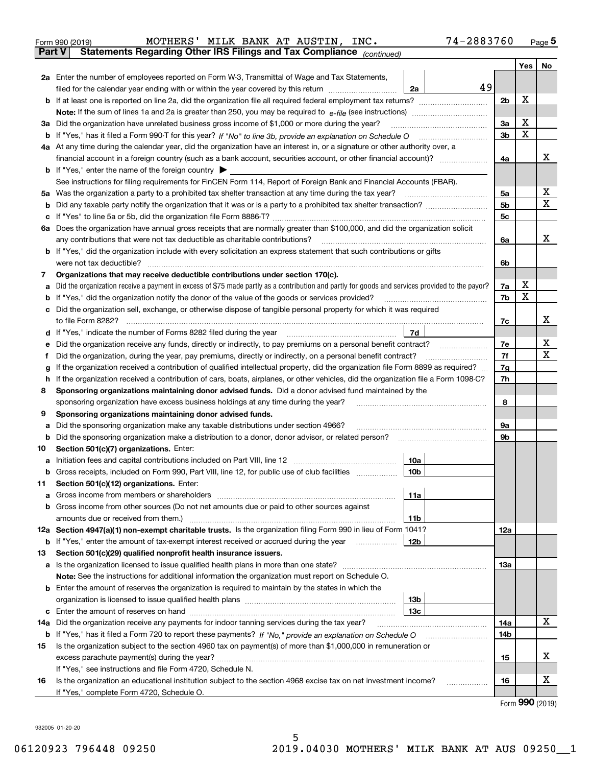| Form 990 (2019) | MOTHERS' | MILK |  |  | . BANK AT AUSTIN, | INC. | $-2883760$<br>$74-$ | Page |  |
|-----------------|----------|------|--|--|-------------------|------|---------------------|------|--|
|-----------------|----------|------|--|--|-------------------|------|---------------------|------|--|

| <b>Part V</b> | Statements Regarding Other IRS Filings and Tax Compliance (continued)                                                                           |                |     |    |
|---------------|-------------------------------------------------------------------------------------------------------------------------------------------------|----------------|-----|----|
|               |                                                                                                                                                 |                | Yes | No |
|               | 2a Enter the number of employees reported on Form W-3, Transmittal of Wage and Tax Statements,                                                  |                |     |    |
|               | 49<br>filed for the calendar year ending with or within the year covered by this return<br>2a                                                   |                |     |    |
|               |                                                                                                                                                 | 2 <sub>b</sub> | X   |    |
|               |                                                                                                                                                 |                |     |    |
| За            | Did the organization have unrelated business gross income of \$1,000 or more during the year?                                                   | За             | х   |    |
|               |                                                                                                                                                 | 3b             | X   |    |
|               | 4a At any time during the calendar year, did the organization have an interest in, or a signature or other authority over, a                    |                |     |    |
|               | financial account in a foreign country (such as a bank account, securities account, or other financial account)?                                | 4a             |     | х  |
|               | <b>b</b> If "Yes," enter the name of the foreign country                                                                                        |                |     |    |
|               | See instructions for filing requirements for FinCEN Form 114, Report of Foreign Bank and Financial Accounts (FBAR).                             |                |     |    |
|               |                                                                                                                                                 | 5a             |     | х  |
| b             |                                                                                                                                                 | 5 <sub>b</sub> |     | х  |
| с             |                                                                                                                                                 | 5с             |     |    |
|               | 6a Does the organization have annual gross receipts that are normally greater than \$100,000, and did the organization solicit                  |                |     |    |
|               | any contributions that were not tax deductible as charitable contributions?                                                                     | 6a             |     | x  |
|               | If "Yes," did the organization include with every solicitation an express statement that such contributions or gifts                            |                |     |    |
|               | were not tax deductible?                                                                                                                        | 6b             |     |    |
| 7             | Organizations that may receive deductible contributions under section 170(c).                                                                   |                |     |    |
| а             | Did the organization receive a payment in excess of \$75 made partly as a contribution and partly for goods and services provided to the payor? | 7a             | х   |    |
|               | If "Yes," did the organization notify the donor of the value of the goods or services provided?                                                 | 7b             | X   |    |
| с             | Did the organization sell, exchange, or otherwise dispose of tangible personal property for which it was required                               |                |     |    |
|               |                                                                                                                                                 | 7c             |     | х  |
| d             | 7d                                                                                                                                              |                |     |    |
|               | Did the organization receive any funds, directly or indirectly, to pay premiums on a personal benefit contract?                                 | 7e             |     | х  |
| Ť             | Did the organization, during the year, pay premiums, directly or indirectly, on a personal benefit contract?                                    | 7f             |     | х  |
| g             | If the organization received a contribution of qualified intellectual property, did the organization file Form 8899 as required?                | 7g             |     |    |
| h             | If the organization received a contribution of cars, boats, airplanes, or other vehicles, did the organization file a Form 1098-C?              | 7h             |     |    |
| 8             | Sponsoring organizations maintaining donor advised funds. Did a donor advised fund maintained by the                                            |                |     |    |
|               | sponsoring organization have excess business holdings at any time during the year?                                                              | 8              |     |    |
| 9             | Sponsoring organizations maintaining donor advised funds.                                                                                       |                |     |    |
| а             | Did the sponsoring organization make any taxable distributions under section 4966?                                                              | 9а             |     |    |
| b             | Did the sponsoring organization make a distribution to a donor, donor advisor, or related person?                                               | 9b             |     |    |
| 10            | Section 501(c)(7) organizations. Enter:                                                                                                         |                |     |    |
|               | 10a                                                                                                                                             |                |     |    |
|               | 10 <sub>b</sub><br><b>b</b> Gross receipts, included on Form 990, Part VIII, line 12, for public use of club facilities <i>manument</i>         |                |     |    |
| 11            | Section 501(c)(12) organizations. Enter:                                                                                                        |                |     |    |
| а             | 11a<br>Gross income from members or shareholders                                                                                                |                |     |    |
|               | b Gross income from other sources (Do not net amounts due or paid to other sources against                                                      |                |     |    |
|               | amounts due or received from them.)<br>11b                                                                                                      |                |     |    |
|               | 12a Section 4947(a)(1) non-exempt charitable trusts. Is the organization filing Form 990 in lieu of Form 1041?                                  | <b>12a</b>     |     |    |
|               | <b>b</b> If "Yes," enter the amount of tax-exempt interest received or accrued during the year<br>12b                                           |                |     |    |
| 13            | Section 501(c)(29) qualified nonprofit health insurance issuers.                                                                                |                |     |    |
|               | a Is the organization licensed to issue qualified health plans in more than one state?                                                          | 13a            |     |    |
|               | Note: See the instructions for additional information the organization must report on Schedule O.                                               |                |     |    |
|               | <b>b</b> Enter the amount of reserves the organization is required to maintain by the states in which the                                       |                |     |    |
|               | 13b                                                                                                                                             |                |     |    |
|               | 13с                                                                                                                                             |                |     | x  |
|               | 14a Did the organization receive any payments for indoor tanning services during the tax year?                                                  | 14a            |     |    |
|               | <b>b</b> If "Yes," has it filed a Form 720 to report these payments? If "No," provide an explanation on Schedule O                              | 14b            |     |    |
| 15            | Is the organization subject to the section 4960 tax on payment(s) of more than \$1,000,000 in remuneration or                                   |                |     | x  |
|               |                                                                                                                                                 | 15             |     |    |
|               | If "Yes," see instructions and file Form 4720, Schedule N.                                                                                      |                |     | x  |
| 16            | Is the organization an educational institution subject to the section 4968 excise tax on net investment income?                                 | 16             |     |    |
|               | If "Yes," complete Form 4720, Schedule O.                                                                                                       |                |     |    |

Form (2019) **990**

932005 01-20-20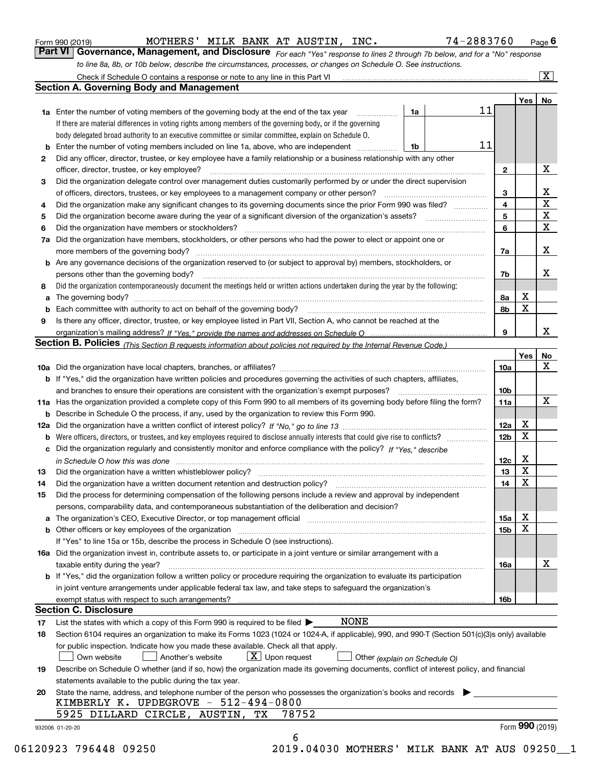| Form 990 (2019) |  |  |
|-----------------|--|--|
|                 |  |  |

 $_{\rm Form}$   $_{990}$   $_{(2019)}$   $_{\rm MOTHERS}$ '  $_{\rm MILK}$   $_{\rm BANK}$   $_{\rm AT}$   $_{\rm AUSTIN}$ ,  $_{\rm INC}$  .  $_{\rm 74-2883760}$   $_{\rm Page}$ 

|  | <b>Part VI Governance, Management, and Disclosure</b> For each "Yes" response to lines 2 through 7b below, and for a "No" responsr |  |
|--|------------------------------------------------------------------------------------------------------------------------------------|--|
|  | to line 8a, 8b, or 10b below, describe the circumstances, processes, or changes on Schedule O. See instructions.                   |  |

|    |                                                                                                                                                                            |    |    |                 | Yes             | No                      |
|----|----------------------------------------------------------------------------------------------------------------------------------------------------------------------------|----|----|-----------------|-----------------|-------------------------|
|    | <b>1a</b> Enter the number of voting members of the governing body at the end of the tax year <i>manumum</i>                                                               | 1a | 11 |                 |                 |                         |
|    | If there are material differences in voting rights among members of the governing body, or if the governing                                                                |    |    |                 |                 |                         |
|    | body delegated broad authority to an executive committee or similar committee, explain on Schedule O.                                                                      |    |    |                 |                 |                         |
|    |                                                                                                                                                                            | 1b | 11 |                 |                 |                         |
| 2  | Did any officer, director, trustee, or key employee have a family relationship or a business relationship with any other                                                   |    |    |                 |                 |                         |
|    | officer, director, trustee, or key employee?                                                                                                                               |    |    | $\mathbf{2}$    |                 | X                       |
| 3  | Did the organization delegate control over management duties customarily performed by or under the direct supervision                                                      |    |    |                 |                 |                         |
|    |                                                                                                                                                                            |    |    | 3               |                 | X                       |
| 4  | Did the organization make any significant changes to its governing documents since the prior Form 990 was filed?                                                           |    |    | 4               |                 | $\overline{\mathbf{x}}$ |
| 5  |                                                                                                                                                                            |    |    | 5               |                 | $\mathbf X$             |
| 6  | Did the organization have members or stockholders?                                                                                                                         |    |    | 6               |                 | $\mathbf X$             |
|    | 7a Did the organization have members, stockholders, or other persons who had the power to elect or appoint one or                                                          |    |    |                 |                 |                         |
|    |                                                                                                                                                                            |    |    | 7a              |                 | X                       |
|    | <b>b</b> Are any governance decisions of the organization reserved to (or subject to approval by) members, stockholders, or                                                |    |    |                 |                 |                         |
|    | persons other than the governing body?                                                                                                                                     |    |    | 7b              |                 | X                       |
| 8  | Did the organization contemporaneously document the meetings held or written actions undertaken during the year by the following:                                          |    |    |                 |                 |                         |
| a  |                                                                                                                                                                            |    |    | 8a              | X               |                         |
|    |                                                                                                                                                                            |    |    | 8b              | X               |                         |
| 9  | Is there any officer, director, trustee, or key employee listed in Part VII, Section A, who cannot be reached at the                                                       |    |    |                 |                 |                         |
|    |                                                                                                                                                                            |    |    | 9               |                 | х                       |
|    | Section B. Policies (This Section B requests information about policies not required by the Internal Revenue Code.)                                                        |    |    |                 |                 |                         |
|    |                                                                                                                                                                            |    |    |                 | Yes             | No                      |
|    |                                                                                                                                                                            |    |    | 10a             |                 | x                       |
|    | <b>b</b> If "Yes," did the organization have written policies and procedures governing the activities of such chapters, affiliates,                                        |    |    |                 |                 |                         |
|    |                                                                                                                                                                            |    |    | 10 <sub>b</sub> |                 |                         |
|    | 11a Has the organization provided a complete copy of this Form 990 to all members of its governing body before filing the form?                                            |    |    | 11a             |                 | X                       |
|    | <b>b</b> Describe in Schedule O the process, if any, used by the organization to review this Form 990.                                                                     |    |    |                 |                 |                         |
|    |                                                                                                                                                                            |    |    | 12a             | X               |                         |
| b  |                                                                                                                                                                            |    |    | 12b             | X               |                         |
|    | c Did the organization regularly and consistently monitor and enforce compliance with the policy? If "Yes," describe                                                       |    |    |                 |                 |                         |
|    | in Schedule O how this was done measured and contained a state of the state of the state of the state of the s                                                             |    |    | 12c             | X               |                         |
| 13 |                                                                                                                                                                            |    |    | 13              | X               |                         |
| 14 | Did the organization have a written document retention and destruction policy? manufactured and the organization have a written document retention and destruction policy? |    |    | 14              | $\mathbf X$     |                         |
| 15 | Did the process for determining compensation of the following persons include a review and approval by independent                                                         |    |    |                 |                 |                         |
|    | persons, comparability data, and contemporaneous substantiation of the deliberation and decision?                                                                          |    |    |                 |                 |                         |
|    |                                                                                                                                                                            |    |    | 15a             | X               |                         |
|    | <b>b</b> Other officers or key employees of the organization                                                                                                               |    |    | 15b             | X               |                         |
|    | If "Yes" to line 15a or 15b, describe the process in Schedule O (see instructions).                                                                                        |    |    |                 |                 |                         |
|    | 16a Did the organization invest in, contribute assets to, or participate in a joint venture or similar arrangement with a                                                  |    |    |                 |                 |                         |
|    | taxable entity during the year?                                                                                                                                            |    |    | 16a             |                 | X                       |
|    | b If "Yes," did the organization follow a written policy or procedure requiring the organization to evaluate its participation                                             |    |    |                 |                 |                         |
|    | in joint venture arrangements under applicable federal tax law, and take steps to safeguard the organization's                                                             |    |    |                 |                 |                         |
|    |                                                                                                                                                                            |    |    | 16b             |                 |                         |
|    | <b>Section C. Disclosure</b>                                                                                                                                               |    |    |                 |                 |                         |
| 17 | <b>NONE</b><br>List the states with which a copy of this Form 990 is required to be filed $\blacktriangleright$                                                            |    |    |                 |                 |                         |
| 18 | Section 6104 requires an organization to make its Forms 1023 (1024 or 1024-A, if applicable), 990, and 990-T (Section 501(c)(3)s only) available                           |    |    |                 |                 |                         |
|    | for public inspection. Indicate how you made these available. Check all that apply.                                                                                        |    |    |                 |                 |                         |
|    | $X$ Upon request<br>Another's website<br>Own website<br>Other (explain on Schedule O)                                                                                      |    |    |                 |                 |                         |
| 19 | Describe on Schedule O whether (and if so, how) the organization made its governing documents, conflict of interest policy, and financial                                  |    |    |                 |                 |                         |
|    | statements available to the public during the tax year.                                                                                                                    |    |    |                 |                 |                         |
| 20 | State the name, address, and telephone number of the person who possesses the organization's books and records                                                             |    |    |                 |                 |                         |
|    | KIMBERLY K. UPDEGROVE - 512-494-0800                                                                                                                                       |    |    |                 |                 |                         |
|    | 5925 DILLARD CIRCLE, AUSTIN,<br>TХ<br>78752                                                                                                                                |    |    |                 |                 |                         |
|    |                                                                                                                                                                            |    |    |                 | Form 990 (2019) |                         |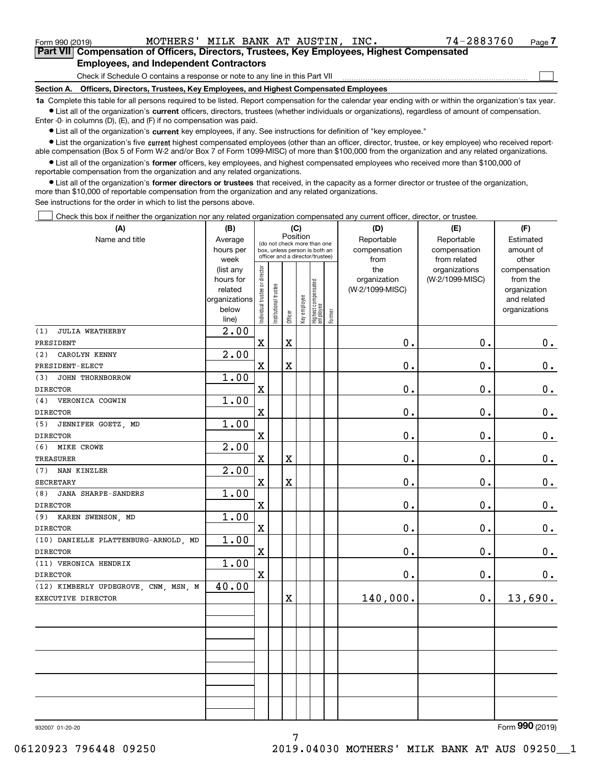$_{\rm Form}$   $_{990}$   $_{(2019)}$   $_{\rm MOTHERS}$ '  $_{\rm MILK}$   $_{\rm BANK}$   $_{\rm AT}$   $_{\rm AUSTIN}$ ,  $_{\rm INC}$  .  $_{\rm 74-2883760}$   $_{\rm Page}$ 

 $\begin{array}{c} \hline \end{array}$ 

**Part VII Compensation of Officers, Directors, Trustees, Key Employees, Highest Compensated Employees, and Independent Contractors**

Check if Schedule O contains a response or note to any line in this Part VII

**Section A. Officers, Directors, Trustees, Key Employees, and Highest Compensated Employees**

**1a**  Complete this table for all persons required to be listed. Report compensation for the calendar year ending with or within the organization's tax year.  $\bullet$  List all of the organization's current officers, directors, trustees (whether individuals or organizations), regardless of amount of compensation.

Enter -0- in columns (D), (E), and (F) if no compensation was paid.

**•** List all of the organization's current key employees, if any. See instructions for definition of "key employee."

**•** List the organization's five current highest compensated employees (other than an officer, director, trustee, or key employee) who received reportable compensation (Box 5 of Form W-2 and/or Box 7 of Form 1099-MISC) of more than \$100,000 from the organization and any related organizations.

 $\bullet$  List all of the organization's former officers, key employees, and highest compensated employees who received more than \$100,000 of reportable compensation from the organization and any related organizations.

**•** List all of the organization's former directors or trustees that received, in the capacity as a former director or trustee of the organization, more than \$10,000 of reportable compensation from the organization and any related organizations.

See instructions for the order in which to list the persons above.

Check this box if neither the organization nor any related organization compensated any current officer, director, or trustee.  $\Box$ 

| (A)                                                        | (C)<br>(B)     |                                         |                                 |             |              |                                   |        | (D)             | (E)             | (F)             |
|------------------------------------------------------------|----------------|-----------------------------------------|---------------------------------|-------------|--------------|-----------------------------------|--------|-----------------|-----------------|-----------------|
| Name and title                                             | Average        | Position<br>(do not check more than one |                                 | Reportable  | Reportable   | Estimated                         |        |                 |                 |                 |
|                                                            | hours per      |                                         | box, unless person is both an   |             |              |                                   |        | compensation    | compensation    | amount of       |
|                                                            | week           |                                         | officer and a director/trustee) |             |              |                                   |        | from            | from related    | other           |
|                                                            | (list any      |                                         |                                 |             |              |                                   |        | the             | organizations   | compensation    |
|                                                            | hours for      |                                         |                                 |             |              |                                   |        | organization    | (W-2/1099-MISC) | from the        |
|                                                            | related        |                                         |                                 |             |              |                                   |        | (W-2/1099-MISC) |                 | organization    |
|                                                            | organizations  |                                         |                                 |             |              |                                   |        |                 |                 | and related     |
|                                                            | below<br>line) | Individual trustee or director          | nstitutional trustee            | Officer     | Key employee | Highest compensated<br>  employee | Former |                 |                 | organizations   |
| JULIA WEATHERBY<br>(1)                                     | 2.00           |                                         |                                 |             |              |                                   |        |                 |                 |                 |
| PRESIDENT                                                  |                | $\mathbf X$                             |                                 | $\mathbf X$ |              |                                   |        | 0.              | $\mathbf 0$ .   | 0.              |
| CAROLYN KENNY<br>(2)                                       | 2.00           |                                         |                                 |             |              |                                   |        |                 |                 |                 |
| PRESIDENT-ELECT                                            |                | $\mathbf X$                             |                                 | X           |              |                                   |        | 0.              | 0.              | 0.              |
| JOHN THORNBORROW<br>(3)                                    | 1.00           |                                         |                                 |             |              |                                   |        |                 |                 |                 |
| <b>DIRECTOR</b>                                            |                | $\overline{\textbf{X}}$                 |                                 |             |              |                                   |        | 0.              | $\mathbf 0$ .   | 0.              |
| (4) VERONICA COGWIN                                        | 1.00           |                                         |                                 |             |              |                                   |        |                 |                 |                 |
| <b>DIRECTOR</b>                                            |                | $\overline{\textbf{X}}$                 |                                 |             |              |                                   |        | 0.              | $\mathbf 0$ .   | 0.              |
| (5)<br>JENNIFER GOETZ, MD                                  | 1.00           |                                         |                                 |             |              |                                   |        |                 |                 |                 |
| <b>DIRECTOR</b>                                            |                | $\mathbf X$                             |                                 |             |              |                                   |        | 0.              | $\mathbf 0$ .   | 0.              |
| MIKE CROWE<br>(6)                                          | 2.00           |                                         |                                 |             |              |                                   |        |                 |                 |                 |
| TREASURER                                                  |                | $\mathbf X$                             |                                 | X           |              |                                   |        | 0.              | 0.              | 0.              |
| NAN KINZLER<br>(7)                                         | 2.00           |                                         |                                 |             |              |                                   |        |                 |                 |                 |
| SECRETARY                                                  |                | $\mathbf x$                             |                                 | X           |              |                                   |        | 0.              | $\mathbf 0$ .   | $\mathbf 0$ .   |
| <b>JANA SHARPE-SANDERS</b><br>(8)                          | 1.00           |                                         |                                 |             |              |                                   |        |                 |                 |                 |
| <b>DIRECTOR</b>                                            |                | $\mathbf X$                             |                                 |             |              |                                   |        | 0.              | $\mathbf 0$ .   | 0.              |
| (9)<br>KAREN SWENSON, MD                                   | 1.00           |                                         |                                 |             |              |                                   |        |                 |                 |                 |
| <b>DIRECTOR</b>                                            |                | $\mathbf X$                             |                                 |             |              |                                   |        | 0.              | $\mathbf 0$ .   | 0.              |
| (10) DANIELLE PLATTENBURG-ARNOLD, MD                       | 1.00           |                                         |                                 |             |              |                                   |        |                 |                 |                 |
| <b>DIRECTOR</b>                                            |                | $\mathbf X$                             |                                 |             |              |                                   |        | 0.              | 0.              | 0.              |
| (11) VERONICA HENDRIX                                      | 1.00           |                                         |                                 |             |              |                                   |        |                 |                 |                 |
| <b>DIRECTOR</b>                                            |                | $\mathbf X$                             |                                 |             |              |                                   |        | 0.              | 0.              | 0.              |
| (12) KIMBERLY UPDEGROVE, CNM, MSN, M<br>EXECUTIVE DIRECTOR | 40.00          |                                         |                                 | X           |              |                                   |        |                 | 0.              | 13,690.         |
|                                                            |                |                                         |                                 |             |              |                                   |        | 140,000.        |                 |                 |
|                                                            |                |                                         |                                 |             |              |                                   |        |                 |                 |                 |
|                                                            |                |                                         |                                 |             |              |                                   |        |                 |                 |                 |
|                                                            |                |                                         |                                 |             |              |                                   |        |                 |                 |                 |
|                                                            |                |                                         |                                 |             |              |                                   |        |                 |                 |                 |
|                                                            |                |                                         |                                 |             |              |                                   |        |                 |                 |                 |
|                                                            |                |                                         |                                 |             |              |                                   |        |                 |                 |                 |
|                                                            |                |                                         |                                 |             |              |                                   |        |                 |                 |                 |
|                                                            |                |                                         |                                 |             |              |                                   |        |                 |                 |                 |
| 932007 01-20-20                                            |                |                                         |                                 |             |              |                                   |        |                 |                 | Form 990 (2019) |
|                                                            |                |                                         |                                 |             |              |                                   |        |                 |                 |                 |

7

06120923 796448 09250 2019.04030 MOTHERS' MILK BANK AT AUS 09250\_\_1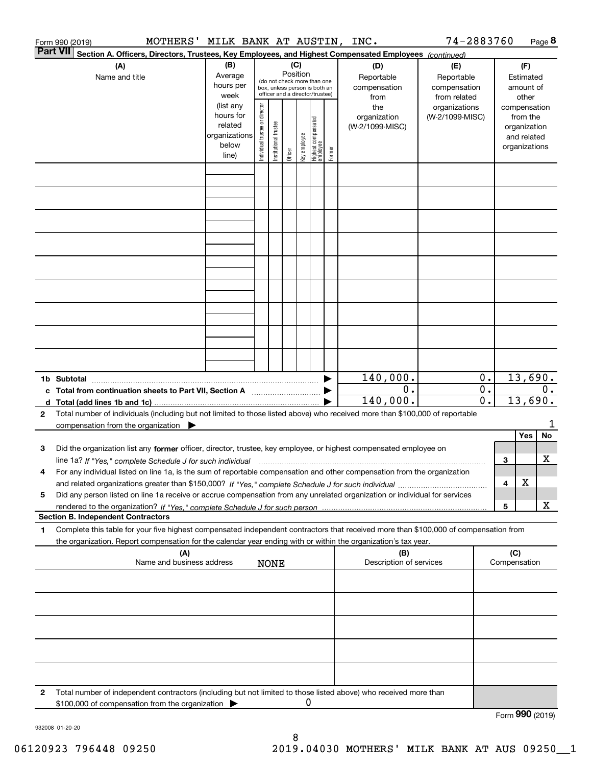|              | MOTHERS'<br>Form 990 (2019)                                                                                                                                                              | MILK BANK AT AUSTIN, INC.                                                                                   |                                |                       |                            |              |                                                                                                                                     |        |                                                                                     | 74-2883760                                                                            |                                   |                                                                                                                    | Page 8          |
|--------------|------------------------------------------------------------------------------------------------------------------------------------------------------------------------------------------|-------------------------------------------------------------------------------------------------------------|--------------------------------|-----------------------|----------------------------|--------------|-------------------------------------------------------------------------------------------------------------------------------------|--------|-------------------------------------------------------------------------------------|---------------------------------------------------------------------------------------|-----------------------------------|--------------------------------------------------------------------------------------------------------------------|-----------------|
|              | <b>Part VII</b><br>Section A. Officers, Directors, Trustees, Key Employees, and Highest Compensated Employees (continued)                                                                |                                                                                                             |                                |                       |                            |              |                                                                                                                                     |        |                                                                                     |                                                                                       |                                   |                                                                                                                    |                 |
|              | (A)<br>Name and title                                                                                                                                                                    | (B)<br>Average<br>hours per<br>week<br>(list any<br>hours for<br>related<br>organizations<br>below<br>line) | Individual trustee or director | Institutional trustee | (C)<br>Position<br>Officer | Key employee | (do not check more than one<br>box, unless person is both an<br>officer and a director/trustee)<br>Highest compensated<br> employee | Former | (D)<br>Reportable<br>compensation<br>from<br>the<br>organization<br>(W-2/1099-MISC) | (E)<br>Reportable<br>compensation<br>from related<br>organizations<br>(W-2/1099-MISC) |                                   | (F)<br>Estimated<br>amount of<br>other<br>compensation<br>from the<br>organization<br>and related<br>organizations |                 |
|              |                                                                                                                                                                                          |                                                                                                             |                                |                       |                            |              |                                                                                                                                     |        |                                                                                     |                                                                                       |                                   |                                                                                                                    |                 |
|              |                                                                                                                                                                                          |                                                                                                             |                                |                       |                            |              |                                                                                                                                     |        |                                                                                     |                                                                                       |                                   |                                                                                                                    |                 |
|              |                                                                                                                                                                                          |                                                                                                             |                                |                       |                            |              |                                                                                                                                     |        |                                                                                     |                                                                                       |                                   |                                                                                                                    |                 |
|              |                                                                                                                                                                                          |                                                                                                             |                                |                       |                            |              |                                                                                                                                     |        |                                                                                     |                                                                                       |                                   |                                                                                                                    |                 |
|              |                                                                                                                                                                                          |                                                                                                             |                                |                       |                            |              |                                                                                                                                     |        |                                                                                     |                                                                                       |                                   |                                                                                                                    |                 |
|              |                                                                                                                                                                                          |                                                                                                             |                                |                       |                            |              |                                                                                                                                     |        |                                                                                     |                                                                                       |                                   |                                                                                                                    |                 |
|              |                                                                                                                                                                                          |                                                                                                             |                                |                       |                            |              |                                                                                                                                     |        |                                                                                     |                                                                                       |                                   |                                                                                                                    |                 |
|              |                                                                                                                                                                                          |                                                                                                             |                                |                       |                            |              |                                                                                                                                     |        | 140,000.                                                                            |                                                                                       | $0$ .                             |                                                                                                                    | 13,690.         |
|              | 1b Subtotal<br>c Total from continuation sheets to Part VII, Section A                                                                                                                   |                                                                                                             |                                |                       |                            |              |                                                                                                                                     |        | 0.<br>140,000.                                                                      |                                                                                       | $\mathbf 0$ .<br>$\overline{0}$ . |                                                                                                                    | 0.<br>13,690.   |
| $\mathbf{2}$ | Total number of individuals (including but not limited to those listed above) who received more than \$100,000 of reportable<br>compensation from the organization $\blacktriangleright$ |                                                                                                             |                                |                       |                            |              |                                                                                                                                     |        |                                                                                     |                                                                                       |                                   |                                                                                                                    |                 |
| з            | Did the organization list any former officer, director, trustee, key employee, or highest compensated employee on                                                                        |                                                                                                             |                                |                       |                            |              |                                                                                                                                     |        |                                                                                     |                                                                                       |                                   | Yes                                                                                                                | No              |
| 4            | For any individual listed on line 1a, is the sum of reportable compensation and other compensation from the organization                                                                 |                                                                                                             |                                |                       |                            |              |                                                                                                                                     |        |                                                                                     |                                                                                       |                                   | 3<br>х<br>4                                                                                                        | x               |
| 5            | Did any person listed on line 1a receive or accrue compensation from any unrelated organization or individual for services                                                               |                                                                                                             |                                |                       |                            |              |                                                                                                                                     |        |                                                                                     |                                                                                       |                                   | $\overline{\mathbf{5}}$                                                                                            | x               |
| 1            | <b>Section B. Independent Contractors</b><br>Complete this table for your five highest compensated independent contractors that received more than \$100,000 of compensation from        |                                                                                                             |                                |                       |                            |              |                                                                                                                                     |        |                                                                                     |                                                                                       |                                   |                                                                                                                    |                 |
|              | the organization. Report compensation for the calendar year ending with or within the organization's tax year.                                                                           |                                                                                                             |                                |                       |                            |              |                                                                                                                                     |        |                                                                                     |                                                                                       |                                   |                                                                                                                    |                 |
|              | (A)<br>Name and business address                                                                                                                                                         |                                                                                                             |                                | <b>NONE</b>           |                            |              |                                                                                                                                     |        | (B)<br>Description of services                                                      |                                                                                       |                                   | (C)<br>Compensation                                                                                                |                 |
|              |                                                                                                                                                                                          |                                                                                                             |                                |                       |                            |              |                                                                                                                                     |        |                                                                                     |                                                                                       |                                   |                                                                                                                    |                 |
|              |                                                                                                                                                                                          |                                                                                                             |                                |                       |                            |              |                                                                                                                                     |        |                                                                                     |                                                                                       |                                   |                                                                                                                    |                 |
|              |                                                                                                                                                                                          |                                                                                                             |                                |                       |                            |              |                                                                                                                                     |        |                                                                                     |                                                                                       |                                   |                                                                                                                    |                 |
|              |                                                                                                                                                                                          |                                                                                                             |                                |                       |                            |              |                                                                                                                                     |        |                                                                                     |                                                                                       |                                   |                                                                                                                    |                 |
| 2            | Total number of independent contractors (including but not limited to those listed above) who received more than<br>\$100,000 of compensation from the organization                      |                                                                                                             |                                |                       |                            | Ü            |                                                                                                                                     |        |                                                                                     |                                                                                       |                                   |                                                                                                                    | Form 990 (2019) |

932008 01-20-20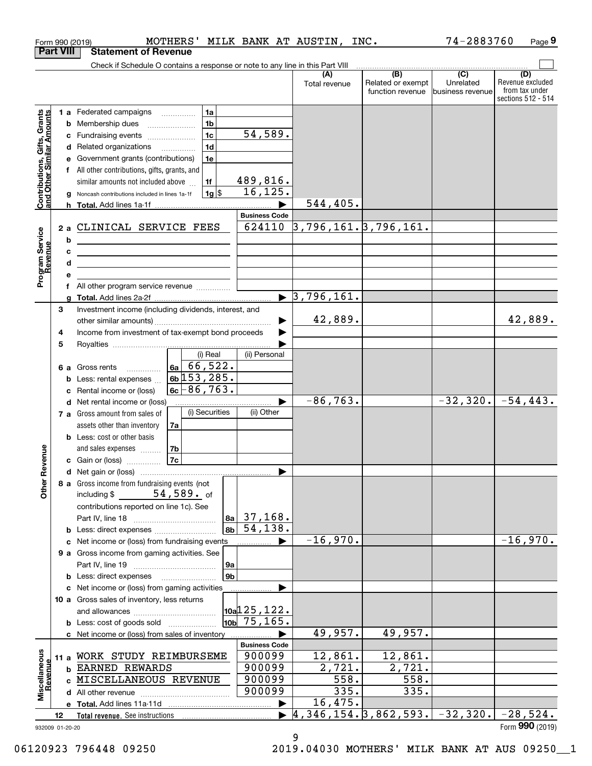|                                                           | Form 990 (2019)<br><b>Part VIII</b> | <b>Statement of Revenue</b>                                                                  | MOTHERS' MILK BANK AT AUSTIN, INC.   |                              |                                  |                                              | 74-2883760                                        | Page 9                                                          |
|-----------------------------------------------------------|-------------------------------------|----------------------------------------------------------------------------------------------|--------------------------------------|------------------------------|----------------------------------|----------------------------------------------|---------------------------------------------------|-----------------------------------------------------------------|
|                                                           |                                     | Check if Schedule O contains a response or note to any line in this Part VIII                |                                      |                              |                                  |                                              |                                                   |                                                                 |
|                                                           |                                     |                                                                                              |                                      |                              | (A)<br>Total revenue             | (B)<br>Related or exempt<br>function revenue | $\overline{(C)}$<br>Unrelated<br>business revenue | (D)<br>Revenue excluded<br>from tax under<br>sections 512 - 514 |
|                                                           |                                     | 1 a Federated campaigns                                                                      | 1a<br>.                              |                              |                                  |                                              |                                                   |                                                                 |
| Contributions, Gifts, Grants<br>and Other Similar Amounts |                                     | <b>b</b> Membership dues                                                                     | 1 <sub>b</sub>                       |                              |                                  |                                              |                                                   |                                                                 |
|                                                           |                                     | c Fundraising events                                                                         | 1 <sub>c</sub>                       | $\overline{54}$ , 589.       |                                  |                                              |                                                   |                                                                 |
|                                                           |                                     | d Related organizations<br>e Government grants (contributions)                               | 1d<br>$\overline{\phantom{a}}$<br>1e |                              |                                  |                                              |                                                   |                                                                 |
|                                                           |                                     | f All other contributions, gifts, grants, and                                                |                                      |                              |                                  |                                              |                                                   |                                                                 |
|                                                           |                                     | similar amounts not included above                                                           | 1f                                   | 489,816.                     |                                  |                                              |                                                   |                                                                 |
|                                                           |                                     | g Noncash contributions included in lines 1a-1f                                              | $1g$ \$                              | 16, 125.                     |                                  |                                              |                                                   |                                                                 |
|                                                           |                                     |                                                                                              |                                      |                              | 544,405.                         |                                              |                                                   |                                                                 |
|                                                           |                                     |                                                                                              |                                      | <b>Business Code</b>         |                                  | $624110$ 3,796,161.3,796,161.                |                                                   |                                                                 |
| Program Service<br>Revenue                                | b                                   | 2 a CLINICAL SERVICE FEES                                                                    |                                      |                              |                                  |                                              |                                                   |                                                                 |
|                                                           | c                                   |                                                                                              |                                      |                              |                                  |                                              |                                                   |                                                                 |
|                                                           | d                                   |                                                                                              |                                      |                              |                                  |                                              |                                                   |                                                                 |
|                                                           | е                                   |                                                                                              |                                      |                              |                                  |                                              |                                                   |                                                                 |
|                                                           | f                                   | All other program service revenue                                                            |                                      |                              |                                  |                                              |                                                   |                                                                 |
|                                                           |                                     |                                                                                              |                                      |                              | $\blacktriangleright$ 3,796,161. |                                              |                                                   |                                                                 |
|                                                           | 3                                   | Investment income (including dividends, interest, and                                        |                                      | ▶                            | 42,889.                          |                                              |                                                   | 42,889.                                                         |
|                                                           | 4                                   | Income from investment of tax-exempt bond proceeds                                           |                                      |                              |                                  |                                              |                                                   |                                                                 |
|                                                           | 5                                   |                                                                                              |                                      |                              |                                  |                                              |                                                   |                                                                 |
|                                                           |                                     |                                                                                              | $(i)$ Real                           | (ii) Personal                |                                  |                                              |                                                   |                                                                 |
|                                                           | 6а                                  | Gross rents                                                                                  | $ 6a $ 66, 522.                      |                              |                                  |                                              |                                                   |                                                                 |
|                                                           |                                     | <b>b</b> Less: rental expenses                                                               | $6b$ 153, 285.<br>$6c - 86, 763.$    |                              |                                  |                                              |                                                   |                                                                 |
|                                                           | c                                   | Rental income or (loss)<br>d Net rental income or (loss)                                     |                                      |                              | $-86, 763.$                      |                                              |                                                   | $-32, 320.   -54, 443.$                                         |
|                                                           |                                     | 7 a Gross amount from sales of                                                               | (i) Securities                       | (ii) Other                   |                                  |                                              |                                                   |                                                                 |
|                                                           |                                     | assets other than inventory                                                                  | 7a                                   |                              |                                  |                                              |                                                   |                                                                 |
|                                                           |                                     | <b>b</b> Less: cost or other basis                                                           |                                      |                              |                                  |                                              |                                                   |                                                                 |
| venue                                                     |                                     | and sales expenses                                                                           | 7 <sub>b</sub>                       |                              |                                  |                                              |                                                   |                                                                 |
|                                                           |                                     | c Gain or (loss)                                                                             | 7c                                   |                              |                                  |                                              |                                                   |                                                                 |
| Other Re                                                  |                                     | 8 a Gross income from fundraising events (not                                                |                                      |                              |                                  |                                              |                                                   |                                                                 |
|                                                           |                                     | including \$                                                                                 | $54,589.$ of                         |                              |                                  |                                              |                                                   |                                                                 |
|                                                           |                                     | contributions reported on line 1c). See                                                      |                                      |                              |                                  |                                              |                                                   |                                                                 |
|                                                           |                                     | Part IV, line 18                                                                             | 8a                                   | 37,168.                      |                                  |                                              |                                                   |                                                                 |
|                                                           |                                     | <b>b</b> Less: direct expenses                                                               | 8b                                   | $\overline{54,138}$ .        | $-16,970.$                       |                                              |                                                   | $-16,970.$                                                      |
|                                                           |                                     | Net income or (loss) from fundraising events<br>9 a Gross income from gaming activities. See |                                      |                              |                                  |                                              |                                                   |                                                                 |
|                                                           |                                     |                                                                                              | <u> 9a</u>                           |                              |                                  |                                              |                                                   |                                                                 |
|                                                           |                                     |                                                                                              | 9b                                   |                              |                                  |                                              |                                                   |                                                                 |
|                                                           | c                                   | Net income or (loss) from gaming activities                                                  |                                      |                              |                                  |                                              |                                                   |                                                                 |
|                                                           |                                     | 10 a Gross sales of inventory, less returns                                                  |                                      |                              |                                  |                                              |                                                   |                                                                 |
|                                                           |                                     |                                                                                              | 10 <sub>b</sub>                      | $ 10a $ 125, 122.<br>75,165. |                                  |                                              |                                                   |                                                                 |
|                                                           |                                     | c Net income or (loss) from sales of inventory                                               |                                      | .                            | 49,957.                          | 49,957.                                      |                                                   |                                                                 |
|                                                           |                                     |                                                                                              |                                      | <b>Business Code</b>         |                                  |                                              |                                                   |                                                                 |
| Miscellaneous<br>Revenue                                  | 11 a                                | WORK STUDY REIMBURSEME                                                                       |                                      | 900099                       | 12,861.                          | 12,861.                                      |                                                   |                                                                 |
|                                                           | b                                   | <b>EARNED REWARDS</b>                                                                        |                                      | 900099                       | 2,721.                           | 2,721.                                       |                                                   |                                                                 |
|                                                           | c                                   | MISCELLANEOUS REVENUE                                                                        |                                      | 900099                       | 558.                             | 558.                                         |                                                   |                                                                 |
|                                                           |                                     | <b>d</b> All other revenue                                                                   |                                      | 900099                       | 335.<br>16,475.                  | 335.                                         |                                                   |                                                                 |
|                                                           | 12                                  |                                                                                              |                                      |                              |                                  | $ 4,346,154. 3,862,593. -32,320. -28,524.$   |                                                   |                                                                 |
|                                                           | 932009 01-20-20                     |                                                                                              |                                      |                              |                                  |                                              |                                                   | Form 990 (2019)                                                 |

9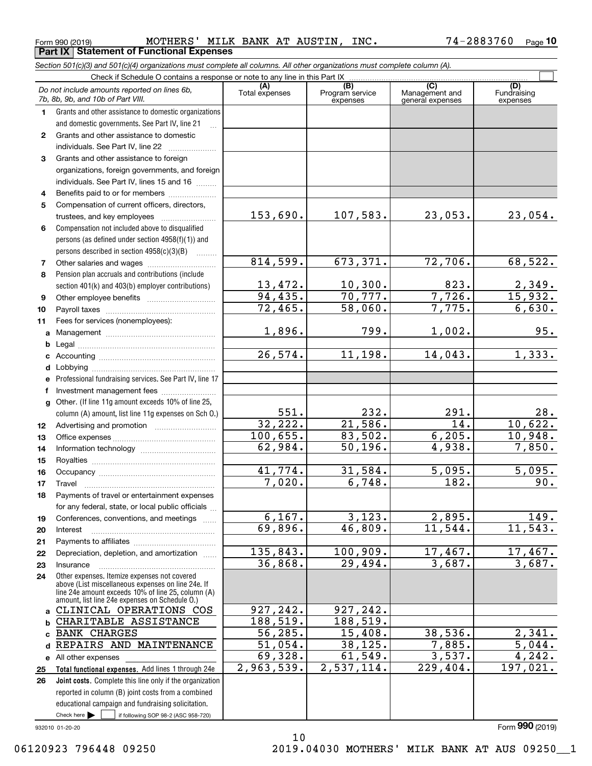**Part IX Statement of Functional Expenses**

*Section 501(c)(3) and 501(c)(4) organizations must complete all columns. All other organizations must complete column (A).*

|              | Do not include amounts reported on lines 6b,<br>7b, 8b, 9b, and 10b of Part VIII.                                                                          | (A)<br>Total expenses   | (B)<br>Program service<br>expenses | $\overline{C}$<br>Management and<br>general expenses | (D)<br>Fundraising<br>expenses |
|--------------|------------------------------------------------------------------------------------------------------------------------------------------------------------|-------------------------|------------------------------------|------------------------------------------------------|--------------------------------|
| 1.           | Grants and other assistance to domestic organizations                                                                                                      |                         |                                    |                                                      |                                |
|              | and domestic governments. See Part IV, line 21                                                                                                             |                         |                                    |                                                      |                                |
| $\mathbf{2}$ | Grants and other assistance to domestic                                                                                                                    |                         |                                    |                                                      |                                |
|              | individuals. See Part IV, line 22                                                                                                                          |                         |                                    |                                                      |                                |
| 3            | Grants and other assistance to foreign                                                                                                                     |                         |                                    |                                                      |                                |
|              | organizations, foreign governments, and foreign                                                                                                            |                         |                                    |                                                      |                                |
|              | individuals. See Part IV, lines 15 and 16                                                                                                                  |                         |                                    |                                                      |                                |
| 4            | Benefits paid to or for members                                                                                                                            |                         |                                    |                                                      |                                |
| 5            | Compensation of current officers, directors,                                                                                                               |                         |                                    |                                                      |                                |
|              | trustees, and key employees                                                                                                                                | 153,690.                | 107,583.                           | 23,053.                                              | 23,054.                        |
| 6            | Compensation not included above to disqualified                                                                                                            |                         |                                    |                                                      |                                |
|              | persons (as defined under section 4958(f)(1)) and                                                                                                          |                         |                                    |                                                      |                                |
|              | persons described in section 4958(c)(3)(B)<br><b>Barbara</b>                                                                                               |                         |                                    |                                                      |                                |
| 7            | Other salaries and wages                                                                                                                                   | 814,599.                | 673,371.                           | 72,706.                                              | 68,522.                        |
| 8            | Pension plan accruals and contributions (include                                                                                                           |                         | 10,300.                            | 823.                                                 |                                |
|              | section 401(k) and 403(b) employer contributions)                                                                                                          | $\frac{13,472}{94,435}$ | 70, 777.                           | 7,726.                                               | $\frac{2,349}{15,932}$         |
| 9            |                                                                                                                                                            | 72,465.                 | 58,060.                            | 7,775.                                               | $\frac{1}{6}$ , 630.           |
| 10<br>11     | Fees for services (nonemployees):                                                                                                                          |                         |                                    |                                                      |                                |
| a            |                                                                                                                                                            | 1,896.                  | 799.                               | 1,002.                                               | 95.                            |
| b            |                                                                                                                                                            |                         |                                    |                                                      |                                |
| c            |                                                                                                                                                            | 26,574.                 | 11,198.                            | 14,043.                                              | 1,333.                         |
| d            |                                                                                                                                                            |                         |                                    |                                                      |                                |
| е            | Professional fundraising services. See Part IV, line 17                                                                                                    |                         |                                    |                                                      |                                |
| f            | Investment management fees                                                                                                                                 |                         |                                    |                                                      |                                |
| g            | Other. (If line 11g amount exceeds 10% of line 25,                                                                                                         |                         |                                    |                                                      |                                |
|              | column (A) amount, list line 11g expenses on Sch O.)                                                                                                       | 551.                    | 232.                               | 291.                                                 | 28.                            |
| 12           |                                                                                                                                                            | 32, 222.                | 21,586.                            | $\overline{14}$ .                                    | 10,622.                        |
| 13           |                                                                                                                                                            | 100,655.                | 83,502.                            | 6, 205.                                              | 10,948.                        |
| 14           |                                                                                                                                                            | 62,984.                 | 50, 196.                           | 4,938.                                               | 7,850.                         |
| 15           |                                                                                                                                                            |                         |                                    |                                                      |                                |
| 16           |                                                                                                                                                            | 41,774.                 | 31,584.                            | 5,095.                                               | 5,095.                         |
| 17           | Travel                                                                                                                                                     | 7,020.                  | 6,748.                             | 182.                                                 | $\overline{90}$ .              |
| 18           | Payments of travel or entertainment expenses                                                                                                               |                         |                                    |                                                      |                                |
|              | for any federal, state, or local public officials                                                                                                          |                         |                                    |                                                      |                                |
| 19           | Conferences, conventions, and meetings                                                                                                                     | 6,167.                  | 3,123.                             | 2,895.                                               | 149.                           |
| 20           | Interest                                                                                                                                                   | 69,896.                 | 46,809.                            | 11,544.                                              | 11, 543.                       |
| 21           |                                                                                                                                                            | 135,843.                | 100,909.                           | 17,467.                                              | 17,467.                        |
| 22           | Depreciation, depletion, and amortization                                                                                                                  | 36,868.                 | 29,494.                            | 3,687.                                               | 3,687.                         |
| 23<br>24     | Insurance<br>Other expenses. Itemize expenses not covered                                                                                                  |                         |                                    |                                                      |                                |
|              | above (List miscellaneous expenses on line 24e. If<br>line 24e amount exceeds 10% of line 25, column (A)<br>amount, list line 24e expenses on Schedule O.) |                         |                                    |                                                      |                                |
| a            | CLINICAL OPERATIONS COS                                                                                                                                    | 927,242.                | 927,242.                           |                                                      |                                |
| b            | CHARITABLE ASSISTANCE                                                                                                                                      | 188,519.                | 188,519.                           |                                                      |                                |
| C            | <b>BANK CHARGES</b>                                                                                                                                        | 56, 285.                | 15,408.                            | 38,536.                                              | 2,341.                         |
| d            | REPAIRS AND MAINTENANCE                                                                                                                                    | 51,054.                 | 38,125.                            | 7,885.                                               | 5,044.                         |
|              | e All other expenses                                                                                                                                       | 69,328.                 | 61,549.                            | 3,537.                                               | 4,242.                         |
| 25           | Total functional expenses. Add lines 1 through 24e                                                                                                         | 2,963,539.              | 2,537,114.                         | 229,404.                                             | 197,021.                       |
| 26           | Joint costs. Complete this line only if the organization                                                                                                   |                         |                                    |                                                      |                                |
|              | reported in column (B) joint costs from a combined                                                                                                         |                         |                                    |                                                      |                                |
|              | educational campaign and fundraising solicitation.                                                                                                         |                         |                                    |                                                      |                                |
|              | Check here<br>if following SOP 98-2 (ASC 958-720)                                                                                                          |                         |                                    |                                                      |                                |
|              | 932010 01-20-20                                                                                                                                            |                         |                                    |                                                      | Form 990 (2019)                |

10

06120923 796448 09250 2019.04030 MOTHERS' MILK BANK AT AUS 09250\_\_1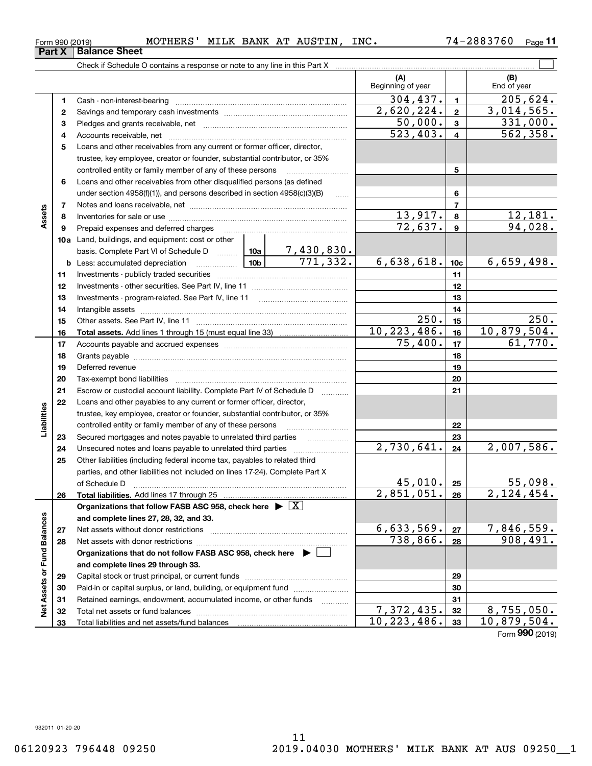|                             |    | Check if Schedule O contains a response or note to any line in this Part X                                                                                                                                                     |       |                     |                          |                         |                          |
|-----------------------------|----|--------------------------------------------------------------------------------------------------------------------------------------------------------------------------------------------------------------------------------|-------|---------------------|--------------------------|-------------------------|--------------------------|
|                             |    |                                                                                                                                                                                                                                |       |                     | (A)<br>Beginning of year |                         | (B)<br>End of year       |
|                             | 1  | Cash - non-interest-bearing                                                                                                                                                                                                    |       |                     | 304, 437.                | $\mathbf{1}$            | 205,624.                 |
|                             | 2  |                                                                                                                                                                                                                                |       |                     | 2,620,224.               | $\overline{2}$          | 3,014,565.               |
|                             | з  |                                                                                                                                                                                                                                |       |                     | 50,000.                  | 3                       | 331,000.                 |
|                             | 4  |                                                                                                                                                                                                                                |       |                     | $\overline{523,403}$ .   | $\overline{\mathbf{4}}$ | 562,358.                 |
|                             | 5  | Loans and other receivables from any current or former officer, director,                                                                                                                                                      |       |                     |                          |                         |                          |
|                             |    | trustee, key employee, creator or founder, substantial contributor, or 35%                                                                                                                                                     |       |                     |                          |                         |                          |
|                             |    | controlled entity or family member of any of these persons                                                                                                                                                                     |       |                     |                          | 5                       |                          |
|                             | 6  | Loans and other receivables from other disqualified persons (as defined                                                                                                                                                        |       |                     |                          |                         |                          |
|                             |    | under section 4958(f)(1)), and persons described in section 4958(c)(3)(B)                                                                                                                                                      |       | 1.1.1.1             |                          | 6                       |                          |
|                             | 7  |                                                                                                                                                                                                                                |       |                     |                          | $\overline{7}$          |                          |
| Assets                      | 8  |                                                                                                                                                                                                                                |       |                     | 13,917.                  | 8                       | 12,181.                  |
|                             | 9  | Prepaid expenses and deferred charges                                                                                                                                                                                          |       |                     | 72,637.                  | 9                       | 94,028.                  |
|                             |    | 10a Land, buildings, and equipment: cost or other                                                                                                                                                                              |       |                     |                          |                         |                          |
|                             |    | basis. Complete Part VI of Schedule D    10a   7,430,830.                                                                                                                                                                      |       |                     |                          |                         |                          |
|                             |    | <b>b</b> Less: accumulated depreciation                                                                                                                                                                                        | 10b l | 771, 332.           | 6,638,618.               | 10 <sub>c</sub>         | 6,659,498.               |
|                             | 11 |                                                                                                                                                                                                                                |       |                     |                          | 11                      |                          |
|                             | 12 |                                                                                                                                                                                                                                |       |                     |                          | 12                      |                          |
|                             | 13 |                                                                                                                                                                                                                                |       |                     |                          | 13                      |                          |
|                             | 14 |                                                                                                                                                                                                                                |       |                     |                          | 14                      |                          |
|                             | 15 |                                                                                                                                                                                                                                |       |                     | 250.                     | 15                      | 250.                     |
|                             | 16 |                                                                                                                                                                                                                                |       |                     | 10, 223, 486.            | 16                      | 10,879,504.              |
|                             | 17 |                                                                                                                                                                                                                                |       |                     | 75,400.                  | 17                      | 61,770.                  |
|                             | 18 |                                                                                                                                                                                                                                |       |                     |                          | 18                      |                          |
|                             | 19 | Deferred revenue information and contact the contract of the contract of the contract of the contract of the contract of the contract of the contract of the contract of the contract of the contract of the contract of the c |       |                     |                          | 19                      |                          |
|                             | 20 |                                                                                                                                                                                                                                |       |                     |                          | 20                      |                          |
|                             | 21 | Escrow or custodial account liability. Complete Part IV of Schedule D                                                                                                                                                          |       | 1.1.1.1.1.1.1.1.1.1 |                          | 21                      |                          |
|                             | 22 | Loans and other payables to any current or former officer, director,                                                                                                                                                           |       |                     |                          |                         |                          |
| Liabilities                 |    | trustee, key employee, creator or founder, substantial contributor, or 35%                                                                                                                                                     |       |                     |                          |                         |                          |
|                             |    | controlled entity or family member of any of these persons                                                                                                                                                                     |       |                     |                          | 22                      |                          |
|                             | 23 | Secured mortgages and notes payable to unrelated third parties                                                                                                                                                                 |       |                     |                          | 23                      |                          |
|                             | 24 | Unsecured notes and loans payable to unrelated third parties                                                                                                                                                                   |       |                     | 2,730,641.               | 24                      | 2,007,586.               |
|                             | 25 | Other liabilities (including federal income tax, payables to related third                                                                                                                                                     |       |                     |                          |                         |                          |
|                             |    | parties, and other liabilities not included on lines 17-24). Complete Part X                                                                                                                                                   |       |                     |                          |                         |                          |
|                             |    | of Schedule D                                                                                                                                                                                                                  |       |                     | 45,010.                  | 25                      | 55,098.                  |
|                             | 26 | Total liabilities. Add lines 17 through 25                                                                                                                                                                                     |       |                     | 2,851,051.               | 26                      | 2,124,454                |
|                             |    | Organizations that follow FASB ASC 958, check here $\triangleright \lfloor X \rfloor$                                                                                                                                          |       |                     |                          |                         |                          |
|                             |    | and complete lines 27, 28, 32, and 33.                                                                                                                                                                                         |       |                     |                          |                         |                          |
|                             | 27 | Net assets without donor restrictions                                                                                                                                                                                          |       |                     | 6,633,569.               | 27                      | 7,846,559.               |
|                             | 28 |                                                                                                                                                                                                                                |       |                     | 738,866.                 | 28                      | 908,491.                 |
|                             |    | Organizations that do not follow FASB ASC 958, check here $\blacktriangleright$                                                                                                                                                |       |                     |                          |                         |                          |
|                             |    | and complete lines 29 through 33.                                                                                                                                                                                              |       |                     |                          |                         |                          |
|                             | 29 |                                                                                                                                                                                                                                |       |                     |                          | 29                      |                          |
|                             | 30 | Paid-in or capital surplus, or land, building, or equipment fund                                                                                                                                                               |       |                     |                          | 30                      |                          |
|                             | 31 | Retained earnings, endowment, accumulated income, or other funds                                                                                                                                                               |       |                     |                          | 31                      |                          |
| Net Assets or Fund Balances | 32 |                                                                                                                                                                                                                                |       |                     | $\overline{7,}372,435.$  | 32                      | 8,755,050.               |
|                             | 33 |                                                                                                                                                                                                                                |       |                     | 10,223,486.              | 33                      | $\overline{10,879,504.}$ |
|                             |    |                                                                                                                                                                                                                                |       |                     |                          |                         | Form 990 (2019)          |

 $_{\rm Form}$   $_{990}$   $_{(2019)}$   $_{\rm MOTHERS}$ ' MILK BANK AT AUSTIN, INC.  $74$ -2883760  $_{\rm Page}$ 

Check if Schedule O contains a response or note to any line in this Part X ..........

**Part X Balance Sheet**<br>**Part X Balance Sheet** 

74-2883760 Page 11

 $\boxed{\phantom{1}}$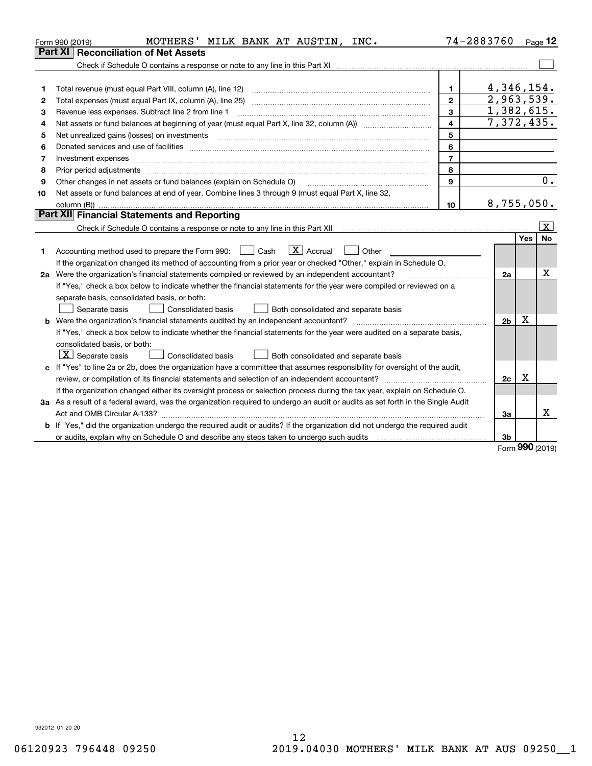|    | MOTHERS' MILK BANK AT AUSTIN, INC.<br>Form 990 (2019)                                                                                                                                                                          |                | 74-2883760     |            | Page 12                 |
|----|--------------------------------------------------------------------------------------------------------------------------------------------------------------------------------------------------------------------------------|----------------|----------------|------------|-------------------------|
|    | <b>Reconciliation of Net Assets</b><br>Part XI                                                                                                                                                                                 |                |                |            |                         |
|    |                                                                                                                                                                                                                                |                |                |            |                         |
|    |                                                                                                                                                                                                                                |                |                |            |                         |
| 1  |                                                                                                                                                                                                                                | $\mathbf{1}$   | 4,346,154.     |            |                         |
| 2  |                                                                                                                                                                                                                                | $\mathbf{2}$   | 2,963,539.     |            |                         |
| 3  | Revenue less expenses. Subtract line 2 from line 1                                                                                                                                                                             | 3              | 1,382,615.     |            |                         |
| 4  | Net assets or fund balances at beginning of year (must equal Part X, line 32, column (A)) <i>manageredial</i>                                                                                                                  | 4              | 7,372,435.     |            |                         |
| 5  |                                                                                                                                                                                                                                | 5              |                |            |                         |
| 6  | Donated services and use of facilities [111] matter contracts and the facilities in the matter of facilities [11] matter contracts and use of facilities [11] matter contracts and the service of the service of the service o | 6              |                |            |                         |
| 7  | Investment expenses www.communication.com/www.communication.com/www.communication.com/www.communication.com                                                                                                                    | $\overline{7}$ |                |            |                         |
| 8  | Prior period adjustments                                                                                                                                                                                                       | 8              |                |            |                         |
| 9  | Other changes in net assets or fund balances (explain on Schedule O)                                                                                                                                                           | 9              |                |            | 0.                      |
| 10 | Net assets or fund balances at end of year. Combine lines 3 through 9 (must equal Part X, line 32,                                                                                                                             |                |                |            |                         |
|    | column (B))                                                                                                                                                                                                                    | 10             | 8,755,050.     |            |                         |
|    | Part XII Financial Statements and Reporting                                                                                                                                                                                    |                |                |            |                         |
|    | Check if Schedule O contains a response or note to any line in this Part XII [11] [11] [11] [11] [11] [11] [11                                                                                                                 |                |                |            | $\overline{\mathbf{x}}$ |
|    |                                                                                                                                                                                                                                |                |                | <b>Yes</b> | <b>No</b>               |
| 1  | Accounting method used to prepare the Form 990: $\Box$ Cash $\Box$ Accrual<br>Other<br>$\pm$ $\pm$                                                                                                                             |                |                |            |                         |
|    | If the organization changed its method of accounting from a prior year or checked "Other," explain in Schedule O.                                                                                                              |                |                |            |                         |
|    | 2a Were the organization's financial statements compiled or reviewed by an independent accountant?                                                                                                                             |                | 2a             |            | х                       |
|    | If "Yes," check a box below to indicate whether the financial statements for the year were compiled or reviewed on a                                                                                                           |                |                |            |                         |
|    | separate basis, consolidated basis, or both:                                                                                                                                                                                   |                |                |            |                         |
|    | Both consolidated and separate basis<br>Separate basis<br>Consolidated basis                                                                                                                                                   |                |                |            |                         |
|    | <b>b</b> Were the organization's financial statements audited by an independent accountant?                                                                                                                                    |                | 2 <sub>b</sub> | х          |                         |
|    | If "Yes," check a box below to indicate whether the financial statements for the year were audited on a separate basis,                                                                                                        |                |                |            |                         |
|    | consolidated basis, or both:                                                                                                                                                                                                   |                |                |            |                         |
|    | $\lfloor x \rfloor$ Separate basis<br><b>Consolidated basis</b><br>Both consolidated and separate basis                                                                                                                        |                |                |            |                         |
|    | c If "Yes" to line 2a or 2b, does the organization have a committee that assumes responsibility for oversight of the audit,                                                                                                    |                |                |            |                         |
|    |                                                                                                                                                                                                                                |                | 2c             | х          |                         |
|    | If the organization changed either its oversight process or selection process during the tax year, explain on Schedule O.                                                                                                      |                |                |            |                         |
|    | 3a As a result of a federal award, was the organization required to undergo an audit or audits as set forth in the Single Audit                                                                                                |                |                |            |                         |
|    |                                                                                                                                                                                                                                |                | 3a             |            | x                       |
|    | b If "Yes," did the organization undergo the required audit or audits? If the organization did not undergo the required audit                                                                                                  |                |                |            |                         |
|    |                                                                                                                                                                                                                                |                | 3b             | nnn.       |                         |

Form (2019) **990**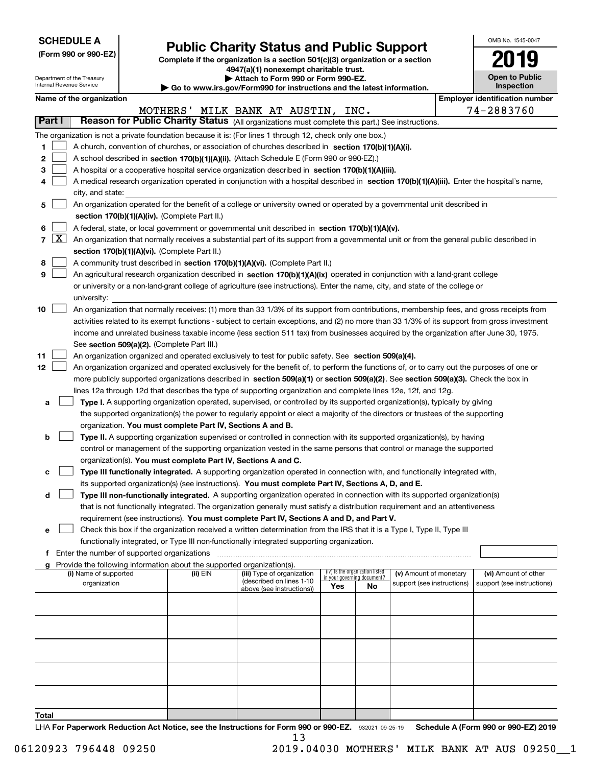| <b>SCHEDULE A</b> |  |
|-------------------|--|
|-------------------|--|

Department of the Treasury Internal Revenue Service

|  |  |  | (Form 990 or 990-EZ) |  |
|--|--|--|----------------------|--|
|--|--|--|----------------------|--|

# **Public Charity Status and Public Support**

**(Form 990 or 990-EZ) Complete if the organization is a section 501(c)(3) organization or a section 4947(a)(1) nonexempt charitable trust. | Attach to Form 990 or Form 990-EZ.** 

| OMB No. 1545-0047     |
|-----------------------|
| 01                    |
| <b>Open to Public</b> |

**Inspection**

|  | Name of the organization |
|--|--------------------------|

|                          | Name of the organization                                                                                                                                                                                                                      |          |                                                        |                                                                |    |                                                      | <b>Employer identification number</b>              |
|--------------------------|-----------------------------------------------------------------------------------------------------------------------------------------------------------------------------------------------------------------------------------------------|----------|--------------------------------------------------------|----------------------------------------------------------------|----|------------------------------------------------------|----------------------------------------------------|
|                          |                                                                                                                                                                                                                                               |          | MOTHERS' MILK BANK AT AUSTIN, INC.                     |                                                                |    |                                                      | 74-2883760                                         |
| Part I                   | Reason for Public Charity Status (All organizations must complete this part.) See instructions.                                                                                                                                               |          |                                                        |                                                                |    |                                                      |                                                    |
|                          | The organization is not a private foundation because it is: (For lines 1 through 12, check only one box.)                                                                                                                                     |          |                                                        |                                                                |    |                                                      |                                                    |
| 1.                       | A church, convention of churches, or association of churches described in section $170(b)(1)(A)(i)$ .                                                                                                                                         |          |                                                        |                                                                |    |                                                      |                                                    |
| 2                        | A school described in section 170(b)(1)(A)(ii). (Attach Schedule E (Form 990 or 990-EZ).)                                                                                                                                                     |          |                                                        |                                                                |    |                                                      |                                                    |
| з                        | A hospital or a cooperative hospital service organization described in section 170(b)(1)(A)(iii).                                                                                                                                             |          |                                                        |                                                                |    |                                                      |                                                    |
| 4                        | A medical research organization operated in conjunction with a hospital described in section 170(b)(1)(A)(iii). Enter the hospital's name,                                                                                                    |          |                                                        |                                                                |    |                                                      |                                                    |
|                          | city, and state:                                                                                                                                                                                                                              |          |                                                        |                                                                |    |                                                      |                                                    |
| 5                        | An organization operated for the benefit of a college or university owned or operated by a governmental unit described in                                                                                                                     |          |                                                        |                                                                |    |                                                      |                                                    |
|                          | section 170(b)(1)(A)(iv). (Complete Part II.)                                                                                                                                                                                                 |          |                                                        |                                                                |    |                                                      |                                                    |
| 6                        | A federal, state, or local government or governmental unit described in section 170(b)(1)(A)(v).                                                                                                                                              |          |                                                        |                                                                |    |                                                      |                                                    |
| $\lfloor x \rfloor$<br>7 | An organization that normally receives a substantial part of its support from a governmental unit or from the general public described in                                                                                                     |          |                                                        |                                                                |    |                                                      |                                                    |
|                          | section 170(b)(1)(A)(vi). (Complete Part II.)                                                                                                                                                                                                 |          |                                                        |                                                                |    |                                                      |                                                    |
| 8                        | A community trust described in section 170(b)(1)(A)(vi). (Complete Part II.)                                                                                                                                                                  |          |                                                        |                                                                |    |                                                      |                                                    |
| 9                        | An agricultural research organization described in section 170(b)(1)(A)(ix) operated in conjunction with a land-grant college                                                                                                                 |          |                                                        |                                                                |    |                                                      |                                                    |
|                          | or university or a non-land-grant college of agriculture (see instructions). Enter the name, city, and state of the college or                                                                                                                |          |                                                        |                                                                |    |                                                      |                                                    |
|                          | university:                                                                                                                                                                                                                                   |          |                                                        |                                                                |    |                                                      |                                                    |
| 10                       | An organization that normally receives: (1) more than 33 1/3% of its support from contributions, membership fees, and gross receipts from                                                                                                     |          |                                                        |                                                                |    |                                                      |                                                    |
|                          | activities related to its exempt functions - subject to certain exceptions, and (2) no more than 33 1/3% of its support from gross investment                                                                                                 |          |                                                        |                                                                |    |                                                      |                                                    |
|                          | income and unrelated business taxable income (less section 511 tax) from businesses acquired by the organization after June 30, 1975.                                                                                                         |          |                                                        |                                                                |    |                                                      |                                                    |
|                          | See section 509(a)(2). (Complete Part III.)                                                                                                                                                                                                   |          |                                                        |                                                                |    |                                                      |                                                    |
| 11                       | An organization organized and operated exclusively to test for public safety. See section 509(a)(4).                                                                                                                                          |          |                                                        |                                                                |    |                                                      |                                                    |
| 12                       | An organization organized and operated exclusively for the benefit of, to perform the functions of, or to carry out the purposes of one or                                                                                                    |          |                                                        |                                                                |    |                                                      |                                                    |
|                          | more publicly supported organizations described in section 509(a)(1) or section 509(a)(2). See section 509(a)(3). Check the box in                                                                                                            |          |                                                        |                                                                |    |                                                      |                                                    |
|                          | lines 12a through 12d that describes the type of supporting organization and complete lines 12e, 12f, and 12g.<br>Type I. A supporting organization operated, supervised, or controlled by its supported organization(s), typically by giving |          |                                                        |                                                                |    |                                                      |                                                    |
| а                        | the supported organization(s) the power to regularly appoint or elect a majority of the directors or trustees of the supporting                                                                                                               |          |                                                        |                                                                |    |                                                      |                                                    |
|                          | organization. You must complete Part IV, Sections A and B.                                                                                                                                                                                    |          |                                                        |                                                                |    |                                                      |                                                    |
| b                        | Type II. A supporting organization supervised or controlled in connection with its supported organization(s), by having                                                                                                                       |          |                                                        |                                                                |    |                                                      |                                                    |
|                          | control or management of the supporting organization vested in the same persons that control or manage the supported                                                                                                                          |          |                                                        |                                                                |    |                                                      |                                                    |
|                          | organization(s). You must complete Part IV, Sections A and C.                                                                                                                                                                                 |          |                                                        |                                                                |    |                                                      |                                                    |
| с                        | Type III functionally integrated. A supporting organization operated in connection with, and functionally integrated with,                                                                                                                    |          |                                                        |                                                                |    |                                                      |                                                    |
|                          | its supported organization(s) (see instructions). You must complete Part IV, Sections A, D, and E.                                                                                                                                            |          |                                                        |                                                                |    |                                                      |                                                    |
| d                        | Type III non-functionally integrated. A supporting organization operated in connection with its supported organization(s)                                                                                                                     |          |                                                        |                                                                |    |                                                      |                                                    |
|                          | that is not functionally integrated. The organization generally must satisfy a distribution requirement and an attentiveness                                                                                                                  |          |                                                        |                                                                |    |                                                      |                                                    |
|                          | requirement (see instructions). You must complete Part IV, Sections A and D, and Part V.                                                                                                                                                      |          |                                                        |                                                                |    |                                                      |                                                    |
|                          | Check this box if the organization received a written determination from the IRS that it is a Type I, Type II, Type III                                                                                                                       |          |                                                        |                                                                |    |                                                      |                                                    |
|                          | functionally integrated, or Type III non-functionally integrated supporting organization.                                                                                                                                                     |          |                                                        |                                                                |    |                                                      |                                                    |
|                          | f Enter the number of supported organizations                                                                                                                                                                                                 |          |                                                        |                                                                |    |                                                      |                                                    |
| a                        | Provide the following information about the supported organization(s).                                                                                                                                                                        |          |                                                        |                                                                |    |                                                      |                                                    |
|                          | (i) Name of supported<br>organization                                                                                                                                                                                                         | (ii) EIN | (iii) Type of organization<br>(described on lines 1-10 | (iv) Is the organization listed<br>in your governing document? |    | (v) Amount of monetary<br>support (see instructions) | (vi) Amount of other<br>support (see instructions) |
|                          |                                                                                                                                                                                                                                               |          | above (see instructions))                              | Yes                                                            | No |                                                      |                                                    |
|                          |                                                                                                                                                                                                                                               |          |                                                        |                                                                |    |                                                      |                                                    |
|                          |                                                                                                                                                                                                                                               |          |                                                        |                                                                |    |                                                      |                                                    |
|                          |                                                                                                                                                                                                                                               |          |                                                        |                                                                |    |                                                      |                                                    |
|                          |                                                                                                                                                                                                                                               |          |                                                        |                                                                |    |                                                      |                                                    |
|                          |                                                                                                                                                                                                                                               |          |                                                        |                                                                |    |                                                      |                                                    |
|                          |                                                                                                                                                                                                                                               |          |                                                        |                                                                |    |                                                      |                                                    |
|                          |                                                                                                                                                                                                                                               |          |                                                        |                                                                |    |                                                      |                                                    |
|                          |                                                                                                                                                                                                                                               |          |                                                        |                                                                |    |                                                      |                                                    |
|                          |                                                                                                                                                                                                                                               |          |                                                        |                                                                |    |                                                      |                                                    |
| <b>Total</b>             |                                                                                                                                                                                                                                               |          |                                                        |                                                                |    |                                                      |                                                    |

LHA For Paperwork Reduction Act Notice, see the Instructions for Form 990 or 990-EZ. 932021 09-25-19 Schedule A (Form 990 or 990-EZ) 2019 13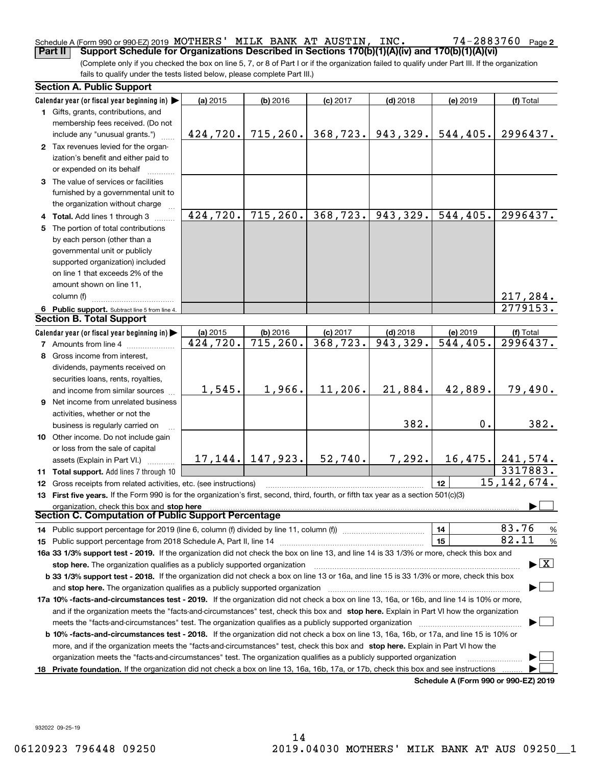# Schedule A (Form 990 or 990-EZ) 2019 Page MOTHERS' MILK BANK AT AUSTIN, INC. 74-2883760 **Part II Support Schedule for Organizations Described in Sections 170(b)(1)(A)(iv) and 170(b)(1)(A)(vi)**

(Complete only if you checked the box on line 5, 7, or 8 of Part I or if the organization failed to qualify under Part III. If the organization fails to qualify under the tests listed below, please complete Part III.)

|   | <b>Section A. Public Support</b>                                                                                                               |          |                      |            |            |                                      |                                          |
|---|------------------------------------------------------------------------------------------------------------------------------------------------|----------|----------------------|------------|------------|--------------------------------------|------------------------------------------|
|   | Calendar year (or fiscal year beginning in)                                                                                                    | (a) 2015 | $(b)$ 2016           | $(c)$ 2017 | $(d)$ 2018 | (e) 2019                             | (f) Total                                |
|   | 1 Gifts, grants, contributions, and                                                                                                            |          |                      |            |            |                                      |                                          |
|   | membership fees received. (Do not                                                                                                              |          |                      |            |            |                                      |                                          |
|   | include any "unusual grants.")                                                                                                                 | 424,720. | 715, 260.            | 368, 723.  | 943,329.   | 544, 405.                            | 2996437.                                 |
|   | 2 Tax revenues levied for the organ-                                                                                                           |          |                      |            |            |                                      |                                          |
|   | ization's benefit and either paid to                                                                                                           |          |                      |            |            |                                      |                                          |
|   | or expended on its behalf                                                                                                                      |          |                      |            |            |                                      |                                          |
|   | 3 The value of services or facilities                                                                                                          |          |                      |            |            |                                      |                                          |
|   | furnished by a governmental unit to                                                                                                            |          |                      |            |            |                                      |                                          |
|   | the organization without charge                                                                                                                |          |                      |            |            |                                      |                                          |
|   | 4 Total. Add lines 1 through 3                                                                                                                 | 424,720. | 715, 260.            | 368, 723.  | 943,329.   | 544,405.                             | 2996437.                                 |
| 5 | The portion of total contributions                                                                                                             |          |                      |            |            |                                      |                                          |
|   | by each person (other than a                                                                                                                   |          |                      |            |            |                                      |                                          |
|   | governmental unit or publicly                                                                                                                  |          |                      |            |            |                                      |                                          |
|   | supported organization) included                                                                                                               |          |                      |            |            |                                      |                                          |
|   | on line 1 that exceeds 2% of the                                                                                                               |          |                      |            |            |                                      |                                          |
|   | amount shown on line 11,                                                                                                                       |          |                      |            |            |                                      |                                          |
|   | column (f)                                                                                                                                     |          |                      |            |            |                                      | 217,284.                                 |
|   | 6 Public support. Subtract line 5 from line 4.                                                                                                 |          |                      |            |            |                                      | 2779153.                                 |
|   | <b>Section B. Total Support</b>                                                                                                                |          |                      |            |            |                                      |                                          |
|   | Calendar year (or fiscal year beginning in)                                                                                                    | (a) 2015 | $(b)$ 2016           | (c) 2017   | $(d)$ 2018 | (e) 2019                             | (f) Total                                |
|   | <b>7</b> Amounts from line 4                                                                                                                   | 424,720. | 715, 260.            | 368, 723.  | 943, 329.  | $\overline{544}$ , 405.              | 2996437.                                 |
| 8 | Gross income from interest,                                                                                                                    |          |                      |            |            |                                      |                                          |
|   | dividends, payments received on                                                                                                                |          |                      |            |            |                                      |                                          |
|   | securities loans, rents, royalties,                                                                                                            |          |                      |            |            |                                      |                                          |
|   | and income from similar sources                                                                                                                | 1,545.   | 1,966.               | 11, 206.   | 21,884.    | 42,889.                              | 79,490.                                  |
|   | <b>9</b> Net income from unrelated business                                                                                                    |          |                      |            |            |                                      |                                          |
|   | activities, whether or not the                                                                                                                 |          |                      |            |            |                                      |                                          |
|   | business is regularly carried on                                                                                                               |          |                      |            | 382.       | 0.                                   | 382.                                     |
|   | 10 Other income. Do not include gain                                                                                                           |          |                      |            |            |                                      |                                          |
|   | or loss from the sale of capital                                                                                                               |          |                      |            |            |                                      |                                          |
|   |                                                                                                                                                |          | $17, 144.$ 147, 923. | 52,740.    | 7,292.     | 16, 475.                             | 241,574.                                 |
|   | assets (Explain in Part VI.)<br>11 Total support. Add lines 7 through 10                                                                       |          |                      |            |            |                                      | 3317883.                                 |
|   | 12 Gross receipts from related activities, etc. (see instructions)                                                                             |          |                      |            |            | 12                                   | 15, 142, 674.                            |
|   | 13 First five years. If the Form 990 is for the organization's first, second, third, fourth, or fifth tax year as a section 501(c)(3)          |          |                      |            |            |                                      |                                          |
|   | organization, check this box and stop here                                                                                                     |          |                      |            |            |                                      |                                          |
|   | <b>Section C. Computation of Public Support Percentage</b>                                                                                     |          |                      |            |            |                                      |                                          |
|   | 14 Public support percentage for 2019 (line 6, column (f) divided by line 11, column (f) <i>manumeronominimi</i> ng                            |          |                      |            |            | 14                                   | 83.76<br>$\frac{9}{6}$                   |
|   |                                                                                                                                                |          |                      |            |            | 15                                   | 82.11<br>$\frac{9}{6}$                   |
|   | 16a 33 1/3% support test - 2019. If the organization did not check the box on line 13, and line 14 is 33 1/3% or more, check this box and      |          |                      |            |            |                                      |                                          |
|   | stop here. The organization qualifies as a publicly supported organization                                                                     |          |                      |            |            |                                      | $\blacktriangleright$ $\boxed{\text{X}}$ |
|   | b 33 1/3% support test - 2018. If the organization did not check a box on line 13 or 16a, and line 15 is 33 1/3% or more, check this box       |          |                      |            |            |                                      |                                          |
|   | and stop here. The organization qualifies as a publicly supported organization                                                                 |          |                      |            |            |                                      |                                          |
|   | 17a 10% -facts-and-circumstances test - 2019. If the organization did not check a box on line 13, 16a, or 16b, and line 14 is 10% or more,     |          |                      |            |            |                                      |                                          |
|   |                                                                                                                                                |          |                      |            |            |                                      |                                          |
|   | and if the organization meets the "facts-and-circumstances" test, check this box and stop here. Explain in Part VI how the organization        |          |                      |            |            |                                      |                                          |
|   | meets the "facts-and-circumstances" test. The organization qualifies as a publicly supported organization                                      |          |                      |            |            |                                      |                                          |
|   | <b>b 10% -facts-and-circumstances test - 2018.</b> If the organization did not check a box on line 13, 16a, 16b, or 17a, and line 15 is 10% or |          |                      |            |            |                                      |                                          |
|   | more, and if the organization meets the "facts-and-circumstances" test, check this box and stop here. Explain in Part VI how the               |          |                      |            |            |                                      |                                          |
|   | organization meets the "facts-and-circumstances" test. The organization qualifies as a publicly supported organization                         |          |                      |            |            |                                      |                                          |
|   | Private foundation. If the organization did not check a box on line 13, 16a, 16b, 17a, or 17b, check this box and see instructions             |          |                      |            |            | Schodule A (Form 990 or 990-F7) 2019 |                                          |

**Schedule A (Form 990 or 990-EZ) 2019**

932022 09-25-19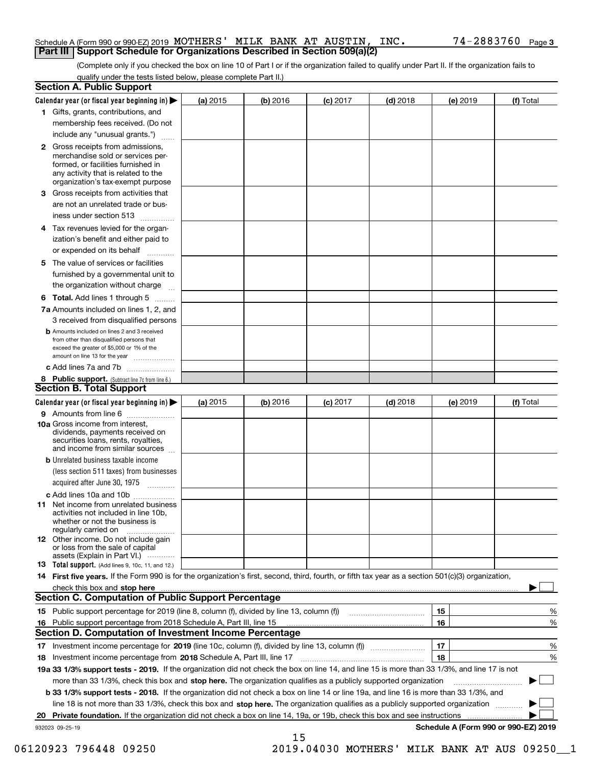# Schedule A (Form 990 or 990-EZ) 2019 Page MOTHERS' MILK BANK AT AUSTIN, INC. 74-2883760 **Part III | Support Schedule for Organizations Described in Section 509(a)(2)**

(Complete only if you checked the box on line 10 of Part I or if the organization failed to qualify under Part II. If the organization fails to qualify under the tests listed below, please complete Part II.)

|    | <b>Section A. Public Support</b>                                                                                                                                                                |          |          |                 |            |          |                                      |
|----|-------------------------------------------------------------------------------------------------------------------------------------------------------------------------------------------------|----------|----------|-----------------|------------|----------|--------------------------------------|
|    | Calendar year (or fiscal year beginning in) $\blacktriangleright$                                                                                                                               | (a) 2015 | (b) 2016 | <b>(c)</b> 2017 | $(d)$ 2018 | (e) 2019 | (f) Total                            |
|    | 1 Gifts, grants, contributions, and                                                                                                                                                             |          |          |                 |            |          |                                      |
|    | membership fees received. (Do not                                                                                                                                                               |          |          |                 |            |          |                                      |
|    | include any "unusual grants.")                                                                                                                                                                  |          |          |                 |            |          |                                      |
|    | <b>2</b> Gross receipts from admissions,<br>merchandise sold or services per-<br>formed, or facilities furnished in<br>any activity that is related to the<br>organization's tax-exempt purpose |          |          |                 |            |          |                                      |
| З  | Gross receipts from activities that                                                                                                                                                             |          |          |                 |            |          |                                      |
|    | are not an unrelated trade or bus-                                                                                                                                                              |          |          |                 |            |          |                                      |
|    | iness under section 513                                                                                                                                                                         |          |          |                 |            |          |                                      |
|    | 4 Tax revenues levied for the organ-<br>ization's benefit and either paid to                                                                                                                    |          |          |                 |            |          |                                      |
|    | or expended on its behalf                                                                                                                                                                       |          |          |                 |            |          |                                      |
| 5. | The value of services or facilities                                                                                                                                                             |          |          |                 |            |          |                                      |
|    | furnished by a governmental unit to                                                                                                                                                             |          |          |                 |            |          |                                      |
|    | the organization without charge                                                                                                                                                                 |          |          |                 |            |          |                                      |
|    | <b>6 Total.</b> Add lines 1 through 5 $\ldots$                                                                                                                                                  |          |          |                 |            |          |                                      |
|    | 7a Amounts included on lines 1, 2, and                                                                                                                                                          |          |          |                 |            |          |                                      |
|    | 3 received from disqualified persons                                                                                                                                                            |          |          |                 |            |          |                                      |
|    | <b>b</b> Amounts included on lines 2 and 3 received<br>from other than disqualified persons that<br>exceed the greater of \$5,000 or 1% of the<br>amount on line 13 for the year                |          |          |                 |            |          |                                      |
|    | c Add lines 7a and 7b                                                                                                                                                                           |          |          |                 |            |          |                                      |
|    | 8 Public support. (Subtract line 7c from line 6.)                                                                                                                                               |          |          |                 |            |          |                                      |
|    | <b>Section B. Total Support</b>                                                                                                                                                                 |          |          |                 |            |          |                                      |
|    | Calendar year (or fiscal year beginning in) $\blacktriangleright$                                                                                                                               | (a) 2015 | (b) 2016 | $(c)$ 2017      | $(d)$ 2018 | (e) 2019 | (f) Total                            |
|    | 9 Amounts from line 6                                                                                                                                                                           |          |          |                 |            |          |                                      |
|    | 10a Gross income from interest,<br>dividends, payments received on<br>securities loans, rents, royalties,<br>and income from similar sources                                                    |          |          |                 |            |          |                                      |
|    | <b>b</b> Unrelated business taxable income                                                                                                                                                      |          |          |                 |            |          |                                      |
|    | (less section 511 taxes) from businesses                                                                                                                                                        |          |          |                 |            |          |                                      |
|    | acquired after June 30, 1975                                                                                                                                                                    |          |          |                 |            |          |                                      |
|    | c Add lines 10a and 10b                                                                                                                                                                         |          |          |                 |            |          |                                      |
|    | <b>11</b> Net income from unrelated business<br>activities not included in line 10b,<br>whether or not the business is<br>regularly carried on                                                  |          |          |                 |            |          |                                      |
|    | <b>12</b> Other income. Do not include gain<br>or loss from the sale of capital<br>assets (Explain in Part VI.)                                                                                 |          |          |                 |            |          |                                      |
|    | 13 Total support. (Add lines 9, 10c, 11, and 12.)                                                                                                                                               |          |          |                 |            |          |                                      |
|    | 14 First five years. If the Form 990 is for the organization's first, second, third, fourth, or fifth tax year as a section 501(c)(3) organization,                                             |          |          |                 |            |          |                                      |
|    | check this box and stop here measurements are constructed as the state of the construction of the state of the                                                                                  |          |          |                 |            |          |                                      |
|    | <b>Section C. Computation of Public Support Percentage</b>                                                                                                                                      |          |          |                 |            |          |                                      |
|    |                                                                                                                                                                                                 |          |          |                 |            | 15       | %                                    |
|    | 16 Public support percentage from 2018 Schedule A, Part III, line 15                                                                                                                            |          |          |                 |            | 16       | %                                    |
|    | Section D. Computation of Investment Income Percentage                                                                                                                                          |          |          |                 |            |          |                                      |
|    |                                                                                                                                                                                                 |          |          |                 |            | 17       | %                                    |
|    | 18 Investment income percentage from 2018 Schedule A, Part III, line 17                                                                                                                         |          |          |                 |            | 18       | %                                    |
|    | 19a 33 1/3% support tests - 2019. If the organization did not check the box on line 14, and line 15 is more than 33 1/3%, and line 17 is not                                                    |          |          |                 |            |          |                                      |
|    | more than 33 1/3%, check this box and stop here. The organization qualifies as a publicly supported organization                                                                                |          |          |                 |            |          |                                      |
|    | b 33 1/3% support tests - 2018. If the organization did not check a box on line 14 or line 19a, and line 16 is more than 33 1/3%, and                                                           |          |          |                 |            |          |                                      |
|    | line 18 is not more than 33 1/3%, check this box and stop here. The organization qualifies as a publicly supported organization                                                                 |          |          |                 |            |          |                                      |
| 20 | <b>Private foundation.</b> If the organization did not check a box on line 14, 19a, or 19b, check this box and see instructions                                                                 |          |          |                 |            |          |                                      |
|    | 932023 09-25-19                                                                                                                                                                                 |          | 15       |                 |            |          | Schedule A (Form 990 or 990-EZ) 2019 |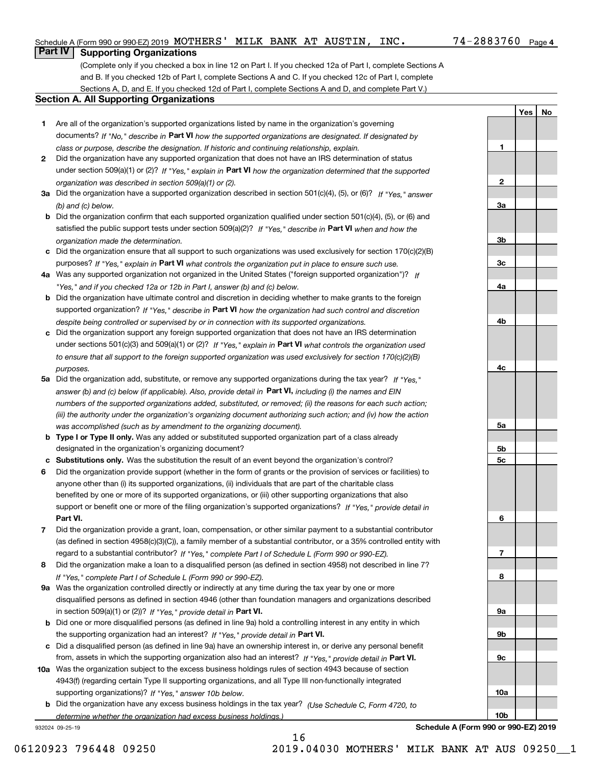# $74 - 2883760$  Page 4

**1**

**2**

**3a**

**3b**

**3c**

**4a**

**4b**

**4c**

**5a**

**5b 5c**

**6**

**7**

**8**

Yes | No

# **Part IV Supporting Organizations**

(Complete only if you checked a box in line 12 on Part I. If you checked 12a of Part I, complete Sections A and B. If you checked 12b of Part I, complete Sections A and C. If you checked 12c of Part I, complete Sections A, D, and E. If you checked 12d of Part I, complete Sections A and D, and complete Part V.)

## **Section A. All Supporting Organizations**

- **1** Are all of the organization's supported organizations listed by name in the organization's governing documents? If "No," describe in Part VI how the supported organizations are designated. If designated by *class or purpose, describe the designation. If historic and continuing relationship, explain.*
- **2** Did the organization have any supported organization that does not have an IRS determination of status under section 509(a)(1) or (2)? If "Yes," explain in Part VI how the organization determined that the supported *organization was described in section 509(a)(1) or (2).*
- **3a** Did the organization have a supported organization described in section 501(c)(4), (5), or (6)? If "Yes," answer *(b) and (c) below.*
- **b** Did the organization confirm that each supported organization qualified under section 501(c)(4), (5), or (6) and satisfied the public support tests under section 509(a)(2)? If "Yes," describe in Part VI when and how the *organization made the determination.*
- **c** Did the organization ensure that all support to such organizations was used exclusively for section 170(c)(2)(B) purposes? If "Yes," explain in Part VI what controls the organization put in place to ensure such use.
- **4 a** *If* Was any supported organization not organized in the United States ("foreign supported organization")? *"Yes," and if you checked 12a or 12b in Part I, answer (b) and (c) below.*
- **b** Did the organization have ultimate control and discretion in deciding whether to make grants to the foreign supported organization? If "Yes," describe in Part VI how the organization had such control and discretion *despite being controlled or supervised by or in connection with its supported organizations.*
- **c** Did the organization support any foreign supported organization that does not have an IRS determination under sections 501(c)(3) and 509(a)(1) or (2)? If "Yes," explain in Part VI what controls the organization used *to ensure that all support to the foreign supported organization was used exclusively for section 170(c)(2)(B) purposes.*
- **5a** Did the organization add, substitute, or remove any supported organizations during the tax year? If "Yes," answer (b) and (c) below (if applicable). Also, provide detail in **Part VI,** including (i) the names and EIN *numbers of the supported organizations added, substituted, or removed; (ii) the reasons for each such action; (iii) the authority under the organization's organizing document authorizing such action; and (iv) how the action was accomplished (such as by amendment to the organizing document).*
- **b Type I or Type II only.** Was any added or substituted supported organization part of a class already designated in the organization's organizing document?
- **c Substitutions only.**  Was the substitution the result of an event beyond the organization's control?
- **6** Did the organization provide support (whether in the form of grants or the provision of services or facilities) to **Part VI.** *If "Yes," provide detail in* support or benefit one or more of the filing organization's supported organizations? anyone other than (i) its supported organizations, (ii) individuals that are part of the charitable class benefited by one or more of its supported organizations, or (iii) other supporting organizations that also
- **7** Did the organization provide a grant, loan, compensation, or other similar payment to a substantial contributor regard to a substantial contributor? If "Yes," complete Part I of Schedule L (Form 990 or 990-EZ). (as defined in section 4958(c)(3)(C)), a family member of a substantial contributor, or a 35% controlled entity with
- **8** Did the organization make a loan to a disqualified person (as defined in section 4958) not described in line 7? *If "Yes," complete Part I of Schedule L (Form 990 or 990-EZ).*
- **9 a** Was the organization controlled directly or indirectly at any time during the tax year by one or more in section 509(a)(1) or (2))? If "Yes," provide detail in Part VI. disqualified persons as defined in section 4946 (other than foundation managers and organizations described
- **b** Did one or more disqualified persons (as defined in line 9a) hold a controlling interest in any entity in which the supporting organization had an interest? If "Yes," provide detail in Part VI.
- **c** Did a disqualified person (as defined in line 9a) have an ownership interest in, or derive any personal benefit from, assets in which the supporting organization also had an interest? If "Yes," provide detail in Part VI.
- **10 a** Was the organization subject to the excess business holdings rules of section 4943 because of section supporting organizations)? If "Yes," answer 10b below. 4943(f) (regarding certain Type II supporting organizations, and all Type III non-functionally integrated
- **b** Did the organization have any excess business holdings in the tax year? (Use Schedule C, Form 4720, to *determine whether the organization had excess business holdings.)*

932024 09-25-19



06120923 796448 09250 2019.04030 MOTHERS' MILK BANK AT AUS 09250\_1

16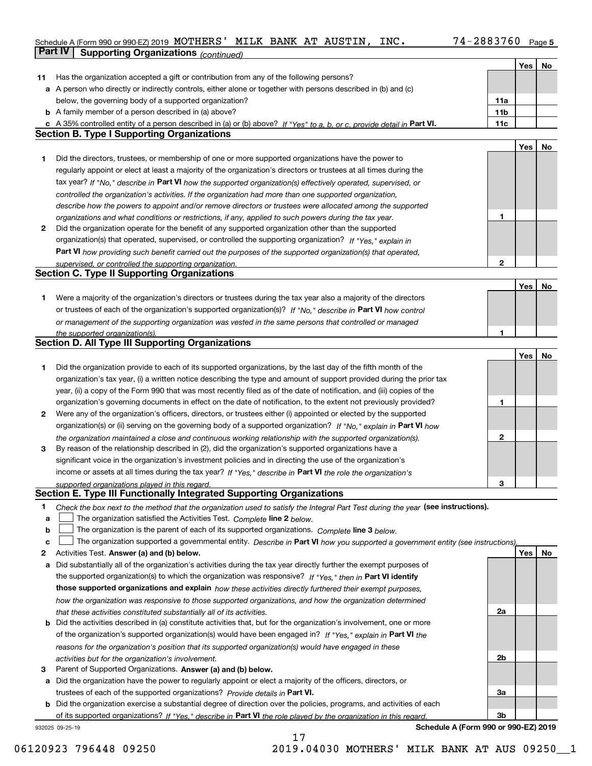# Schedule A (Form 990 or 990-EZ) 2019 MOTHERS' MILK BANK AT AUSTIN, INC.  $74-2883760$  Page 5 **Part IV Supporting Organizations** *(continued)*

|    |                                                                                                                                                                                                                                        |                 | Yes | No |
|----|----------------------------------------------------------------------------------------------------------------------------------------------------------------------------------------------------------------------------------------|-----------------|-----|----|
| 11 | Has the organization accepted a gift or contribution from any of the following persons?                                                                                                                                                |                 |     |    |
|    | a A person who directly or indirectly controls, either alone or together with persons described in (b) and (c)                                                                                                                         |                 |     |    |
|    | below, the governing body of a supported organization?                                                                                                                                                                                 | 11a             |     |    |
|    | <b>b</b> A family member of a person described in (a) above?                                                                                                                                                                           | 11 <sub>b</sub> |     |    |
|    | c A 35% controlled entity of a person described in (a) or (b) above? If "Yes" to a, b, or c, provide detail in Part VI.                                                                                                                | 11c             |     |    |
|    | <b>Section B. Type I Supporting Organizations</b>                                                                                                                                                                                      |                 |     |    |
|    |                                                                                                                                                                                                                                        |                 | Yes | No |
| 1  | Did the directors, trustees, or membership of one or more supported organizations have the power to                                                                                                                                    |                 |     |    |
|    | regularly appoint or elect at least a majority of the organization's directors or trustees at all times during the                                                                                                                     |                 |     |    |
|    | tax year? If "No," describe in Part VI how the supported organization(s) effectively operated, supervised, or                                                                                                                          |                 |     |    |
|    | controlled the organization's activities. If the organization had more than one supported organization,                                                                                                                                |                 |     |    |
|    | describe how the powers to appoint and/or remove directors or trustees were allocated among the supported                                                                                                                              |                 |     |    |
|    | organizations and what conditions or restrictions, if any, applied to such powers during the tax year.                                                                                                                                 | 1               |     |    |
| 2  | Did the organization operate for the benefit of any supported organization other than the supported                                                                                                                                    |                 |     |    |
|    | organization(s) that operated, supervised, or controlled the supporting organization? If "Yes," explain in                                                                                                                             |                 |     |    |
|    | Part VI how providing such benefit carried out the purposes of the supported organization(s) that operated,                                                                                                                            |                 |     |    |
|    | supervised, or controlled the supporting organization.                                                                                                                                                                                 | $\mathbf{2}$    |     |    |
|    | <b>Section C. Type II Supporting Organizations</b>                                                                                                                                                                                     |                 |     |    |
|    |                                                                                                                                                                                                                                        |                 | Yes | No |
| 1. | Were a majority of the organization's directors or trustees during the tax year also a majority of the directors                                                                                                                       |                 |     |    |
|    | or trustees of each of the organization's supported organization(s)? If "No," describe in Part VI how control                                                                                                                          |                 |     |    |
|    | or management of the supporting organization was vested in the same persons that controlled or managed                                                                                                                                 |                 |     |    |
|    | the supported organization(s).<br><b>Section D. All Type III Supporting Organizations</b>                                                                                                                                              |                 |     |    |
|    |                                                                                                                                                                                                                                        |                 |     |    |
|    |                                                                                                                                                                                                                                        |                 | Yes | No |
| 1  | Did the organization provide to each of its supported organizations, by the last day of the fifth month of the                                                                                                                         |                 |     |    |
|    | organization's tax year, (i) a written notice describing the type and amount of support provided during the prior tax                                                                                                                  |                 |     |    |
|    | year, (ii) a copy of the Form 990 that was most recently filed as of the date of notification, and (iii) copies of the                                                                                                                 |                 |     |    |
|    | organization's governing documents in effect on the date of notification, to the extent not previously provided?                                                                                                                       | 1               |     |    |
| 2  | Were any of the organization's officers, directors, or trustees either (i) appointed or elected by the supported<br>organization(s) or (ii) serving on the governing body of a supported organization? If "No," explain in Part VI how |                 |     |    |
|    |                                                                                                                                                                                                                                        | 2               |     |    |
| 3  | the organization maintained a close and continuous working relationship with the supported organization(s).<br>By reason of the relationship described in (2), did the organization's supported organizations have a                   |                 |     |    |
|    | significant voice in the organization's investment policies and in directing the use of the organization's                                                                                                                             |                 |     |    |
|    | income or assets at all times during the tax year? If "Yes," describe in Part VI the role the organization's                                                                                                                           |                 |     |    |
|    | supported organizations played in this regard.                                                                                                                                                                                         | з               |     |    |
|    | Section E. Type III Functionally Integrated Supporting Organizations                                                                                                                                                                   |                 |     |    |
| 1  | Check the box next to the method that the organization used to satisfy the Integral Part Test during the year (see instructions).                                                                                                      |                 |     |    |
| a  | The organization satisfied the Activities Test. Complete line 2 below.                                                                                                                                                                 |                 |     |    |
| b  | The organization is the parent of each of its supported organizations. Complete line 3 below.                                                                                                                                          |                 |     |    |
| c  | The organization supported a governmental entity. Describe in Part VI how you supported a government entity (see instructions),                                                                                                        |                 |     |    |
| 2  | Activities Test. Answer (a) and (b) below.                                                                                                                                                                                             |                 | Yes | No |
| а  | Did substantially all of the organization's activities during the tax year directly further the exempt purposes of                                                                                                                     |                 |     |    |
|    | the supported organization(s) to which the organization was responsive? If "Yes," then in Part VI identify                                                                                                                             |                 |     |    |
|    | those supported organizations and explain how these activities directly furthered their exempt purposes,                                                                                                                               |                 |     |    |
|    | how the organization was responsive to those supported organizations, and how the organization determined                                                                                                                              |                 |     |    |
|    | that these activities constituted substantially all of its activities.                                                                                                                                                                 | 2a              |     |    |
|    | <b>b</b> Did the activities described in (a) constitute activities that, but for the organization's involvement, one or more                                                                                                           |                 |     |    |
|    | of the organization's supported organization(s) would have been engaged in? If "Yes," explain in Part VI the                                                                                                                           |                 |     |    |
|    | reasons for the organization's position that its supported organization(s) would have engaged in these                                                                                                                                 |                 |     |    |
|    | activities but for the organization's involvement.                                                                                                                                                                                     | 2b              |     |    |
| з  | Parent of Supported Organizations. Answer (a) and (b) below.                                                                                                                                                                           |                 |     |    |
| а  | Did the organization have the power to regularly appoint or elect a majority of the officers, directors, or                                                                                                                            |                 |     |    |
|    | trustees of each of the supported organizations? Provide details in Part VI.                                                                                                                                                           | За              |     |    |
|    | <b>b</b> Did the organization exercise a substantial degree of direction over the policies, programs, and activities of each                                                                                                           |                 |     |    |
|    | of its supported organizations? If "Yes." describe in Part VI the role played by the organization in this regard.                                                                                                                      | 3b              |     |    |

932025 09-25-19

**Schedule A (Form 990 or 990-EZ) 2019**

17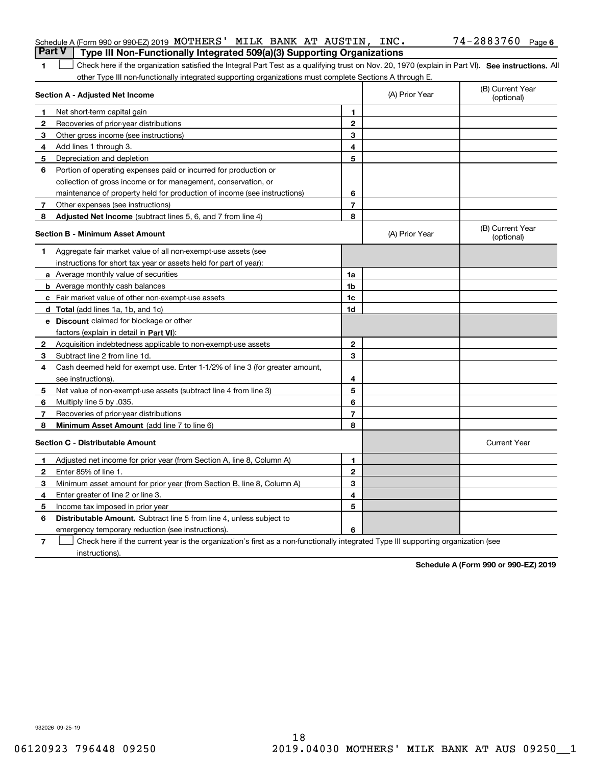| <b>Part V</b>   Type III Non-Functionally Integrated 509(a)(3) Supporting Organizations |  |  |  |                       |  |
|-----------------------------------------------------------------------------------------|--|--|--|-----------------------|--|
| Schedule A (Form 990 or 990-EZ) 2019 MOTHERS' MILK BANK AT AUSTIN, INC.                 |  |  |  | $74 - 2883760$ Page 6 |  |

1 **1** Check here if the organization satisfied the Integral Part Test as a qualifying trust on Nov. 20, 1970 (explain in Part VI). See instructions. All other Type III non-functionally integrated supporting organizations must complete Sections A through E.

|                | Section A - Adjusted Net Income                                                                                                   | (A) Prior Year | (B) Current Year<br>(optional) |                                |
|----------------|-----------------------------------------------------------------------------------------------------------------------------------|----------------|--------------------------------|--------------------------------|
| 1              | Net short-term capital gain                                                                                                       | 1              |                                |                                |
| 2              | Recoveries of prior-year distributions                                                                                            | $\overline{2}$ |                                |                                |
| 3              | Other gross income (see instructions)                                                                                             | 3              |                                |                                |
| 4              | Add lines 1 through 3.                                                                                                            | 4              |                                |                                |
| 5              | Depreciation and depletion                                                                                                        | 5              |                                |                                |
| 6              | Portion of operating expenses paid or incurred for production or                                                                  |                |                                |                                |
|                | collection of gross income or for management, conservation, or                                                                    |                |                                |                                |
|                | maintenance of property held for production of income (see instructions)                                                          | 6              |                                |                                |
| 7              | Other expenses (see instructions)                                                                                                 | 7              |                                |                                |
| 8              | <b>Adjusted Net Income</b> (subtract lines 5, 6, and 7 from line 4)                                                               | 8              |                                |                                |
|                | <b>Section B - Minimum Asset Amount</b>                                                                                           |                | (A) Prior Year                 | (B) Current Year<br>(optional) |
| 1              | Aggregate fair market value of all non-exempt-use assets (see                                                                     |                |                                |                                |
|                | instructions for short tax year or assets held for part of year):                                                                 |                |                                |                                |
|                | <b>a</b> Average monthly value of securities                                                                                      | 1a             |                                |                                |
|                | <b>b</b> Average monthly cash balances                                                                                            | 1b             |                                |                                |
|                | c Fair market value of other non-exempt-use assets                                                                                | 1c             |                                |                                |
|                | <b>d</b> Total (add lines 1a, 1b, and 1c)                                                                                         | 1d             |                                |                                |
|                | e Discount claimed for blockage or other                                                                                          |                |                                |                                |
|                | factors (explain in detail in Part VI):                                                                                           |                |                                |                                |
| $\mathbf{2}$   | Acquisition indebtedness applicable to non-exempt-use assets                                                                      | $\mathbf 2$    |                                |                                |
| 3              | Subtract line 2 from line 1d.                                                                                                     | 3              |                                |                                |
| 4              | Cash deemed held for exempt use. Enter 1-1/2% of line 3 (for greater amount,                                                      |                |                                |                                |
|                | see instructions).                                                                                                                | 4              |                                |                                |
| 5              | Net value of non-exempt-use assets (subtract line 4 from line 3)                                                                  | 5              |                                |                                |
| 6              | Multiply line 5 by .035.                                                                                                          | 6              |                                |                                |
| 7              | Recoveries of prior-year distributions                                                                                            | $\overline{7}$ |                                |                                |
| 8              | Minimum Asset Amount (add line 7 to line 6)                                                                                       | 8              |                                |                                |
|                | <b>Section C - Distributable Amount</b>                                                                                           |                |                                | <b>Current Year</b>            |
| 1              | Adjusted net income for prior year (from Section A, line 8, Column A)                                                             | $\mathbf{1}$   |                                |                                |
| 2              | Enter 85% of line 1.                                                                                                              | $\overline{2}$ |                                |                                |
| 3              | Minimum asset amount for prior year (from Section B, line 8, Column A)                                                            | 3              |                                |                                |
| 4              | Enter greater of line 2 or line 3.                                                                                                | 4              |                                |                                |
| 5              | Income tax imposed in prior year                                                                                                  | 5              |                                |                                |
| 6              | <b>Distributable Amount.</b> Subtract line 5 from line 4, unless subject to                                                       |                |                                |                                |
|                | emergency temporary reduction (see instructions).                                                                                 | 6              |                                |                                |
| $\overline{7}$ | Check here if the current year is the organization's first as a non-functionally integrated Type III supporting organization (see |                |                                |                                |

instructions).

**Schedule A (Form 990 or 990-EZ) 2019**

932026 09-25-19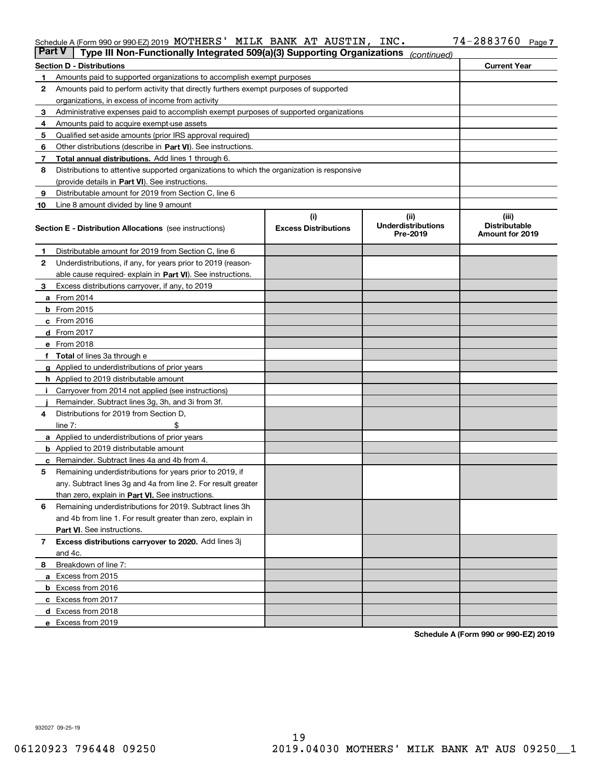### Schedule A (Form 990 or 990-EZ) 2019 MOTHERS MILK BANK AT AUSTIN,INC。 74-2883760 Page MOTHERS' MILK BANK AT AUSTIN, INC. 74-2883760

| <b>Part V</b> | Type III Non-Functionally Integrated 509(a)(3) Supporting Organizations                    |                                    | (continued)                        |                               |  |  |  |  |
|---------------|--------------------------------------------------------------------------------------------|------------------------------------|------------------------------------|-------------------------------|--|--|--|--|
|               | <b>Section D - Distributions</b>                                                           |                                    |                                    | <b>Current Year</b>           |  |  |  |  |
| 1.            | Amounts paid to supported organizations to accomplish exempt purposes                      |                                    |                                    |                               |  |  |  |  |
| 2             | Amounts paid to perform activity that directly furthers exempt purposes of supported       |                                    |                                    |                               |  |  |  |  |
|               | organizations, in excess of income from activity                                           |                                    |                                    |                               |  |  |  |  |
| 3             | Administrative expenses paid to accomplish exempt purposes of supported organizations      |                                    |                                    |                               |  |  |  |  |
| 4             | Amounts paid to acquire exempt-use assets                                                  |                                    |                                    |                               |  |  |  |  |
| 5             | Qualified set-aside amounts (prior IRS approval required)                                  |                                    |                                    |                               |  |  |  |  |
| 6             | Other distributions (describe in Part VI). See instructions.                               |                                    |                                    |                               |  |  |  |  |
| 7             | <b>Total annual distributions.</b> Add lines 1 through 6.                                  |                                    |                                    |                               |  |  |  |  |
| 8             | Distributions to attentive supported organizations to which the organization is responsive |                                    |                                    |                               |  |  |  |  |
|               | (provide details in Part VI). See instructions.                                            |                                    |                                    |                               |  |  |  |  |
| 9             | Distributable amount for 2019 from Section C, line 6                                       |                                    |                                    |                               |  |  |  |  |
| 10            | Line 8 amount divided by line 9 amount                                                     |                                    |                                    |                               |  |  |  |  |
|               | <b>Section E - Distribution Allocations</b> (see instructions)                             | (i)<br><b>Excess Distributions</b> | (iii)<br><b>Underdistributions</b> | (iii)<br><b>Distributable</b> |  |  |  |  |
|               |                                                                                            |                                    | Pre-2019                           | <b>Amount for 2019</b>        |  |  |  |  |
| 1.            | Distributable amount for 2019 from Section C, line 6                                       |                                    |                                    |                               |  |  |  |  |
| 2             | Underdistributions, if any, for years prior to 2019 (reason-                               |                                    |                                    |                               |  |  |  |  |
|               | able cause required- explain in Part VI). See instructions.                                |                                    |                                    |                               |  |  |  |  |
| 3             | Excess distributions carryover, if any, to 2019                                            |                                    |                                    |                               |  |  |  |  |
|               | <b>a</b> From 2014                                                                         |                                    |                                    |                               |  |  |  |  |
|               | <b>b</b> From $2015$                                                                       |                                    |                                    |                               |  |  |  |  |
|               | c From 2016                                                                                |                                    |                                    |                               |  |  |  |  |
|               | <b>d</b> From 2017                                                                         |                                    |                                    |                               |  |  |  |  |
|               | e From 2018                                                                                |                                    |                                    |                               |  |  |  |  |
|               | f Total of lines 3a through e                                                              |                                    |                                    |                               |  |  |  |  |
|               | <b>g</b> Applied to underdistributions of prior years                                      |                                    |                                    |                               |  |  |  |  |
|               | <b>h</b> Applied to 2019 distributable amount                                              |                                    |                                    |                               |  |  |  |  |
| л.            | Carryover from 2014 not applied (see instructions)                                         |                                    |                                    |                               |  |  |  |  |
|               | Remainder. Subtract lines 3g, 3h, and 3i from 3f.                                          |                                    |                                    |                               |  |  |  |  |
| 4             | Distributions for 2019 from Section D,                                                     |                                    |                                    |                               |  |  |  |  |
|               | line 7:                                                                                    |                                    |                                    |                               |  |  |  |  |
|               | <b>a</b> Applied to underdistributions of prior years                                      |                                    |                                    |                               |  |  |  |  |
|               | <b>b</b> Applied to 2019 distributable amount                                              |                                    |                                    |                               |  |  |  |  |
| c             | Remainder. Subtract lines 4a and 4b from 4.                                                |                                    |                                    |                               |  |  |  |  |
| 5             | Remaining underdistributions for years prior to 2019, if                                   |                                    |                                    |                               |  |  |  |  |
|               | any. Subtract lines 3g and 4a from line 2. For result greater                              |                                    |                                    |                               |  |  |  |  |
|               | than zero, explain in Part VI. See instructions.                                           |                                    |                                    |                               |  |  |  |  |
| 6             | Remaining underdistributions for 2019. Subtract lines 3h                                   |                                    |                                    |                               |  |  |  |  |
|               | and 4b from line 1. For result greater than zero, explain in                               |                                    |                                    |                               |  |  |  |  |
|               | Part VI. See instructions.                                                                 |                                    |                                    |                               |  |  |  |  |
| 7             | Excess distributions carryover to 2020. Add lines 3j                                       |                                    |                                    |                               |  |  |  |  |
|               | and 4c.                                                                                    |                                    |                                    |                               |  |  |  |  |
| 8             | Breakdown of line 7:                                                                       |                                    |                                    |                               |  |  |  |  |
|               | a Excess from 2015                                                                         |                                    |                                    |                               |  |  |  |  |
|               | <b>b</b> Excess from 2016                                                                  |                                    |                                    |                               |  |  |  |  |
|               | c Excess from 2017                                                                         |                                    |                                    |                               |  |  |  |  |
|               | d Excess from 2018                                                                         |                                    |                                    |                               |  |  |  |  |
|               | e Excess from 2019                                                                         |                                    |                                    |                               |  |  |  |  |

**Schedule A (Form 990 or 990-EZ) 2019**

932027 09-25-19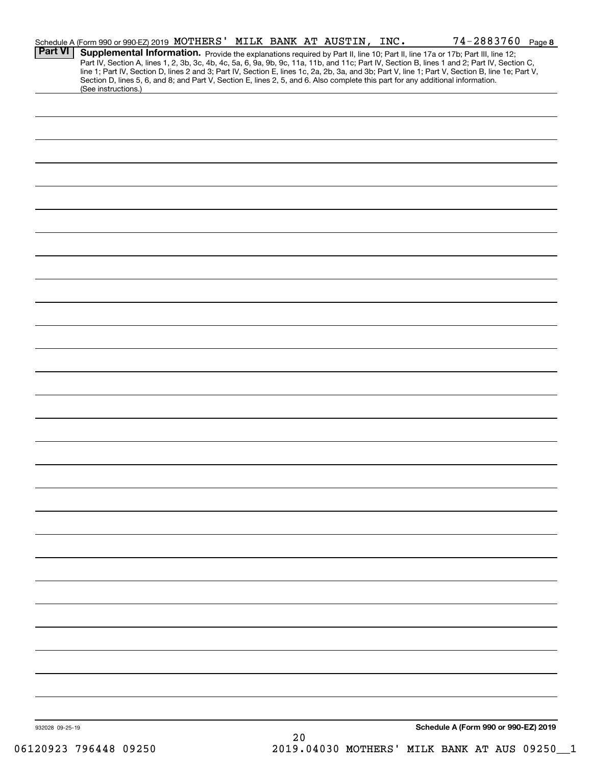|                 | Schedule A (Form 990 or 990-EZ) 2019 MOTHERS' MILK BANK AT AUSTIN, INC. |  |    |  | $74 - 2883760$ Page 8                                                                                                                                                                                                                                                                                                                                                                                                                                                                                                                                                |
|-----------------|-------------------------------------------------------------------------|--|----|--|----------------------------------------------------------------------------------------------------------------------------------------------------------------------------------------------------------------------------------------------------------------------------------------------------------------------------------------------------------------------------------------------------------------------------------------------------------------------------------------------------------------------------------------------------------------------|
| <b>Part VI</b>  | (See instructions.)                                                     |  |    |  | Supplemental Information. Provide the explanations required by Part II, line 10; Part II, line 17a or 17b; Part III, line 12;<br>Part IV, Section A, lines 1, 2, 3b, 3c, 4b, 4c, 5a, 6, 9a, 9b, 9c, 11a, 11b, and 11c; Part IV, Section B, lines 1 and 2; Part IV, Section C,<br>line 1; Part IV, Section D, lines 2 and 3; Part IV, Section E, lines 1c, 2a, 2b, 3a, and 3b; Part V, line 1; Part V, Section B, line 1e; Part V,<br>Section D, lines 5, 6, and 8; and Part V, Section E, lines 2, 5, and 6. Also complete this part for any additional information. |
|                 |                                                                         |  |    |  |                                                                                                                                                                                                                                                                                                                                                                                                                                                                                                                                                                      |
|                 |                                                                         |  |    |  |                                                                                                                                                                                                                                                                                                                                                                                                                                                                                                                                                                      |
|                 |                                                                         |  |    |  |                                                                                                                                                                                                                                                                                                                                                                                                                                                                                                                                                                      |
|                 |                                                                         |  |    |  |                                                                                                                                                                                                                                                                                                                                                                                                                                                                                                                                                                      |
|                 |                                                                         |  |    |  |                                                                                                                                                                                                                                                                                                                                                                                                                                                                                                                                                                      |
|                 |                                                                         |  |    |  |                                                                                                                                                                                                                                                                                                                                                                                                                                                                                                                                                                      |
|                 |                                                                         |  |    |  |                                                                                                                                                                                                                                                                                                                                                                                                                                                                                                                                                                      |
|                 |                                                                         |  |    |  |                                                                                                                                                                                                                                                                                                                                                                                                                                                                                                                                                                      |
|                 |                                                                         |  |    |  |                                                                                                                                                                                                                                                                                                                                                                                                                                                                                                                                                                      |
|                 |                                                                         |  |    |  |                                                                                                                                                                                                                                                                                                                                                                                                                                                                                                                                                                      |
|                 |                                                                         |  |    |  |                                                                                                                                                                                                                                                                                                                                                                                                                                                                                                                                                                      |
|                 |                                                                         |  |    |  |                                                                                                                                                                                                                                                                                                                                                                                                                                                                                                                                                                      |
|                 |                                                                         |  |    |  |                                                                                                                                                                                                                                                                                                                                                                                                                                                                                                                                                                      |
|                 |                                                                         |  |    |  |                                                                                                                                                                                                                                                                                                                                                                                                                                                                                                                                                                      |
|                 |                                                                         |  |    |  |                                                                                                                                                                                                                                                                                                                                                                                                                                                                                                                                                                      |
|                 |                                                                         |  |    |  |                                                                                                                                                                                                                                                                                                                                                                                                                                                                                                                                                                      |
|                 |                                                                         |  |    |  |                                                                                                                                                                                                                                                                                                                                                                                                                                                                                                                                                                      |
|                 |                                                                         |  |    |  |                                                                                                                                                                                                                                                                                                                                                                                                                                                                                                                                                                      |
|                 |                                                                         |  |    |  |                                                                                                                                                                                                                                                                                                                                                                                                                                                                                                                                                                      |
|                 |                                                                         |  |    |  |                                                                                                                                                                                                                                                                                                                                                                                                                                                                                                                                                                      |
|                 |                                                                         |  |    |  |                                                                                                                                                                                                                                                                                                                                                                                                                                                                                                                                                                      |
|                 |                                                                         |  |    |  |                                                                                                                                                                                                                                                                                                                                                                                                                                                                                                                                                                      |
|                 |                                                                         |  |    |  |                                                                                                                                                                                                                                                                                                                                                                                                                                                                                                                                                                      |
|                 |                                                                         |  |    |  |                                                                                                                                                                                                                                                                                                                                                                                                                                                                                                                                                                      |
|                 |                                                                         |  |    |  |                                                                                                                                                                                                                                                                                                                                                                                                                                                                                                                                                                      |
|                 |                                                                         |  |    |  |                                                                                                                                                                                                                                                                                                                                                                                                                                                                                                                                                                      |
|                 |                                                                         |  |    |  |                                                                                                                                                                                                                                                                                                                                                                                                                                                                                                                                                                      |
|                 |                                                                         |  |    |  |                                                                                                                                                                                                                                                                                                                                                                                                                                                                                                                                                                      |
|                 |                                                                         |  |    |  |                                                                                                                                                                                                                                                                                                                                                                                                                                                                                                                                                                      |
|                 |                                                                         |  |    |  |                                                                                                                                                                                                                                                                                                                                                                                                                                                                                                                                                                      |
|                 |                                                                         |  |    |  |                                                                                                                                                                                                                                                                                                                                                                                                                                                                                                                                                                      |
| 932028 09-25-19 |                                                                         |  | 20 |  | Schedule A (Form 990 or 990-EZ) 2019                                                                                                                                                                                                                                                                                                                                                                                                                                                                                                                                 |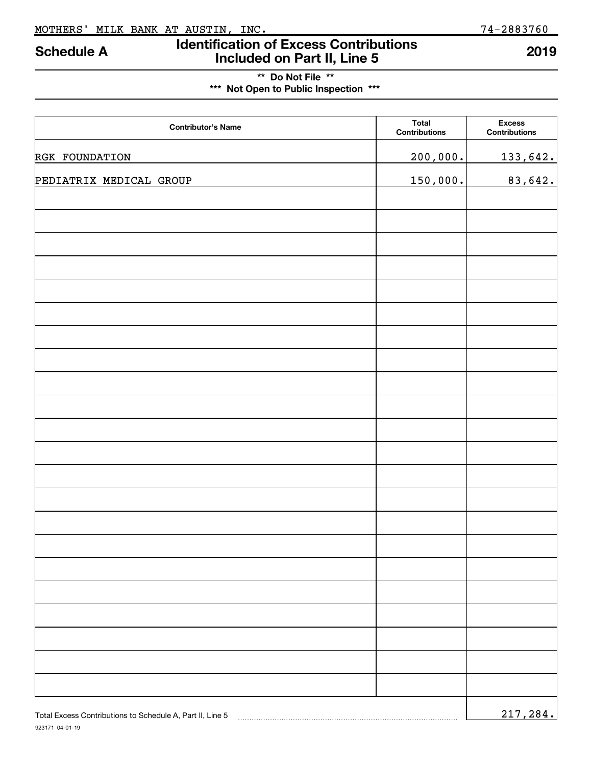# **Identification of Excess Contributions IDENTIFY Schedule A IDENTIFY Schedule A Included on Part II, Line 5 2019**

# **\*\* Do Not File \*\* \*\*\* Not Open to Public Inspection \*\*\***

| <b>Contributor's Name</b>                                 | <b>Total</b><br><b>Contributions</b> | <b>Excess</b><br><b>Contributions</b> |  |  |
|-----------------------------------------------------------|--------------------------------------|---------------------------------------|--|--|
| RGK FOUNDATION                                            | 200,000.                             | 133,642.                              |  |  |
| PEDIATRIX MEDICAL GROUP                                   | 150,000.                             | 83,642.                               |  |  |
|                                                           |                                      |                                       |  |  |
|                                                           |                                      |                                       |  |  |
|                                                           |                                      |                                       |  |  |
|                                                           |                                      |                                       |  |  |
|                                                           |                                      |                                       |  |  |
|                                                           |                                      |                                       |  |  |
|                                                           |                                      |                                       |  |  |
|                                                           |                                      |                                       |  |  |
|                                                           |                                      |                                       |  |  |
|                                                           |                                      |                                       |  |  |
|                                                           |                                      |                                       |  |  |
|                                                           |                                      |                                       |  |  |
|                                                           |                                      |                                       |  |  |
|                                                           |                                      |                                       |  |  |
|                                                           |                                      |                                       |  |  |
|                                                           |                                      |                                       |  |  |
|                                                           |                                      |                                       |  |  |
|                                                           |                                      |                                       |  |  |
|                                                           |                                      |                                       |  |  |
|                                                           |                                      |                                       |  |  |
|                                                           |                                      |                                       |  |  |
|                                                           |                                      |                                       |  |  |
| Total Excess Contributions to Schedule A, Part II, Line 5 |                                      | 217, 284.                             |  |  |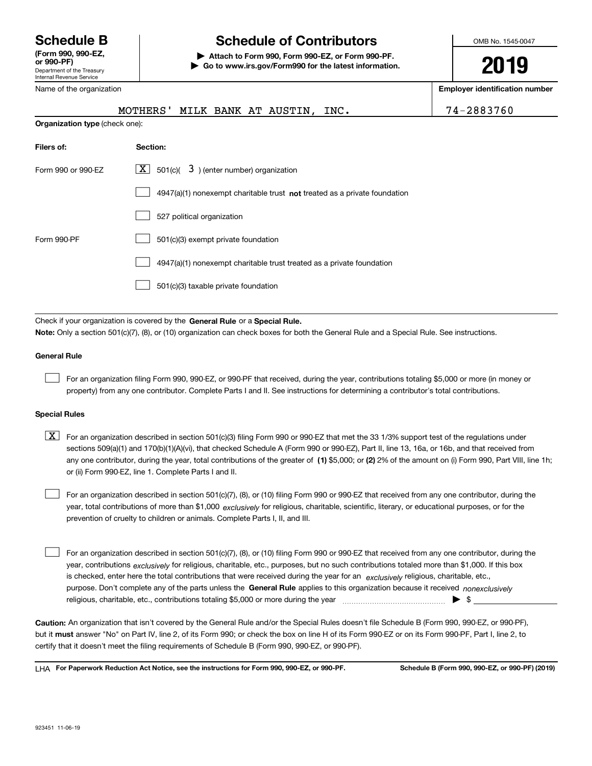Department of the Treasury Internal Revenue Service **(Form 990, 990-EZ,** Name of the organization

# **Schedule B Schedule of Contributors**

**or 990-PF) | Attach to Form 990, Form 990-EZ, or Form 990-PF. | Go to www.irs.gov/Form990 for the latest information.** OMB No. 1545-0047

**2019**

**Employer identification number**

|                                       | MOTHERS' MILK BANK AT AUSTIN, INC.                                        | 74-2883760 |  |  |  |  |  |  |  |
|---------------------------------------|---------------------------------------------------------------------------|------------|--|--|--|--|--|--|--|
| <b>Organization type (check one):</b> |                                                                           |            |  |  |  |  |  |  |  |
| Filers of:                            | Section:                                                                  |            |  |  |  |  |  |  |  |
| Form 990 or 990-EZ                    | $\lfloor x \rfloor$ 501(c)( 3) (enter number) organization                |            |  |  |  |  |  |  |  |
|                                       | 4947(a)(1) nonexempt charitable trust not treated as a private foundation |            |  |  |  |  |  |  |  |
|                                       | 527 political organization                                                |            |  |  |  |  |  |  |  |
| Form 990-PF                           | 501(c)(3) exempt private foundation                                       |            |  |  |  |  |  |  |  |
|                                       | 4947(a)(1) nonexempt charitable trust treated as a private foundation     |            |  |  |  |  |  |  |  |
|                                       | 501(c)(3) taxable private foundation                                      |            |  |  |  |  |  |  |  |
|                                       |                                                                           |            |  |  |  |  |  |  |  |

Check if your organization is covered by the General Rule or a Special Rule. **Note:**  Only a section 501(c)(7), (8), or (10) organization can check boxes for both the General Rule and a Special Rule. See instructions.

## **General Rule**

 $\begin{array}{c} \hline \end{array}$ 

For an organization filing Form 990, 990-EZ, or 990-PF that received, during the year, contributions totaling \$5,000 or more (in money or property) from any one contributor. Complete Parts I and II. See instructions for determining a contributor's total contributions.

### **Special Rules**

any one contributor, during the year, total contributions of the greater of  $\,$  (1) \$5,000; or (2) 2% of the amount on (i) Form 990, Part VIII, line 1h;  $\boxed{\textbf{X}}$  For an organization described in section 501(c)(3) filing Form 990 or 990-EZ that met the 33 1/3% support test of the regulations under sections 509(a)(1) and 170(b)(1)(A)(vi), that checked Schedule A (Form 990 or 990-EZ), Part II, line 13, 16a, or 16b, and that received from or (ii) Form 990-EZ, line 1. Complete Parts I and II.

year, total contributions of more than \$1,000 *exclusively* for religious, charitable, scientific, literary, or educational purposes, or for the For an organization described in section 501(c)(7), (8), or (10) filing Form 990 or 990-EZ that received from any one contributor, during the prevention of cruelty to children or animals. Complete Parts I, II, and III.  $\begin{array}{c} \hline \end{array}$ 

purpose. Don't complete any of the parts unless the General Rule applies to this organization because it received *nonexclusively* year, contributions <sub>exclusively</sub> for religious, charitable, etc., purposes, but no such contributions totaled more than \$1,000. If this box is checked, enter here the total contributions that were received during the year for an *exclusively* religious, charitable, etc., For an organization described in section 501(c)(7), (8), or (10) filing Form 990 or 990-EZ that received from any one contributor, during the religious, charitable, etc., contributions totaling \$5,000 or more during the year  $\Box$ — $\Box$  =  $\Box$  $\begin{array}{c} \hline \end{array}$ 

**Caution:**  An organization that isn't covered by the General Rule and/or the Special Rules doesn't file Schedule B (Form 990, 990-EZ, or 990-PF),  **must** but it answer "No" on Part IV, line 2, of its Form 990; or check the box on line H of its Form 990-EZ or on its Form 990-PF, Part I, line 2, to certify that it doesn't meet the filing requirements of Schedule B (Form 990, 990-EZ, or 990-PF).

**For Paperwork Reduction Act Notice, see the instructions for Form 990, 990-EZ, or 990-PF. Schedule B (Form 990, 990-EZ, or 990-PF) (2019)** LHA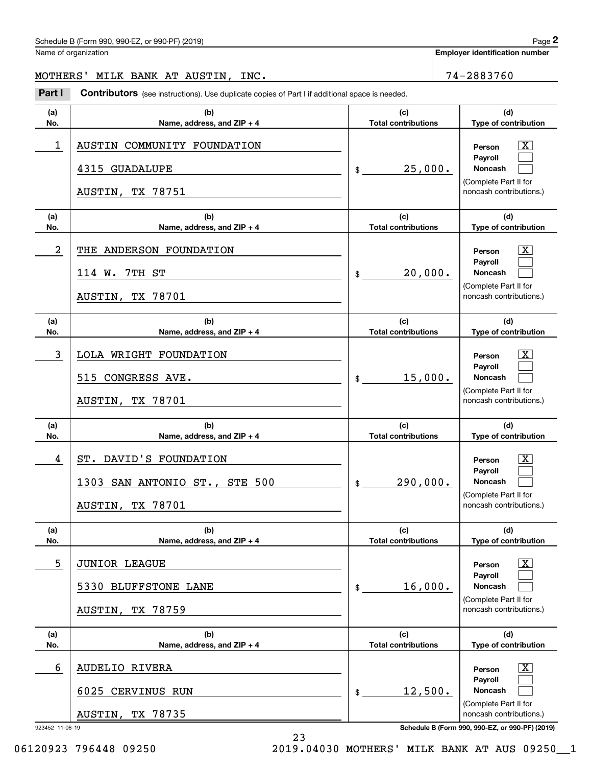# Schedule B (Form 990, 990-EZ, or 990-PF) (2019)

Name of organization

**Employer identification number**

# MOTHERS' MILK BANK AT AUSTIN, INC. 74-2883760

**Part I** Contributors (see instructions). Use duplicate copies of Part I if additional space is needed.

| (a) | (b)                                                                         | (c)                        | (d)                                                                                                         |
|-----|-----------------------------------------------------------------------------|----------------------------|-------------------------------------------------------------------------------------------------------------|
| No. | Name, address, and $ZIP + 4$                                                | <b>Total contributions</b> | Type of contribution                                                                                        |
| 1   | AUSTIN COMMUNITY FOUNDATION<br>4315 GUADALUPE<br>AUSTIN, TX 78751           | 25,000.<br>$\frac{1}{2}$   | x<br>Person<br><b>Payroll</b><br><b>Noncash</b><br>(Complete Part II for<br>noncash contributions.)         |
| (a) | (b)                                                                         | (c)                        | (d)                                                                                                         |
| No. | Name, address, and $ZIP + 4$                                                | <b>Total contributions</b> | Type of contribution                                                                                        |
| 2   | THE ANDERSON FOUNDATION<br>114 W. 7TH ST<br><b>AUSTIN, TX 78701</b>         | 20,000.<br>$\frac{1}{2}$   | x<br>Person<br><b>Payroll</b><br><b>Noncash</b><br>(Complete Part II for<br>noncash contributions.)         |
| (a) | (b)                                                                         | (c)                        | (d)                                                                                                         |
| No. | Name, address, and $ZIP + 4$                                                | <b>Total contributions</b> | Type of contribution                                                                                        |
| 3   | LOLA WRIGHT FOUNDATION<br>515 CONGRESS AVE.<br>AUSTIN, TX 78701             | 15,000.<br>$\mathbb{S}$    | x<br>Person<br><b>Payroll</b><br><b>Noncash</b><br>(Complete Part II for<br>noncash contributions.)         |
| (a) | (b)                                                                         | (c)                        | (d)                                                                                                         |
| No. | Name, address, and $ZIP + 4$                                                | <b>Total contributions</b> | Type of contribution                                                                                        |
| 4   | ST. DAVID'S FOUNDATION<br>1303 SAN ANTONIO ST., STE 500<br>AUSTIN, TX 78701 | 290,000.<br>$\mathsf{\$}$  | x<br>Person<br><b>Payroll</b><br><b>Noncash</b><br>(Complete Part II for<br>noncash contributions.)         |
| (a) | (b)                                                                         | (c)                        | (d)                                                                                                         |
| No. | Name, address, and $ZIP + 4$                                                | <b>Total contributions</b> | Type of contribution                                                                                        |
| 5   | <b>JUNIOR LEAGUE</b><br>5330 BLUFFSTONE LANE<br>AUSTIN, TX 78759            | 16,000.<br>$$^{\circ}$     | $\overline{\mathbf{X}}$<br>Person<br>Payroll<br>Noncash<br>(Complete Part II for<br>noncash contributions.) |
| (a) | (b)                                                                         | (c)                        | (d)                                                                                                         |
| No. | Name, address, and ZIP + 4                                                  | <b>Total contributions</b> | Type of contribution                                                                                        |
| 6   | AUDELIO RIVERA<br>CERVINUS RUN<br>6025<br><b>AUSTIN, TX 78735</b>           | 12,500.<br>$\frac{1}{2}$   | $\mathbf{X}$<br>Person<br>Payroll<br>Noncash<br>(Complete Part II for<br>noncash contributions.)            |

23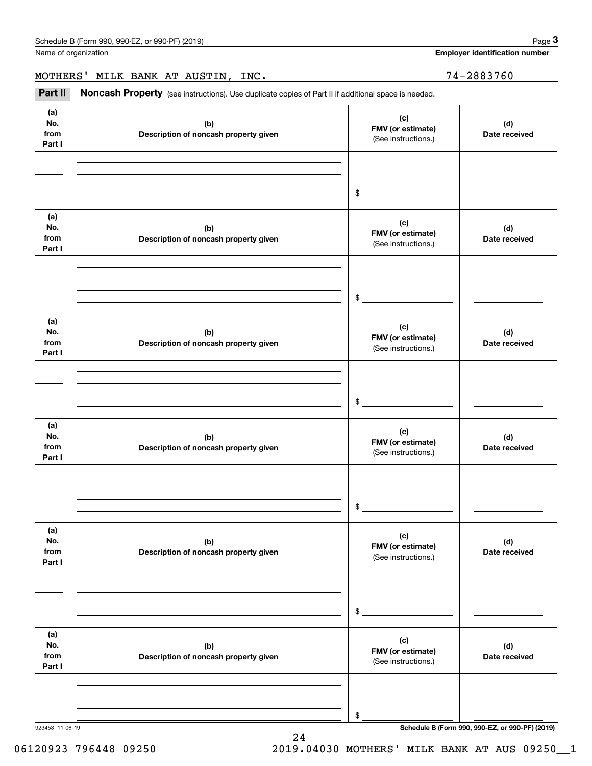**3**

**Employer identification number**

MOTHERS' MILK BANK AT AUSTIN, INC. 74-2883760

Part II Noncash Property (see instructions). Use duplicate copies of Part II if additional space is needed.

| (a)<br>No.<br>from<br>Part I | (b)<br>Description of noncash property given | (c)<br>FMV (or estimate)<br>(See instructions.) | (d)<br>Date received |
|------------------------------|----------------------------------------------|-------------------------------------------------|----------------------|
|                              |                                              |                                                 |                      |
|                              |                                              | \$                                              |                      |
| (a)<br>No.<br>from<br>Part I | (b)<br>Description of noncash property given | (c)<br>FMV (or estimate)<br>(See instructions.) | (d)<br>Date received |
|                              |                                              | $\frac{1}{2}$                                   |                      |
| (a)<br>No.<br>from<br>Part I | (b)<br>Description of noncash property given | (c)<br>FMV (or estimate)<br>(See instructions.) | (d)<br>Date received |
|                              |                                              | $\frac{1}{2}$                                   |                      |
| (a)<br>No.<br>from<br>Part I | (b)<br>Description of noncash property given | (c)<br>FMV (or estimate)<br>(See instructions.) | (d)<br>Date received |
|                              |                                              | $$\circ$$                                       |                      |
| (a)<br>No.<br>from<br>Part I | (b)<br>Description of noncash property given | (c)<br>FMV (or estimate)<br>(See instructions.) | (d)<br>Date received |
|                              |                                              | \$                                              |                      |
| (a)<br>No.<br>from<br>Part I | (b)<br>Description of noncash property given | (c)<br>FMV (or estimate)<br>(See instructions.) | (d)<br>Date received |
|                              |                                              |                                                 |                      |

24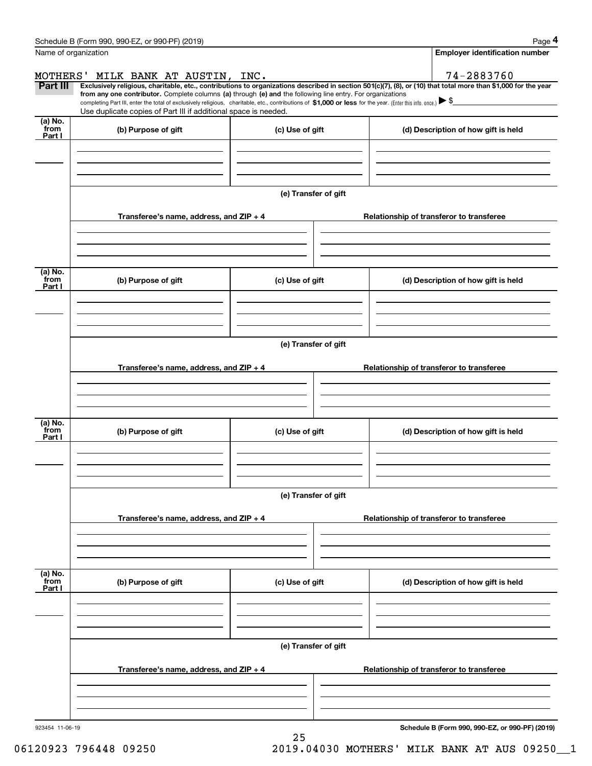|                           | Schedule B (Form 990, 990-EZ, or 990-PF) (2019)                                                                                                                                                                                                                              |                      |                                          | Page 4                                          |  |  |  |  |  |  |  |
|---------------------------|------------------------------------------------------------------------------------------------------------------------------------------------------------------------------------------------------------------------------------------------------------------------------|----------------------|------------------------------------------|-------------------------------------------------|--|--|--|--|--|--|--|
|                           | Name of organization                                                                                                                                                                                                                                                         |                      |                                          | <b>Employer identification number</b>           |  |  |  |  |  |  |  |
| <b>MOTHERS'</b>           | MILK BANK AT AUSTIN, INC.                                                                                                                                                                                                                                                    |                      |                                          | 74-2883760                                      |  |  |  |  |  |  |  |
| Part III                  | Exclusively religious, charitable, etc., contributions to organizations described in section 501(c)(7), (8), or (10) that total more than \$1,000 for the year<br>from any one contributor. Complete columns (a) through (e) and the following line entry. For organizations |                      |                                          |                                                 |  |  |  |  |  |  |  |
|                           | completing Part III, enter the total of exclusively religious, charitable, etc., contributions of \$1,000 or less for the year. (Enter this info. once.) $\triangleright$ \$                                                                                                 |                      |                                          |                                                 |  |  |  |  |  |  |  |
| (a) No.                   | Use duplicate copies of Part III if additional space is needed.                                                                                                                                                                                                              |                      |                                          |                                                 |  |  |  |  |  |  |  |
| from<br>Part I            | (b) Purpose of gift                                                                                                                                                                                                                                                          | (c) Use of gift      |                                          | (d) Description of how gift is held             |  |  |  |  |  |  |  |
|                           |                                                                                                                                                                                                                                                                              |                      |                                          |                                                 |  |  |  |  |  |  |  |
|                           |                                                                                                                                                                                                                                                                              |                      |                                          |                                                 |  |  |  |  |  |  |  |
|                           |                                                                                                                                                                                                                                                                              |                      |                                          |                                                 |  |  |  |  |  |  |  |
|                           |                                                                                                                                                                                                                                                                              | (e) Transfer of gift |                                          |                                                 |  |  |  |  |  |  |  |
|                           |                                                                                                                                                                                                                                                                              |                      |                                          |                                                 |  |  |  |  |  |  |  |
|                           | Transferee's name, address, and $ZIP + 4$                                                                                                                                                                                                                                    |                      | Relationship of transferor to transferee |                                                 |  |  |  |  |  |  |  |
|                           |                                                                                                                                                                                                                                                                              |                      |                                          |                                                 |  |  |  |  |  |  |  |
|                           |                                                                                                                                                                                                                                                                              |                      |                                          |                                                 |  |  |  |  |  |  |  |
| (a) No.                   |                                                                                                                                                                                                                                                                              |                      |                                          |                                                 |  |  |  |  |  |  |  |
| from<br>Part I            | (b) Purpose of gift                                                                                                                                                                                                                                                          | (c) Use of gift      |                                          | (d) Description of how gift is held             |  |  |  |  |  |  |  |
|                           |                                                                                                                                                                                                                                                                              |                      |                                          |                                                 |  |  |  |  |  |  |  |
|                           |                                                                                                                                                                                                                                                                              |                      |                                          |                                                 |  |  |  |  |  |  |  |
|                           |                                                                                                                                                                                                                                                                              |                      |                                          |                                                 |  |  |  |  |  |  |  |
|                           | (e) Transfer of gift                                                                                                                                                                                                                                                         |                      |                                          |                                                 |  |  |  |  |  |  |  |
|                           | Transferee's name, address, and $ZIP + 4$                                                                                                                                                                                                                                    |                      | Relationship of transferor to transferee |                                                 |  |  |  |  |  |  |  |
|                           |                                                                                                                                                                                                                                                                              |                      |                                          |                                                 |  |  |  |  |  |  |  |
|                           |                                                                                                                                                                                                                                                                              |                      |                                          |                                                 |  |  |  |  |  |  |  |
|                           |                                                                                                                                                                                                                                                                              |                      |                                          |                                                 |  |  |  |  |  |  |  |
| (a) No.<br>from           | (b) Purpose of gift                                                                                                                                                                                                                                                          | (c) Use of gift      |                                          | (d) Description of how gift is held             |  |  |  |  |  |  |  |
| Part I                    |                                                                                                                                                                                                                                                                              |                      |                                          |                                                 |  |  |  |  |  |  |  |
|                           |                                                                                                                                                                                                                                                                              |                      |                                          |                                                 |  |  |  |  |  |  |  |
|                           |                                                                                                                                                                                                                                                                              |                      |                                          |                                                 |  |  |  |  |  |  |  |
|                           |                                                                                                                                                                                                                                                                              | (e) Transfer of gift |                                          |                                                 |  |  |  |  |  |  |  |
|                           |                                                                                                                                                                                                                                                                              |                      |                                          |                                                 |  |  |  |  |  |  |  |
|                           | Transferee's name, address, and $ZIP + 4$                                                                                                                                                                                                                                    |                      | Relationship of transferor to transferee |                                                 |  |  |  |  |  |  |  |
|                           |                                                                                                                                                                                                                                                                              |                      |                                          |                                                 |  |  |  |  |  |  |  |
|                           |                                                                                                                                                                                                                                                                              |                      |                                          |                                                 |  |  |  |  |  |  |  |
|                           |                                                                                                                                                                                                                                                                              |                      |                                          |                                                 |  |  |  |  |  |  |  |
| (a) No.<br>from<br>Part I | (b) Purpose of gift                                                                                                                                                                                                                                                          | (c) Use of gift      |                                          | (d) Description of how gift is held             |  |  |  |  |  |  |  |
|                           |                                                                                                                                                                                                                                                                              |                      |                                          |                                                 |  |  |  |  |  |  |  |
|                           |                                                                                                                                                                                                                                                                              |                      |                                          |                                                 |  |  |  |  |  |  |  |
|                           |                                                                                                                                                                                                                                                                              |                      |                                          |                                                 |  |  |  |  |  |  |  |
|                           |                                                                                                                                                                                                                                                                              | (e) Transfer of gift |                                          |                                                 |  |  |  |  |  |  |  |
|                           |                                                                                                                                                                                                                                                                              |                      |                                          |                                                 |  |  |  |  |  |  |  |
|                           | Transferee's name, address, and ZIP + 4                                                                                                                                                                                                                                      |                      | Relationship of transferor to transferee |                                                 |  |  |  |  |  |  |  |
|                           |                                                                                                                                                                                                                                                                              |                      |                                          |                                                 |  |  |  |  |  |  |  |
|                           |                                                                                                                                                                                                                                                                              |                      |                                          |                                                 |  |  |  |  |  |  |  |
| 923454 11-06-19           |                                                                                                                                                                                                                                                                              |                      |                                          | Schedule B (Form 990, 990-EZ, or 990-PF) (2019) |  |  |  |  |  |  |  |
|                           |                                                                                                                                                                                                                                                                              | 25                   |                                          |                                                 |  |  |  |  |  |  |  |

06120923 796448 09250 2019.04030 MOTHERS' MILK BANK AT AUS 09250\_\_1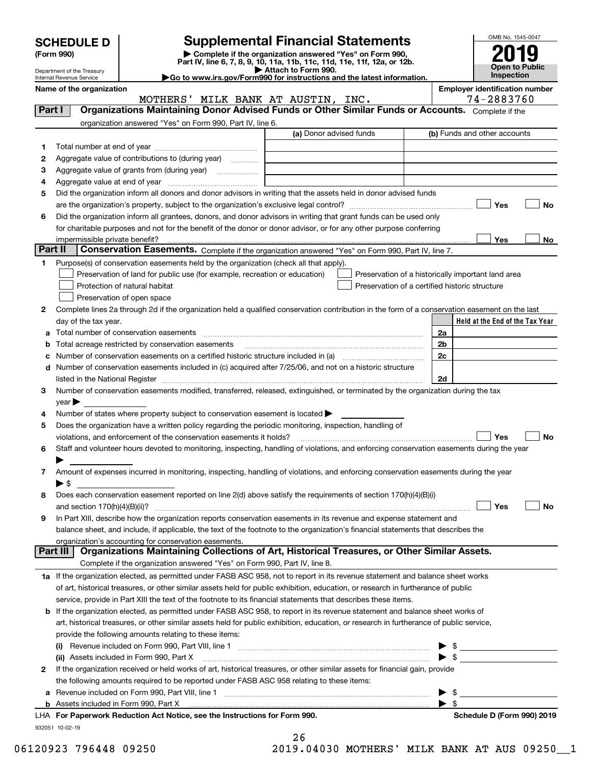|                                                                                                                           |                                                               |                                                                                                                                                                                                                                                                      |                                                                                                                       |                         |  |    | OMB No. 1545-0047                                  |
|---------------------------------------------------------------------------------------------------------------------------|---------------------------------------------------------------|----------------------------------------------------------------------------------------------------------------------------------------------------------------------------------------------------------------------------------------------------------------------|-----------------------------------------------------------------------------------------------------------------------|-------------------------|--|----|----------------------------------------------------|
| <b>Supplemental Financial Statements</b><br><b>SCHEDULE D</b><br>Complete if the organization answered "Yes" on Form 990, |                                                               |                                                                                                                                                                                                                                                                      |                                                                                                                       |                         |  |    |                                                    |
|                                                                                                                           | (Form 990)                                                    | Part IV, line 6, 7, 8, 9, 10, 11a, 11b, 11c, 11d, 11e, 11f, 12a, or 12b.                                                                                                                                                                                             |                                                                                                                       |                         |  |    |                                                    |
|                                                                                                                           | Department of the Treasury<br><b>Internal Revenue Service</b> | Go to www.irs.gov/Form990 for instructions and the latest information.                                                                                                                                                                                               | Attach to Form 990.                                                                                                   |                         |  |    | <b>Open to Public</b><br><b>Inspection</b>         |
|                                                                                                                           | Name of the organization                                      |                                                                                                                                                                                                                                                                      |                                                                                                                       |                         |  |    | <b>Employer identification number</b>              |
|                                                                                                                           |                                                               | MOTHERS' MILK BANK AT AUSTIN, INC.                                                                                                                                                                                                                                   |                                                                                                                       |                         |  |    | 74-2883760                                         |
| Part I                                                                                                                    |                                                               | Organizations Maintaining Donor Advised Funds or Other Similar Funds or Accounts. Complete if the                                                                                                                                                                    |                                                                                                                       |                         |  |    |                                                    |
|                                                                                                                           |                                                               | organization answered "Yes" on Form 990, Part IV, line 6.                                                                                                                                                                                                            |                                                                                                                       |                         |  |    |                                                    |
|                                                                                                                           |                                                               |                                                                                                                                                                                                                                                                      |                                                                                                                       | (a) Donor advised funds |  |    | (b) Funds and other accounts                       |
| 1                                                                                                                         |                                                               |                                                                                                                                                                                                                                                                      |                                                                                                                       |                         |  |    |                                                    |
| 2                                                                                                                         |                                                               | Aggregate value of contributions to (during year)                                                                                                                                                                                                                    |                                                                                                                       |                         |  |    |                                                    |
| з                                                                                                                         |                                                               |                                                                                                                                                                                                                                                                      | <u> 1989 - Johann Barn, mars ann an t-Amhainn an t-Amhainn an t-Amhainn an t-Amhainn an t-Amhainn an t-Amhainn an</u> |                         |  |    |                                                    |
| 4                                                                                                                         | Aggregate value at end of year                                |                                                                                                                                                                                                                                                                      |                                                                                                                       |                         |  |    |                                                    |
| 5                                                                                                                         |                                                               | Did the organization inform all donors and donor advisors in writing that the assets held in donor advised funds                                                                                                                                                     |                                                                                                                       |                         |  |    | Yes<br>No                                          |
| 6                                                                                                                         |                                                               | Did the organization inform all grantees, donors, and donor advisors in writing that grant funds can be used only                                                                                                                                                    |                                                                                                                       |                         |  |    |                                                    |
|                                                                                                                           |                                                               | for charitable purposes and not for the benefit of the donor or donor advisor, or for any other purpose conferring                                                                                                                                                   |                                                                                                                       |                         |  |    |                                                    |
|                                                                                                                           | impermissible private benefit?                                |                                                                                                                                                                                                                                                                      |                                                                                                                       |                         |  |    | <b>Yes</b><br>No                                   |
| Part II                                                                                                                   |                                                               | Conservation Easements. Complete if the organization answered "Yes" on Form 990, Part IV, line 7.                                                                                                                                                                    |                                                                                                                       |                         |  |    |                                                    |
| 1                                                                                                                         |                                                               | Purpose(s) of conservation easements held by the organization (check all that apply).                                                                                                                                                                                |                                                                                                                       |                         |  |    |                                                    |
|                                                                                                                           |                                                               | Preservation of land for public use (for example, recreation or education)                                                                                                                                                                                           |                                                                                                                       |                         |  |    | Preservation of a historically important land area |
|                                                                                                                           |                                                               | Protection of natural habitat                                                                                                                                                                                                                                        |                                                                                                                       |                         |  |    | Preservation of a certified historic structure     |
|                                                                                                                           |                                                               | Preservation of open space                                                                                                                                                                                                                                           |                                                                                                                       |                         |  |    |                                                    |
| 2                                                                                                                         |                                                               | Complete lines 2a through 2d if the organization held a qualified conservation contribution in the form of a conservation easement on the last                                                                                                                       |                                                                                                                       |                         |  |    |                                                    |
|                                                                                                                           | day of the tax year.                                          |                                                                                                                                                                                                                                                                      |                                                                                                                       |                         |  |    | Held at the End of the Tax Year                    |
| a                                                                                                                         |                                                               | Total number of conservation easements                                                                                                                                                                                                                               |                                                                                                                       |                         |  | 2a |                                                    |
| b                                                                                                                         |                                                               | Total acreage restricted by conservation easements                                                                                                                                                                                                                   |                                                                                                                       |                         |  | 2b |                                                    |
| c                                                                                                                         |                                                               |                                                                                                                                                                                                                                                                      |                                                                                                                       |                         |  | 2c |                                                    |
| d                                                                                                                         |                                                               | Number of conservation easements included in (c) acquired after 7/25/06, and not on a historic structure                                                                                                                                                             |                                                                                                                       |                         |  |    |                                                    |
|                                                                                                                           |                                                               | listed in the National Register [111] Marshall Register [11] Marshall Register [11] Marshall Register [11] Marshall Register [11] Marshall Register [11] Marshall Register [11] Marshall Register [11] Marshall Register [11]                                        |                                                                                                                       |                         |  | 2d |                                                    |
| З.                                                                                                                        | $year \triangleright$                                         | Number of conservation easements modified, transferred, released, extinguished, or terminated by the organization during the tax                                                                                                                                     |                                                                                                                       |                         |  |    |                                                    |
| 4                                                                                                                         |                                                               | Number of states where property subject to conservation easement is located                                                                                                                                                                                          |                                                                                                                       |                         |  |    |                                                    |
| 5                                                                                                                         |                                                               | Does the organization have a written policy regarding the periodic monitoring, inspection, handling of                                                                                                                                                               |                                                                                                                       |                         |  |    |                                                    |
|                                                                                                                           |                                                               | violations, and enforcement of the conservation easements it holds?                                                                                                                                                                                                  |                                                                                                                       |                         |  |    | Yes<br>No                                          |
| 6                                                                                                                         |                                                               | Staff and volunteer hours devoted to monitoring, inspecting, handling of violations, and enforcing conservation easements during the year                                                                                                                            |                                                                                                                       |                         |  |    |                                                    |
|                                                                                                                           |                                                               |                                                                                                                                                                                                                                                                      |                                                                                                                       |                         |  |    |                                                    |
| 7                                                                                                                         |                                                               | Amount of expenses incurred in monitoring, inspecting, handling of violations, and enforcing conservation easements during the year                                                                                                                                  |                                                                                                                       |                         |  |    |                                                    |
|                                                                                                                           | $\blacktriangleright$ \$                                      |                                                                                                                                                                                                                                                                      |                                                                                                                       |                         |  |    |                                                    |
| 8                                                                                                                         |                                                               | Does each conservation easement reported on line 2(d) above satisfy the requirements of section 170(h)(4)(B)(i)                                                                                                                                                      |                                                                                                                       |                         |  |    |                                                    |
|                                                                                                                           | and section $170(h)(4)(B)(ii)$ ?                              |                                                                                                                                                                                                                                                                      |                                                                                                                       |                         |  |    | Yes<br>No                                          |
| 9                                                                                                                         |                                                               | In Part XIII, describe how the organization reports conservation easements in its revenue and expense statement and                                                                                                                                                  |                                                                                                                       |                         |  |    |                                                    |
|                                                                                                                           |                                                               | balance sheet, and include, if applicable, the text of the footnote to the organization's financial statements that describes the                                                                                                                                    |                                                                                                                       |                         |  |    |                                                    |
|                                                                                                                           |                                                               | organization's accounting for conservation easements.                                                                                                                                                                                                                |                                                                                                                       |                         |  |    |                                                    |
|                                                                                                                           | Part III                                                      | Organizations Maintaining Collections of Art, Historical Treasures, or Other Similar Assets.<br>Complete if the organization answered "Yes" on Form 990, Part IV, line 8.                                                                                            |                                                                                                                       |                         |  |    |                                                    |
|                                                                                                                           |                                                               |                                                                                                                                                                                                                                                                      |                                                                                                                       |                         |  |    |                                                    |
|                                                                                                                           |                                                               | 1a If the organization elected, as permitted under FASB ASC 958, not to report in its revenue statement and balance sheet works<br>of art, historical treasures, or other similar assets held for public exhibition, education, or research in furtherance of public |                                                                                                                       |                         |  |    |                                                    |
|                                                                                                                           |                                                               | service, provide in Part XIII the text of the footnote to its financial statements that describes these items.                                                                                                                                                       |                                                                                                                       |                         |  |    |                                                    |
| b                                                                                                                         |                                                               | If the organization elected, as permitted under FASB ASC 958, to report in its revenue statement and balance sheet works of                                                                                                                                          |                                                                                                                       |                         |  |    |                                                    |
|                                                                                                                           |                                                               | art, historical treasures, or other similar assets held for public exhibition, education, or research in furtherance of public service,                                                                                                                              |                                                                                                                       |                         |  |    |                                                    |
|                                                                                                                           |                                                               | provide the following amounts relating to these items:                                                                                                                                                                                                               |                                                                                                                       |                         |  |    |                                                    |
|                                                                                                                           |                                                               |                                                                                                                                                                                                                                                                      |                                                                                                                       |                         |  |    |                                                    |
|                                                                                                                           |                                                               | (ii) Assets included in Form 990, Part X                                                                                                                                                                                                                             |                                                                                                                       |                         |  |    |                                                    |
| 2                                                                                                                         |                                                               | If the organization received or held works of art, historical treasures, or other similar assets for financial gain, provide                                                                                                                                         |                                                                                                                       |                         |  |    |                                                    |
|                                                                                                                           |                                                               | the following amounts required to be reported under FASB ASC 958 relating to these items:                                                                                                                                                                            |                                                                                                                       |                         |  |    |                                                    |

**a** Revenue included on Form 990, Part VIII, line 1 ~~~~~~~~~~~~~~~~~~~~~~~~~~~~~~ | \$ **b** Assets included in Form 990, Part X **For Paperwork Reduction Act Notice, see the Instructions for Form 990. Schedule D (Form 990) 2019** LHA | \$

932051 10-02-19

26

06120923 796448 09250 2019.04030 MOTHERS' MILK BANK AT AUS 09250\_\_1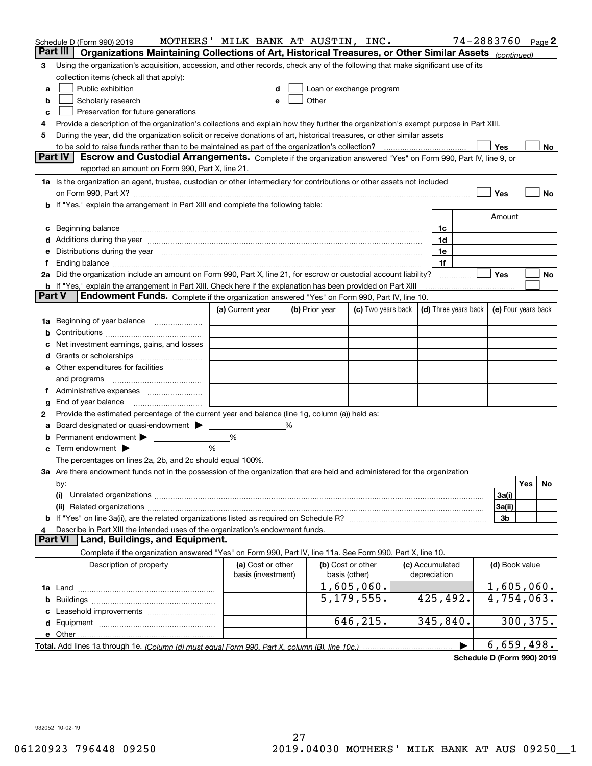|               | Schedule D (Form 990) 2019                                                                                                                                                                                                    | MOTHERS' MILK BANK AT AUSTIN, INC.      |   |                |                                                                                                                                                                                                                               |                                 |   | 74-2883760                 | Page $2$  |    |
|---------------|-------------------------------------------------------------------------------------------------------------------------------------------------------------------------------------------------------------------------------|-----------------------------------------|---|----------------|-------------------------------------------------------------------------------------------------------------------------------------------------------------------------------------------------------------------------------|---------------------------------|---|----------------------------|-----------|----|
|               | Part III<br>Organizations Maintaining Collections of Art, Historical Treasures, or Other Similar Assets (continued)                                                                                                           |                                         |   |                |                                                                                                                                                                                                                               |                                 |   |                            |           |    |
| 3             | Using the organization's acquisition, accession, and other records, check any of the following that make significant use of its                                                                                               |                                         |   |                |                                                                                                                                                                                                                               |                                 |   |                            |           |    |
|               | collection items (check all that apply):                                                                                                                                                                                      |                                         |   |                |                                                                                                                                                                                                                               |                                 |   |                            |           |    |
| a             | Public exhibition                                                                                                                                                                                                             |                                         |   |                | Loan or exchange program                                                                                                                                                                                                      |                                 |   |                            |           |    |
| b             | Scholarly research                                                                                                                                                                                                            |                                         |   |                | Other and the contract of the contract of the contract of the contract of the contract of the contract of the contract of the contract of the contract of the contract of the contract of the contract of the contract of the |                                 |   |                            |           |    |
| с             | Preservation for future generations                                                                                                                                                                                           |                                         |   |                |                                                                                                                                                                                                                               |                                 |   |                            |           |    |
| 4             | Provide a description of the organization's collections and explain how they further the organization's exempt purpose in Part XIII.                                                                                          |                                         |   |                |                                                                                                                                                                                                                               |                                 |   |                            |           |    |
| 5             | During the year, did the organization solicit or receive donations of art, historical treasures, or other similar assets                                                                                                      |                                         |   |                |                                                                                                                                                                                                                               |                                 |   |                            |           |    |
|               | to be sold to raise funds rather than to be maintained as part of the organization's collection?                                                                                                                              |                                         |   |                |                                                                                                                                                                                                                               |                                 |   | Yes                        |           | No |
|               | Escrow and Custodial Arrangements. Complete if the organization answered "Yes" on Form 990, Part IV, line 9, or<br><b>Part IV</b><br>reported an amount on Form 990, Part X, line 21.                                         |                                         |   |                |                                                                                                                                                                                                                               |                                 |   |                            |           |    |
|               |                                                                                                                                                                                                                               |                                         |   |                |                                                                                                                                                                                                                               |                                 |   |                            |           |    |
|               | 1a Is the organization an agent, trustee, custodian or other intermediary for contributions or other assets not included                                                                                                      |                                         |   |                |                                                                                                                                                                                                                               |                                 |   |                            |           |    |
|               | on Form 990, Part X? [11] matter contracts and contracts and contracts are contracted as a form 990, Part X?<br><b>b</b> If "Yes," explain the arrangement in Part XIII and complete the following table:                     |                                         |   |                |                                                                                                                                                                                                                               |                                 |   | Yes                        |           | No |
|               |                                                                                                                                                                                                                               |                                         |   |                |                                                                                                                                                                                                                               |                                 |   | Amount                     |           |    |
| c             | Beginning balance <u>www.marent.com married was contracted</u> and the contracted and the contracted and the contracted                                                                                                       |                                         |   |                |                                                                                                                                                                                                                               | 1c                              |   |                            |           |    |
|               | d Additions during the year manufactured and an according to Additions during the year manufactured and according the year manufactured and according the year manufactured and according the year manufactured and according |                                         |   |                |                                                                                                                                                                                                                               | 1d                              |   |                            |           |    |
|               | e Distributions during the year manufactured and an according to the year manufactured and the year manufactur                                                                                                                |                                         |   |                |                                                                                                                                                                                                                               | 1e                              |   |                            |           |    |
|               |                                                                                                                                                                                                                               |                                         |   |                |                                                                                                                                                                                                                               | 1f                              |   |                            |           |    |
|               | 2a Did the organization include an amount on Form 990, Part X, line 21, for escrow or custodial account liability?                                                                                                            |                                         |   |                |                                                                                                                                                                                                                               |                                 | . | Yes                        |           | No |
|               | <b>b</b> If "Yes," explain the arrangement in Part XIII. Check here if the explanation has been provided on Part XIII                                                                                                         |                                         |   |                |                                                                                                                                                                                                                               |                                 |   |                            |           |    |
| <b>Part V</b> | Endowment Funds. Complete if the organization answered "Yes" on Form 990, Part IV, line 10.                                                                                                                                   |                                         |   |                |                                                                                                                                                                                                                               |                                 |   |                            |           |    |
|               |                                                                                                                                                                                                                               | (a) Current year                        |   | (b) Prior year | (c) Two years back $\vert$ (d) Three years back $\vert$                                                                                                                                                                       |                                 |   | (e) Four years back        |           |    |
|               | 1a Beginning of year balance                                                                                                                                                                                                  |                                         |   |                |                                                                                                                                                                                                                               |                                 |   |                            |           |    |
| b             |                                                                                                                                                                                                                               |                                         |   |                |                                                                                                                                                                                                                               |                                 |   |                            |           |    |
|               | Net investment earnings, gains, and losses                                                                                                                                                                                    |                                         |   |                |                                                                                                                                                                                                                               |                                 |   |                            |           |    |
|               |                                                                                                                                                                                                                               |                                         |   |                |                                                                                                                                                                                                                               |                                 |   |                            |           |    |
|               | e Other expenditures for facilities                                                                                                                                                                                           |                                         |   |                |                                                                                                                                                                                                                               |                                 |   |                            |           |    |
|               |                                                                                                                                                                                                                               |                                         |   |                |                                                                                                                                                                                                                               |                                 |   |                            |           |    |
|               | f Administrative expenses                                                                                                                                                                                                     |                                         |   |                |                                                                                                                                                                                                                               |                                 |   |                            |           |    |
| g             | End of year balance <i>manually contained</i>                                                                                                                                                                                 |                                         |   |                |                                                                                                                                                                                                                               |                                 |   |                            |           |    |
| 2             | Provide the estimated percentage of the current year end balance (line 1g, column (a)) held as:                                                                                                                               |                                         |   |                |                                                                                                                                                                                                                               |                                 |   |                            |           |    |
| а             | Board designated or quasi-endowment                                                                                                                                                                                           |                                         | % |                |                                                                                                                                                                                                                               |                                 |   |                            |           |    |
| b             | Permanent endowment >                                                                                                                                                                                                         | %                                       |   |                |                                                                                                                                                                                                                               |                                 |   |                            |           |    |
|               | <b>c</b> Term endowment $\blacktriangleright$                                                                                                                                                                                 | %                                       |   |                |                                                                                                                                                                                                                               |                                 |   |                            |           |    |
|               | The percentages on lines 2a, 2b, and 2c should equal 100%.                                                                                                                                                                    |                                         |   |                |                                                                                                                                                                                                                               |                                 |   |                            |           |    |
|               | 3a Are there endowment funds not in the possession of the organization that are held and administered for the organization                                                                                                    |                                         |   |                |                                                                                                                                                                                                                               |                                 |   |                            | Yes       | No |
|               | by:<br>(i)                                                                                                                                                                                                                    |                                         |   |                |                                                                                                                                                                                                                               |                                 |   | 3a(i)                      |           |    |
|               |                                                                                                                                                                                                                               |                                         |   |                |                                                                                                                                                                                                                               |                                 |   | 3a(ii)                     |           |    |
|               |                                                                                                                                                                                                                               |                                         |   |                |                                                                                                                                                                                                                               |                                 |   | 3b                         |           |    |
| 4             | Describe in Part XIII the intended uses of the organization's endowment funds.                                                                                                                                                |                                         |   |                |                                                                                                                                                                                                                               |                                 |   |                            |           |    |
|               | Land, Buildings, and Equipment.<br><b>Part VI</b>                                                                                                                                                                             |                                         |   |                |                                                                                                                                                                                                                               |                                 |   |                            |           |    |
|               | Complete if the organization answered "Yes" on Form 990, Part IV, line 11a. See Form 990, Part X, line 10.                                                                                                                    |                                         |   |                |                                                                                                                                                                                                                               |                                 |   |                            |           |    |
|               | Description of property                                                                                                                                                                                                       | (a) Cost or other<br>basis (investment) |   |                | (b) Cost or other<br>basis (other)                                                                                                                                                                                            | (c) Accumulated<br>depreciation |   | (d) Book value             |           |    |
|               |                                                                                                                                                                                                                               |                                         |   |                | 1,605,060.                                                                                                                                                                                                                    |                                 |   | 1,605,060.                 |           |    |
| b             |                                                                                                                                                                                                                               |                                         |   |                | 5, 179, 555.                                                                                                                                                                                                                  | 425,492.                        |   | $\overline{4}$ , 754, 063. |           |    |
|               |                                                                                                                                                                                                                               |                                         |   |                |                                                                                                                                                                                                                               |                                 |   |                            |           |    |
|               |                                                                                                                                                                                                                               |                                         |   |                | 646,215.                                                                                                                                                                                                                      | 345,840.                        |   |                            | 300, 375. |    |
|               |                                                                                                                                                                                                                               |                                         |   |                |                                                                                                                                                                                                                               |                                 |   |                            |           |    |
|               |                                                                                                                                                                                                                               |                                         |   |                |                                                                                                                                                                                                                               |                                 |   | 6,659,498.                 |           |    |

**Schedule D (Form 990) 2019**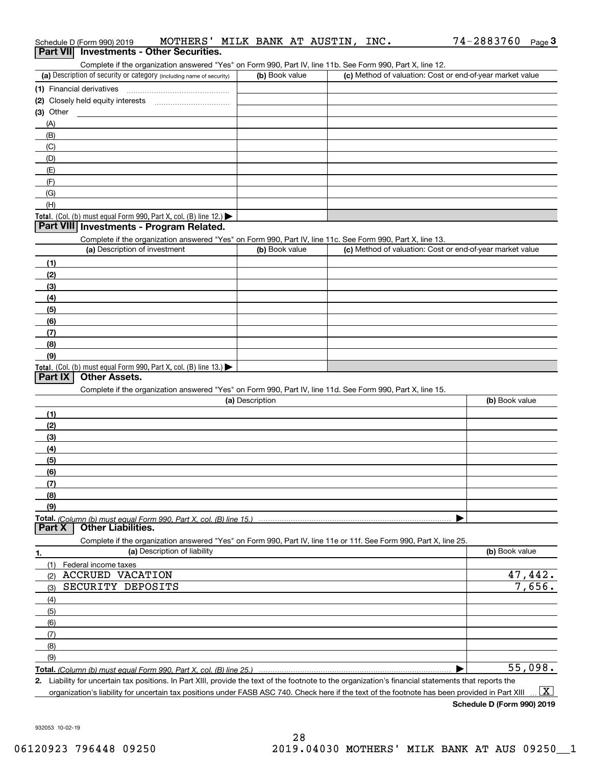|             | Schedule D (Form 990) 2019                                                                                                                          | MOTHERS' MILK BANK AT AUSTIN, INC.                                                                                |                 |  |  | 74-2883760                                                | Page $3$ |
|-------------|-----------------------------------------------------------------------------------------------------------------------------------------------------|-------------------------------------------------------------------------------------------------------------------|-----------------|--|--|-----------------------------------------------------------|----------|
|             | Part VII Investments - Other Securities.                                                                                                            |                                                                                                                   |                 |  |  |                                                           |          |
|             |                                                                                                                                                     | Complete if the organization answered "Yes" on Form 990, Part IV, line 11b. See Form 990, Part X, line 12.        |                 |  |  |                                                           |          |
|             | (a) Description of security or category (including name of security)                                                                                |                                                                                                                   | (b) Book value  |  |  | (c) Method of valuation: Cost or end-of-year market value |          |
|             | (1) Financial derivatives                                                                                                                           |                                                                                                                   |                 |  |  |                                                           |          |
|             |                                                                                                                                                     |                                                                                                                   |                 |  |  |                                                           |          |
| $(3)$ Other |                                                                                                                                                     |                                                                                                                   |                 |  |  |                                                           |          |
| (A)         |                                                                                                                                                     |                                                                                                                   |                 |  |  |                                                           |          |
| (B)         |                                                                                                                                                     |                                                                                                                   |                 |  |  |                                                           |          |
| (C)         |                                                                                                                                                     |                                                                                                                   |                 |  |  |                                                           |          |
| (D)         |                                                                                                                                                     |                                                                                                                   |                 |  |  |                                                           |          |
| (E)         |                                                                                                                                                     |                                                                                                                   |                 |  |  |                                                           |          |
| (F)         |                                                                                                                                                     |                                                                                                                   |                 |  |  |                                                           |          |
| (G)         |                                                                                                                                                     |                                                                                                                   |                 |  |  |                                                           |          |
| (H)         |                                                                                                                                                     |                                                                                                                   |                 |  |  |                                                           |          |
|             | Total. (Col. (b) must equal Form 990, Part X, col. (B) line 12.)                                                                                    |                                                                                                                   |                 |  |  |                                                           |          |
|             | Part VIII Investments - Program Related.                                                                                                            |                                                                                                                   |                 |  |  |                                                           |          |
|             |                                                                                                                                                     | Complete if the organization answered "Yes" on Form 990, Part IV, line 11c. See Form 990, Part X, line 13.        |                 |  |  |                                                           |          |
|             | (a) Description of investment                                                                                                                       |                                                                                                                   | (b) Book value  |  |  | (c) Method of valuation: Cost or end-of-year market value |          |
| (1)         |                                                                                                                                                     |                                                                                                                   |                 |  |  |                                                           |          |
| (2)         |                                                                                                                                                     |                                                                                                                   |                 |  |  |                                                           |          |
| (3)         |                                                                                                                                                     |                                                                                                                   |                 |  |  |                                                           |          |
| (4)         |                                                                                                                                                     |                                                                                                                   |                 |  |  |                                                           |          |
| (5)         |                                                                                                                                                     |                                                                                                                   |                 |  |  |                                                           |          |
| (6)         |                                                                                                                                                     |                                                                                                                   |                 |  |  |                                                           |          |
| (7)         |                                                                                                                                                     |                                                                                                                   |                 |  |  |                                                           |          |
| (8)         |                                                                                                                                                     |                                                                                                                   |                 |  |  |                                                           |          |
| (9)         |                                                                                                                                                     |                                                                                                                   |                 |  |  |                                                           |          |
|             | Total. (Col. (b) must equal Form 990, Part X, col. (B) line 13.)                                                                                    |                                                                                                                   |                 |  |  |                                                           |          |
| Part IX     | <b>Other Assets.</b>                                                                                                                                |                                                                                                                   |                 |  |  |                                                           |          |
|             |                                                                                                                                                     | Complete if the organization answered "Yes" on Form 990, Part IV, line 11d. See Form 990, Part X, line 15.        |                 |  |  |                                                           |          |
|             |                                                                                                                                                     |                                                                                                                   | (a) Description |  |  | (b) Book value                                            |          |
| (1)         |                                                                                                                                                     |                                                                                                                   |                 |  |  |                                                           |          |
| (2)         |                                                                                                                                                     |                                                                                                                   |                 |  |  |                                                           |          |
| (3)         |                                                                                                                                                     |                                                                                                                   |                 |  |  |                                                           |          |
| (4)         |                                                                                                                                                     |                                                                                                                   |                 |  |  |                                                           |          |
| (5)         |                                                                                                                                                     |                                                                                                                   |                 |  |  |                                                           |          |
| (6)         |                                                                                                                                                     |                                                                                                                   |                 |  |  |                                                           |          |
| (7)         |                                                                                                                                                     |                                                                                                                   |                 |  |  |                                                           |          |
| (8)         |                                                                                                                                                     |                                                                                                                   |                 |  |  |                                                           |          |
| (9)         |                                                                                                                                                     |                                                                                                                   |                 |  |  |                                                           |          |
|             | Total. (Column (b) must equal Form 990. Part X, col. (B) line 15.)                                                                                  |                                                                                                                   |                 |  |  |                                                           |          |
| Part X      | <b>Other Liabilities.</b>                                                                                                                           |                                                                                                                   |                 |  |  |                                                           |          |
|             |                                                                                                                                                     | Complete if the organization answered "Yes" on Form 990, Part IV, line 11e or 11f. See Form 990, Part X, line 25. |                 |  |  |                                                           |          |
| 1.          |                                                                                                                                                     | (a) Description of liability                                                                                      |                 |  |  | (b) Book value                                            |          |
| (1)         | Federal income taxes                                                                                                                                |                                                                                                                   |                 |  |  |                                                           |          |
| (2)         | <b>ACCRUED VACATION</b>                                                                                                                             |                                                                                                                   |                 |  |  |                                                           | 47,442.  |
| (3)         | SECURITY DEPOSITS                                                                                                                                   |                                                                                                                   |                 |  |  |                                                           | 7,656.   |
| (4)         |                                                                                                                                                     |                                                                                                                   |                 |  |  |                                                           |          |
| (5)         |                                                                                                                                                     |                                                                                                                   |                 |  |  |                                                           |          |
| (6)         |                                                                                                                                                     |                                                                                                                   |                 |  |  |                                                           |          |
| (7)         |                                                                                                                                                     |                                                                                                                   |                 |  |  |                                                           |          |
| (8)         |                                                                                                                                                     |                                                                                                                   |                 |  |  |                                                           |          |
| (9)         |                                                                                                                                                     |                                                                                                                   |                 |  |  |                                                           |          |
|             | Total. (Column (b) must equal Form 990. Part X, col. (B) line 25.)                                                                                  |                                                                                                                   |                 |  |  |                                                           | 55,098.  |
|             | 2. Lightlity for uncertain tax positions, In Part YIII, provide the text of the feetpete to the examization's financial statements that reports the |                                                                                                                   |                 |  |  |                                                           |          |

**2.** Liability for uncertain tax positions. In Part XIII, provide the text of the footnote to the organization's financial statements that reports the organization's liability for uncertain tax positions under FASB ASC 740. Check here if the text of the footnote has been provided in Part XIII  $\boxed{\text{X}}$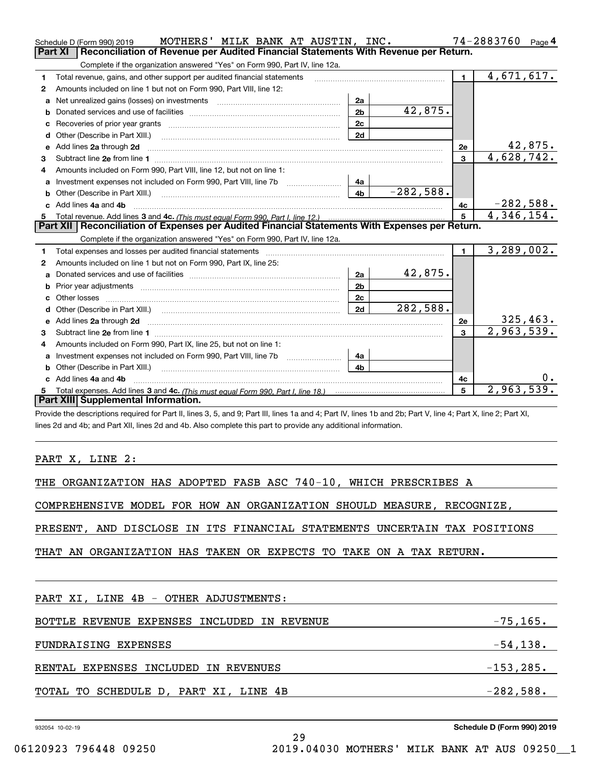|    | MOTHERS' MILK BANK AT AUSTIN, INC.<br>Schedule D (Form 990) 2019                                                                                                                                                                    |                |                 |              | 74-2883760<br>Page 4         |  |  |  |  |  |
|----|-------------------------------------------------------------------------------------------------------------------------------------------------------------------------------------------------------------------------------------|----------------|-----------------|--------------|------------------------------|--|--|--|--|--|
|    | Reconciliation of Revenue per Audited Financial Statements With Revenue per Return.<br>Part XI                                                                                                                                      |                |                 |              |                              |  |  |  |  |  |
|    | Complete if the organization answered "Yes" on Form 990, Part IV, line 12a.                                                                                                                                                         |                |                 |              |                              |  |  |  |  |  |
| 1  | Total revenue, gains, and other support per audited financial statements                                                                                                                                                            |                |                 | $\mathbf{1}$ | 4,671,617.                   |  |  |  |  |  |
| 2  | Amounts included on line 1 but not on Form 990, Part VIII, line 12:                                                                                                                                                                 |                |                 |              |                              |  |  |  |  |  |
| а  | Net unrealized gains (losses) on investments [11] matter contracts and the unrealized gains (losses) on investments                                                                                                                 | 2a             |                 |              |                              |  |  |  |  |  |
| b  |                                                                                                                                                                                                                                     | 2 <sub>b</sub> | 42,875.         |              |                              |  |  |  |  |  |
| с  |                                                                                                                                                                                                                                     | 2c             |                 |              |                              |  |  |  |  |  |
| d  |                                                                                                                                                                                                                                     | 2d             |                 |              |                              |  |  |  |  |  |
| e  | Add lines 2a through 2d <b>contained a contained a contained a contained a</b> contained a contained a contained a contained a contact a contact a contact a contact a contact a contact a contact a contact a contact a contact a  |                |                 | <b>2e</b>    | $\frac{42,875.}{4,628,742.}$ |  |  |  |  |  |
| 3  |                                                                                                                                                                                                                                     |                |                 | 3            |                              |  |  |  |  |  |
| 4  | Amounts included on Form 990, Part VIII, line 12, but not on line 1:                                                                                                                                                                |                |                 |              |                              |  |  |  |  |  |
| a  | Investment expenses not included on Form 990, Part VIII, line 7b                                                                                                                                                                    | 4a             |                 |              |                              |  |  |  |  |  |
| b  | Other (Describe in Part XIII.) <b>Construction Contract Construction</b> Chemistry Chemistry Chemistry Chemistry Chemistry                                                                                                          | 4 <sub>b</sub> | $-282,588.$     |              |                              |  |  |  |  |  |
| c. | Add lines 4a and 4b                                                                                                                                                                                                                 |                |                 | 4c           | $-282,588.$                  |  |  |  |  |  |
| 5. |                                                                                                                                                                                                                                     |                | $5\overline{5}$ | 4,346,154.   |                              |  |  |  |  |  |
|    | Part XII Reconciliation of Expenses per Audited Financial Statements With Expenses per Return.                                                                                                                                      |                |                 |              |                              |  |  |  |  |  |
|    | Complete if the organization answered "Yes" on Form 990, Part IV, line 12a.                                                                                                                                                         |                |                 |              |                              |  |  |  |  |  |
| 1  | Total expenses and losses per audited financial statements                                                                                                                                                                          |                |                 | $\mathbf{1}$ | 3,289,002.                   |  |  |  |  |  |
| 2  | Amounts included on line 1 but not on Form 990, Part IX, line 25:                                                                                                                                                                   |                |                 |              |                              |  |  |  |  |  |
| a  |                                                                                                                                                                                                                                     | 2a             | 42,875.         |              |                              |  |  |  |  |  |
| b  |                                                                                                                                                                                                                                     | 2 <sub>b</sub> |                 |              |                              |  |  |  |  |  |
| c  |                                                                                                                                                                                                                                     | 2c             |                 |              |                              |  |  |  |  |  |
| d  |                                                                                                                                                                                                                                     | 2d             | 282,588.        |              |                              |  |  |  |  |  |
| е  | Add lines 2a through 2d <b>contained a contained a contained a contained a</b> contained a contact the state of the state of the state of the state of the state of the state of the state of the state of the state of the state o |                |                 | 2e           | <u>325,463.</u>              |  |  |  |  |  |
| 3  |                                                                                                                                                                                                                                     |                |                 | $\mathbf{3}$ | 2,963,539.                   |  |  |  |  |  |
| 4  | Amounts included on Form 990, Part IX, line 25, but not on line 1:                                                                                                                                                                  |                |                 |              |                              |  |  |  |  |  |
| a  |                                                                                                                                                                                                                                     | 4a             |                 |              |                              |  |  |  |  |  |
| b  | Other (Describe in Part XIII.) <b>Construction Contract Construction</b> Chemical Construction Chemical Chemical Chemical Chemical Chemical Chemical Chemical Chemical Chemical Chemical Chemical Chemical Chemical Chemical Chemic | 4 <sub>h</sub> |                 |              |                              |  |  |  |  |  |
|    | Add lines 4a and 4b                                                                                                                                                                                                                 |                |                 | 4с           |                              |  |  |  |  |  |
| 5. |                                                                                                                                                                                                                                     |                |                 | 5            | 2,963,539.                   |  |  |  |  |  |
|    | Part XIII Supplemental Information.                                                                                                                                                                                                 |                |                 |              |                              |  |  |  |  |  |
|    | Provide the descriptions required for Part II, lines 3, 5, and 9; Part III, lines 1a and 4; Part IV, lines 1b and 2b; Part V, line 4; Part X, line 2; Part XI,                                                                      |                |                 |              |                              |  |  |  |  |  |
|    | lines 2d and 4b; and Part XII, lines 2d and 4b. Also complete this part to provide any additional information.                                                                                                                      |                |                 |              |                              |  |  |  |  |  |

PART X, LINE 2:

THE ORGANIZATION HAS ADOPTED FASB ASC 740-10, WHICH PRESCRIBES A

COMPREHENSIVE MODEL FOR HOW AN ORGANIZATION SHOULD MEASURE, RECOGNIZE,

PRESENT, AND DISCLOSE IN ITS FINANCIAL STATEMENTS UNCERTAIN TAX POSITIONS

THAT AN ORGANIZATION HAS TAKEN OR EXPECTS TO TAKE ON A TAX RETURN.

| PART XI, LINE 4B - OTHER ADJUSTMENTS:       |              |
|---------------------------------------------|--------------|
| BOTTLE REVENUE EXPENSES INCLUDED IN REVENUE | $-75, 165.$  |
| <b>FUNDRAISING EXPENSES</b>                 | $-54, 138.$  |
| RENTAL EXPENSES INCLUDED IN REVENUES        | $-153, 285.$ |
| TOTAL TO SCHEDULE D, PART XI, LINE 4B       | $-282,588.$  |
|                                             |              |

29

932054 10-02-19

06120923 796448 09250 2019.04030 MOTHERS' MILK BANK AT AUS 09250\_\_1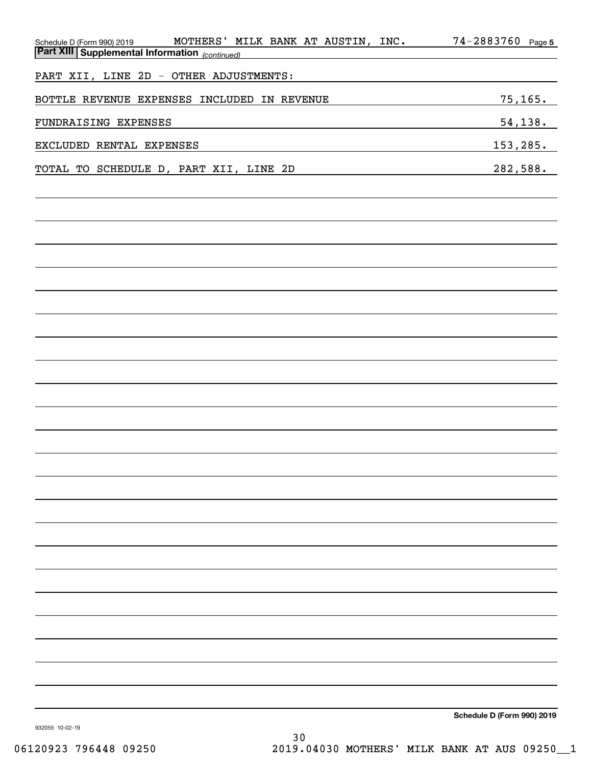| MOTHERS' MILK BANK AT AUSTIN, INC.<br>Schedule D (Form 990) 2019 MOTHERS ' MINGLERS IN THE Part XIII   Supplemental Information (continued) | 74-2883760 Page 5          |
|---------------------------------------------------------------------------------------------------------------------------------------------|----------------------------|
| PART XII, LINE 2D - OTHER ADJUSTMENTS:                                                                                                      |                            |
| BOTTLE REVENUE EXPENSES INCLUDED IN REVENUE                                                                                                 | 75, 165.                   |
| FUNDRAISING EXPENSES                                                                                                                        | 54, 138.                   |
| EXCLUDED RENTAL EXPENSES                                                                                                                    | 153,285.                   |
| TOTAL TO SCHEDULE D, PART XII, LINE 2D                                                                                                      | 282,588.                   |
|                                                                                                                                             |                            |
|                                                                                                                                             |                            |
|                                                                                                                                             |                            |
|                                                                                                                                             |                            |
|                                                                                                                                             |                            |
|                                                                                                                                             |                            |
|                                                                                                                                             |                            |
|                                                                                                                                             |                            |
|                                                                                                                                             |                            |
|                                                                                                                                             |                            |
|                                                                                                                                             |                            |
|                                                                                                                                             |                            |
|                                                                                                                                             |                            |
|                                                                                                                                             |                            |
|                                                                                                                                             |                            |
|                                                                                                                                             |                            |
|                                                                                                                                             |                            |
|                                                                                                                                             |                            |
|                                                                                                                                             |                            |
|                                                                                                                                             |                            |
|                                                                                                                                             |                            |
|                                                                                                                                             |                            |
|                                                                                                                                             | Schedule D (Form 990) 2019 |

932055 10-02-19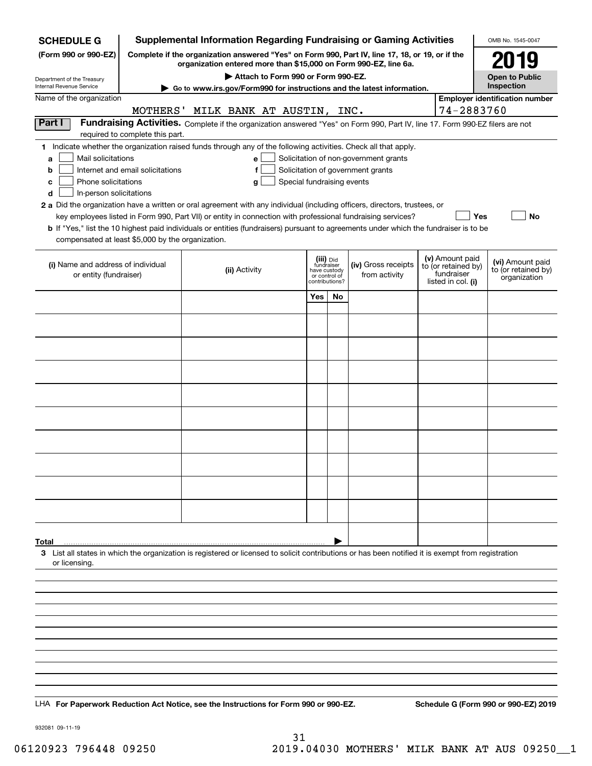| <b>Supplemental Information Regarding Fundraising or Gaming Activities</b><br><b>SCHEDULE G</b>                                                    |                                                                                                                                                                     |                               |                                                                                                                                              |                                         |           |                                       |  |                                        | OMB No. 1545-0047                       |  |
|----------------------------------------------------------------------------------------------------------------------------------------------------|---------------------------------------------------------------------------------------------------------------------------------------------------------------------|-------------------------------|----------------------------------------------------------------------------------------------------------------------------------------------|-----------------------------------------|-----------|---------------------------------------|--|----------------------------------------|-----------------------------------------|--|
| (Form 990 or 990-EZ)                                                                                                                               | Complete if the organization answered "Yes" on Form 990, Part IV, line 17, 18, or 19, or if the<br>organization entered more than \$15,000 on Form 990-EZ, line 6a. |                               |                                                                                                                                              |                                         |           |                                       |  |                                        |                                         |  |
|                                                                                                                                                    |                                                                                                                                                                     | 2019<br><b>Open to Public</b> |                                                                                                                                              |                                         |           |                                       |  |                                        |                                         |  |
| Department of the Treasury<br><b>Internal Revenue Service</b>                                                                                      | ► Go to www.irs.gov/Form990 for instructions and the latest information.                                                                                            |                               | Inspection                                                                                                                                   |                                         |           |                                       |  |                                        |                                         |  |
| Name of the organization                                                                                                                           |                                                                                                                                                                     |                               | MOTHERS' MILK BANK AT AUSTIN, INC.                                                                                                           |                                         |           |                                       |  |                                        | <b>Employer identification number</b>   |  |
| Part I                                                                                                                                             | 74-2883760                                                                                                                                                          |                               |                                                                                                                                              |                                         |           |                                       |  |                                        |                                         |  |
|                                                                                                                                                    | required to complete this part.                                                                                                                                     |                               | Fundraising Activities. Complete if the organization answered "Yes" on Form 990, Part IV, line 17. Form 990-EZ filers are not                |                                         |           |                                       |  |                                        |                                         |  |
| 1 Indicate whether the organization raised funds through any of the following activities. Check all that apply.                                    |                                                                                                                                                                     |                               |                                                                                                                                              |                                         |           |                                       |  |                                        |                                         |  |
| Mail solicitations<br>a                                                                                                                            |                                                                                                                                                                     |                               | e l                                                                                                                                          |                                         |           | Solicitation of non-government grants |  |                                        |                                         |  |
| b<br>с                                                                                                                                             | Solicitation of government grants<br>Internet and email solicitations<br>f                                                                                          |                               |                                                                                                                                              |                                         |           |                                       |  |                                        |                                         |  |
| d                                                                                                                                                  | Phone solicitations<br>Special fundraising events<br>g<br>In-person solicitations                                                                                   |                               |                                                                                                                                              |                                         |           |                                       |  |                                        |                                         |  |
| 2 a Did the organization have a written or oral agreement with any individual (including officers, directors, trustees, or                         |                                                                                                                                                                     |                               |                                                                                                                                              |                                         |           |                                       |  |                                        |                                         |  |
|                                                                                                                                                    |                                                                                                                                                                     |                               | key employees listed in Form 990, Part VII) or entity in connection with professional fundraising services?                                  |                                         |           |                                       |  | Yes                                    | No                                      |  |
| compensated at least \$5,000 by the organization.                                                                                                  |                                                                                                                                                                     |                               | <b>b</b> If "Yes," list the 10 highest paid individuals or entities (fundraisers) pursuant to agreements under which the fundraiser is to be |                                         |           |                                       |  |                                        |                                         |  |
|                                                                                                                                                    |                                                                                                                                                                     |                               |                                                                                                                                              |                                         |           |                                       |  |                                        |                                         |  |
| (i) Name and address of individual                                                                                                                 |                                                                                                                                                                     |                               | (ii) Activity                                                                                                                                | (iii) Did<br>fundraiser<br>have custody |           | (iv) Gross receipts                   |  | (v) Amount paid<br>to (or retained by) | (vi) Amount paid<br>to (or retained by) |  |
| or entity (fundraiser)                                                                                                                             |                                                                                                                                                                     |                               |                                                                                                                                              | or control of<br>contributions?         |           | from activity                         |  | fundraiser<br>listed in col. (i)       | organization                            |  |
|                                                                                                                                                    |                                                                                                                                                                     |                               |                                                                                                                                              | Yes                                     | <b>No</b> |                                       |  |                                        |                                         |  |
|                                                                                                                                                    |                                                                                                                                                                     |                               |                                                                                                                                              |                                         |           |                                       |  |                                        |                                         |  |
|                                                                                                                                                    |                                                                                                                                                                     |                               |                                                                                                                                              |                                         |           |                                       |  |                                        |                                         |  |
|                                                                                                                                                    |                                                                                                                                                                     |                               |                                                                                                                                              |                                         |           |                                       |  |                                        |                                         |  |
|                                                                                                                                                    |                                                                                                                                                                     |                               |                                                                                                                                              |                                         |           |                                       |  |                                        |                                         |  |
|                                                                                                                                                    |                                                                                                                                                                     |                               |                                                                                                                                              |                                         |           |                                       |  |                                        |                                         |  |
|                                                                                                                                                    |                                                                                                                                                                     |                               |                                                                                                                                              |                                         |           |                                       |  |                                        |                                         |  |
|                                                                                                                                                    |                                                                                                                                                                     |                               |                                                                                                                                              |                                         |           |                                       |  |                                        |                                         |  |
|                                                                                                                                                    |                                                                                                                                                                     |                               |                                                                                                                                              |                                         |           |                                       |  |                                        |                                         |  |
|                                                                                                                                                    |                                                                                                                                                                     |                               |                                                                                                                                              |                                         |           |                                       |  |                                        |                                         |  |
|                                                                                                                                                    |                                                                                                                                                                     |                               |                                                                                                                                              |                                         |           |                                       |  |                                        |                                         |  |
|                                                                                                                                                    |                                                                                                                                                                     |                               |                                                                                                                                              |                                         |           |                                       |  |                                        |                                         |  |
|                                                                                                                                                    |                                                                                                                                                                     |                               |                                                                                                                                              |                                         |           |                                       |  |                                        |                                         |  |
|                                                                                                                                                    |                                                                                                                                                                     |                               |                                                                                                                                              |                                         |           |                                       |  |                                        |                                         |  |
|                                                                                                                                                    |                                                                                                                                                                     |                               |                                                                                                                                              |                                         |           |                                       |  |                                        |                                         |  |
|                                                                                                                                                    |                                                                                                                                                                     |                               |                                                                                                                                              |                                         |           |                                       |  |                                        |                                         |  |
|                                                                                                                                                    |                                                                                                                                                                     |                               |                                                                                                                                              |                                         |           |                                       |  |                                        |                                         |  |
| Total                                                                                                                                              |                                                                                                                                                                     |                               |                                                                                                                                              |                                         |           |                                       |  |                                        |                                         |  |
| 3 List all states in which the organization is registered or licensed to solicit contributions or has been notified it is exempt from registration |                                                                                                                                                                     |                               |                                                                                                                                              |                                         |           |                                       |  |                                        |                                         |  |
| or licensing.                                                                                                                                      |                                                                                                                                                                     |                               |                                                                                                                                              |                                         |           |                                       |  |                                        |                                         |  |
|                                                                                                                                                    |                                                                                                                                                                     |                               |                                                                                                                                              |                                         |           |                                       |  |                                        |                                         |  |
|                                                                                                                                                    |                                                                                                                                                                     |                               |                                                                                                                                              |                                         |           |                                       |  |                                        |                                         |  |
|                                                                                                                                                    |                                                                                                                                                                     |                               |                                                                                                                                              |                                         |           |                                       |  |                                        |                                         |  |
|                                                                                                                                                    |                                                                                                                                                                     |                               |                                                                                                                                              |                                         |           |                                       |  |                                        |                                         |  |
|                                                                                                                                                    |                                                                                                                                                                     |                               |                                                                                                                                              |                                         |           |                                       |  |                                        |                                         |  |
|                                                                                                                                                    |                                                                                                                                                                     |                               |                                                                                                                                              |                                         |           |                                       |  |                                        |                                         |  |
|                                                                                                                                                    |                                                                                                                                                                     |                               |                                                                                                                                              |                                         |           |                                       |  |                                        |                                         |  |
|                                                                                                                                                    |                                                                                                                                                                     |                               |                                                                                                                                              |                                         |           |                                       |  |                                        |                                         |  |
| LHA For Paperwork Reduction Act Notice, see the Instructions for Form 990 or 990-EZ.                                                               |                                                                                                                                                                     |                               |                                                                                                                                              |                                         |           |                                       |  |                                        | Schedule G (Form 990 or 990-EZ) 2019    |  |
|                                                                                                                                                    |                                                                                                                                                                     |                               |                                                                                                                                              |                                         |           |                                       |  |                                        |                                         |  |

932081 09-11-19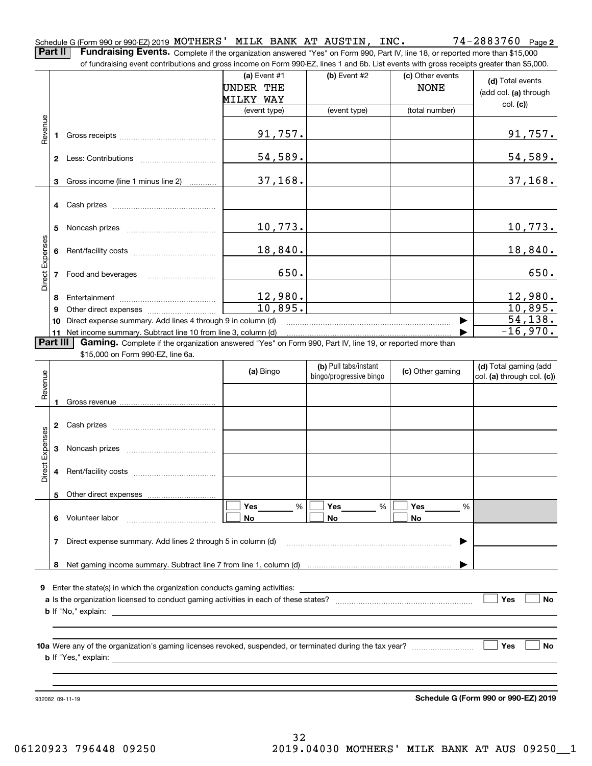Schedule G (Form 990 or 990-EZ) 2019 Page MOTHERS' MILK BANK AT AUSTIN, INC. 74-2883760

74-2883760 Page 2

Part II | Fundraising Events. Complete if the organization answered "Yes" on Form 990, Part IV, line 18, or reported more than \$15,000

|                 |          | of fundraising event contributions and gross income on Form 990-EZ, lines 1 and 6b. List events with gross receipts greater than \$5,000. |                |                         |                  |                            |
|-----------------|----------|-------------------------------------------------------------------------------------------------------------------------------------------|----------------|-------------------------|------------------|----------------------------|
|                 |          |                                                                                                                                           | (a) Event $#1$ | (b) Event #2            | (c) Other events | (d) Total events           |
|                 |          |                                                                                                                                           | UNDER THE      |                         | <b>NONE</b>      | (add col. (a) through      |
|                 |          |                                                                                                                                           | MILKY WAY      |                         |                  | col. (c)                   |
|                 |          |                                                                                                                                           | (event type)   | (event type)            | (total number)   |                            |
| Revenue         |          |                                                                                                                                           |                |                         |                  |                            |
|                 |          |                                                                                                                                           | 91,757.        |                         |                  | <u>91,757.</u>             |
|                 |          |                                                                                                                                           |                |                         |                  |                            |
|                 |          |                                                                                                                                           | 54,589.        |                         |                  | 54,589.                    |
|                 |          |                                                                                                                                           |                |                         |                  |                            |
|                 | 3        | Gross income (line 1 minus line 2)                                                                                                        | 37,168.        |                         |                  | 37,168.                    |
|                 |          |                                                                                                                                           |                |                         |                  |                            |
|                 |          |                                                                                                                                           |                |                         |                  |                            |
|                 |          |                                                                                                                                           |                |                         |                  |                            |
|                 | 5        |                                                                                                                                           | 10,773.        |                         |                  | <u>10,773.</u>             |
|                 |          |                                                                                                                                           |                |                         |                  |                            |
|                 |          |                                                                                                                                           | 18,840.        |                         |                  | 18,840.                    |
| Direct Expenses |          |                                                                                                                                           |                |                         |                  |                            |
|                 |          | 7 Food and beverages                                                                                                                      | 650.           |                         |                  | 650.                       |
|                 |          |                                                                                                                                           |                |                         |                  |                            |
|                 | 8        |                                                                                                                                           | 12,980.        |                         |                  | 12,980.                    |
|                 | 9        |                                                                                                                                           | 10,895.        |                         |                  | 10,895.                    |
|                 | 10       | Direct expense summary. Add lines 4 through 9 in column (d)                                                                               |                |                         |                  | 54, 138.                   |
|                 |          | 11 Net income summary. Subtract line 10 from line 3, column (d)                                                                           |                |                         |                  | $-16,970.$                 |
|                 | Part III | Gaming. Complete if the organization answered "Yes" on Form 990, Part IV, line 19, or reported more than                                  |                |                         |                  |                            |
|                 |          | \$15,000 on Form 990-EZ, line 6a.                                                                                                         |                |                         |                  |                            |
|                 |          |                                                                                                                                           | (a) Bingo      | (b) Pull tabs/instant   | (c) Other gaming | (d) Total gaming (add      |
| Revenue         |          |                                                                                                                                           |                | bingo/progressive bingo |                  | col. (a) through col. (c)) |
|                 |          |                                                                                                                                           |                |                         |                  |                            |
|                 | 1        |                                                                                                                                           |                |                         |                  |                            |
|                 |          |                                                                                                                                           |                |                         |                  |                            |
|                 |          |                                                                                                                                           |                |                         |                  |                            |
| Expenses        |          |                                                                                                                                           |                |                         |                  |                            |
|                 | 3        |                                                                                                                                           |                |                         |                  |                            |
|                 |          |                                                                                                                                           |                |                         |                  |                            |
| <b>Direct</b>   |          |                                                                                                                                           |                |                         |                  |                            |
|                 |          |                                                                                                                                           |                |                         |                  |                            |
|                 |          | 5 Other direct expenses                                                                                                                   |                |                         |                  |                            |
|                 |          |                                                                                                                                           | %<br>Yes       | %<br>Yes                | Yes<br>%         |                            |
|                 |          |                                                                                                                                           |                |                         | No               |                            |
|                 |          | 6 Volunteer labor                                                                                                                         | No             | No                      |                  |                            |
|                 |          |                                                                                                                                           |                |                         |                  |                            |
|                 | 7        | Direct expense summary. Add lines 2 through 5 in column (d)                                                                               |                |                         |                  |                            |
|                 |          |                                                                                                                                           |                |                         |                  |                            |
|                 |          |                                                                                                                                           |                |                         |                  |                            |
|                 |          |                                                                                                                                           |                |                         |                  |                            |
|                 |          | <b>9</b> Enter the state(s) in which the organization conducts gaming activities:                                                         |                |                         |                  |                            |
|                 |          |                                                                                                                                           |                |                         |                  | Yes<br>No                  |
|                 |          |                                                                                                                                           |                |                         |                  |                            |
|                 |          |                                                                                                                                           |                |                         |                  |                            |
|                 |          |                                                                                                                                           |                |                         |                  |                            |
|                 |          |                                                                                                                                           |                |                         |                  | Yes<br>No                  |
|                 |          |                                                                                                                                           |                |                         |                  |                            |
|                 |          |                                                                                                                                           |                |                         |                  |                            |

932082 09-11-19

**Schedule G (Form 990 or 990-EZ) 2019**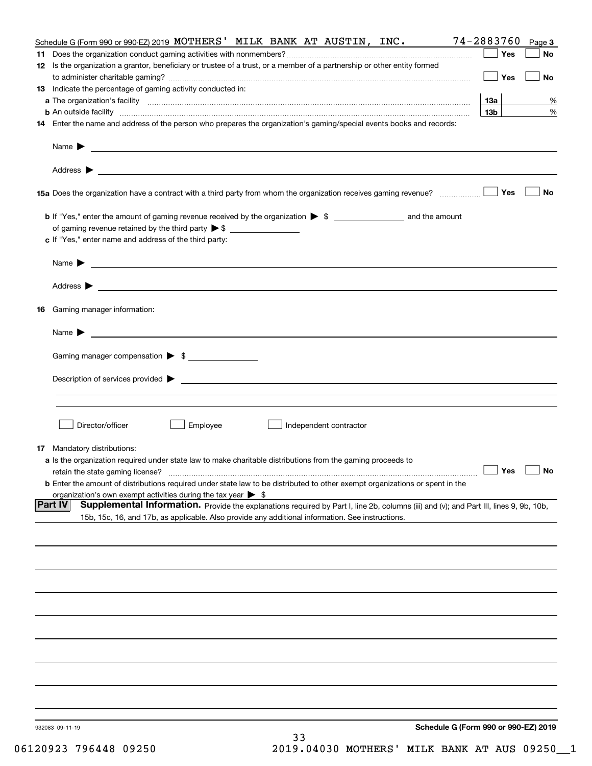| Schedule G (Form 990 or 990-EZ) 2019 MOTHERS ' MILK BANK AT AUSTIN, INC.                                                                                                                                                                   | 74-2883760      | Page 3    |
|--------------------------------------------------------------------------------------------------------------------------------------------------------------------------------------------------------------------------------------------|-----------------|-----------|
| 12 Is the organization a grantor, beneficiary or trustee of a trust, or a member of a partnership or other entity formed                                                                                                                   | Yes             | No        |
|                                                                                                                                                                                                                                            | Yes             | <b>No</b> |
| 13 Indicate the percentage of gaming activity conducted in:                                                                                                                                                                                |                 |           |
|                                                                                                                                                                                                                                            | <u>13a</u>      | %         |
| <b>b</b> An outside facility <i>www.communicality www.communicality.communicality www.communicality www.communicality.communicality www.communicality.com</i>                                                                              | 13 <sub>b</sub> | %         |
| 14 Enter the name and address of the person who prepares the organization's gaming/special events books and records:                                                                                                                       |                 |           |
|                                                                                                                                                                                                                                            |                 |           |
|                                                                                                                                                                                                                                            |                 |           |
|                                                                                                                                                                                                                                            |                 |           |
|                                                                                                                                                                                                                                            |                 |           |
| 15a Does the organization have a contract with a third party from whom the organization receives gaming revenue?                                                                                                                           | Yes             | No        |
|                                                                                                                                                                                                                                            |                 |           |
| <b>b</b> If "Yes," enter the amount of gaming revenue received by the organization $\triangleright$ \$ ____________________ and the amount                                                                                                 |                 |           |
|                                                                                                                                                                                                                                            |                 |           |
| c If "Yes," enter name and address of the third party:                                                                                                                                                                                     |                 |           |
|                                                                                                                                                                                                                                            |                 |           |
| Name $\blacktriangleright$ $\_\_\_\_\_\_\_\_\_\$                                                                                                                                                                                           |                 |           |
|                                                                                                                                                                                                                                            |                 |           |
|                                                                                                                                                                                                                                            |                 |           |
| 16 Gaming manager information:                                                                                                                                                                                                             |                 |           |
|                                                                                                                                                                                                                                            |                 |           |
| Name $\triangleright$ $\square$                                                                                                                                                                                                            |                 |           |
| Gaming manager compensation > \$                                                                                                                                                                                                           |                 |           |
|                                                                                                                                                                                                                                            |                 |           |
|                                                                                                                                                                                                                                            |                 |           |
|                                                                                                                                                                                                                                            |                 |           |
|                                                                                                                                                                                                                                            |                 |           |
|                                                                                                                                                                                                                                            |                 |           |
| Director/officer<br>Employee<br>Independent contractor                                                                                                                                                                                     |                 |           |
| 17 Mandatory distributions:                                                                                                                                                                                                                |                 |           |
| a Is the organization required under state law to make charitable distributions from the gaming proceeds to                                                                                                                                |                 |           |
| $\Box$ Yes $\Box$ No<br>retain the state gaming license?                                                                                                                                                                                   |                 |           |
| <b>b</b> Enter the amount of distributions required under state law to be distributed to other exempt organizations or spent in the                                                                                                        |                 |           |
| organization's own exempt activities during the tax year $\triangleright$ \$<br><b>Part IV</b>                                                                                                                                             |                 |           |
| Supplemental Information. Provide the explanations required by Part I, line 2b, columns (iii) and (v); and Part III, lines 9, 9b, 10b,<br>15b, 15c, 16, and 17b, as applicable. Also provide any additional information. See instructions. |                 |           |
|                                                                                                                                                                                                                                            |                 |           |
|                                                                                                                                                                                                                                            |                 |           |
|                                                                                                                                                                                                                                            |                 |           |
|                                                                                                                                                                                                                                            |                 |           |
|                                                                                                                                                                                                                                            |                 |           |
|                                                                                                                                                                                                                                            |                 |           |
|                                                                                                                                                                                                                                            |                 |           |
|                                                                                                                                                                                                                                            |                 |           |
|                                                                                                                                                                                                                                            |                 |           |
|                                                                                                                                                                                                                                            |                 |           |
|                                                                                                                                                                                                                                            |                 |           |
|                                                                                                                                                                                                                                            |                 |           |
|                                                                                                                                                                                                                                            |                 |           |
|                                                                                                                                                                                                                                            |                 |           |
|                                                                                                                                                                                                                                            |                 |           |
| Schedule G (Form 990 or 990-EZ) 2019<br>932083 09-11-19                                                                                                                                                                                    |                 |           |
| 33                                                                                                                                                                                                                                         |                 |           |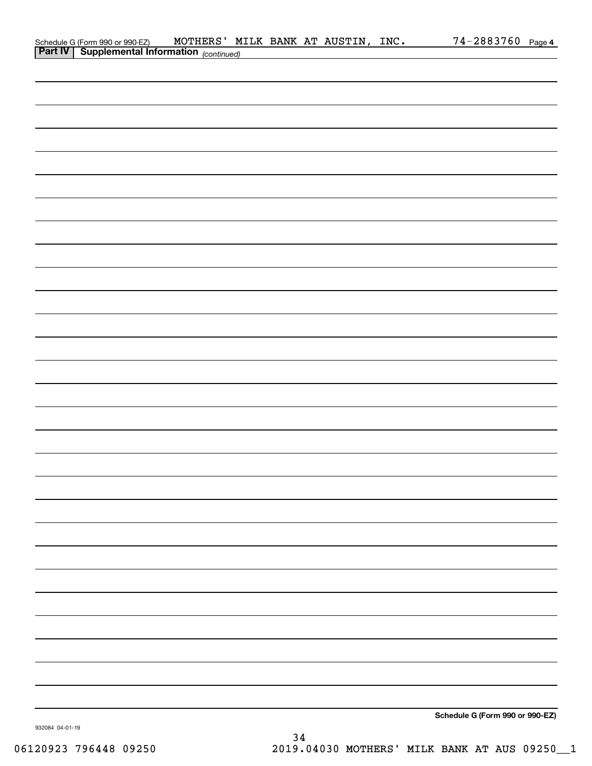| Schedule G (Form 990 or 990-EZ) MOTHERS' MILK BANK AT AUSTIN, INC.<br><b>Part IV</b> Supplemental Information <sub>(continued)</sub> |  |  |  | 74-2883760 Page 4               |  |
|--------------------------------------------------------------------------------------------------------------------------------------|--|--|--|---------------------------------|--|
|                                                                                                                                      |  |  |  |                                 |  |
|                                                                                                                                      |  |  |  |                                 |  |
|                                                                                                                                      |  |  |  |                                 |  |
|                                                                                                                                      |  |  |  |                                 |  |
|                                                                                                                                      |  |  |  |                                 |  |
|                                                                                                                                      |  |  |  |                                 |  |
|                                                                                                                                      |  |  |  |                                 |  |
|                                                                                                                                      |  |  |  |                                 |  |
|                                                                                                                                      |  |  |  |                                 |  |
|                                                                                                                                      |  |  |  |                                 |  |
|                                                                                                                                      |  |  |  |                                 |  |
|                                                                                                                                      |  |  |  |                                 |  |
|                                                                                                                                      |  |  |  |                                 |  |
|                                                                                                                                      |  |  |  |                                 |  |
|                                                                                                                                      |  |  |  |                                 |  |
|                                                                                                                                      |  |  |  |                                 |  |
|                                                                                                                                      |  |  |  |                                 |  |
|                                                                                                                                      |  |  |  |                                 |  |
|                                                                                                                                      |  |  |  |                                 |  |
|                                                                                                                                      |  |  |  |                                 |  |
|                                                                                                                                      |  |  |  |                                 |  |
|                                                                                                                                      |  |  |  |                                 |  |
|                                                                                                                                      |  |  |  |                                 |  |
|                                                                                                                                      |  |  |  |                                 |  |
|                                                                                                                                      |  |  |  |                                 |  |
|                                                                                                                                      |  |  |  |                                 |  |
|                                                                                                                                      |  |  |  |                                 |  |
|                                                                                                                                      |  |  |  |                                 |  |
|                                                                                                                                      |  |  |  |                                 |  |
|                                                                                                                                      |  |  |  |                                 |  |
|                                                                                                                                      |  |  |  |                                 |  |
|                                                                                                                                      |  |  |  |                                 |  |
|                                                                                                                                      |  |  |  |                                 |  |
|                                                                                                                                      |  |  |  |                                 |  |
|                                                                                                                                      |  |  |  |                                 |  |
|                                                                                                                                      |  |  |  |                                 |  |
|                                                                                                                                      |  |  |  |                                 |  |
|                                                                                                                                      |  |  |  |                                 |  |
|                                                                                                                                      |  |  |  |                                 |  |
|                                                                                                                                      |  |  |  |                                 |  |
|                                                                                                                                      |  |  |  |                                 |  |
|                                                                                                                                      |  |  |  |                                 |  |
|                                                                                                                                      |  |  |  |                                 |  |
|                                                                                                                                      |  |  |  |                                 |  |
|                                                                                                                                      |  |  |  |                                 |  |
|                                                                                                                                      |  |  |  |                                 |  |
|                                                                                                                                      |  |  |  |                                 |  |
|                                                                                                                                      |  |  |  |                                 |  |
|                                                                                                                                      |  |  |  |                                 |  |
|                                                                                                                                      |  |  |  | Schedule G (Form 990 or 990-EZ) |  |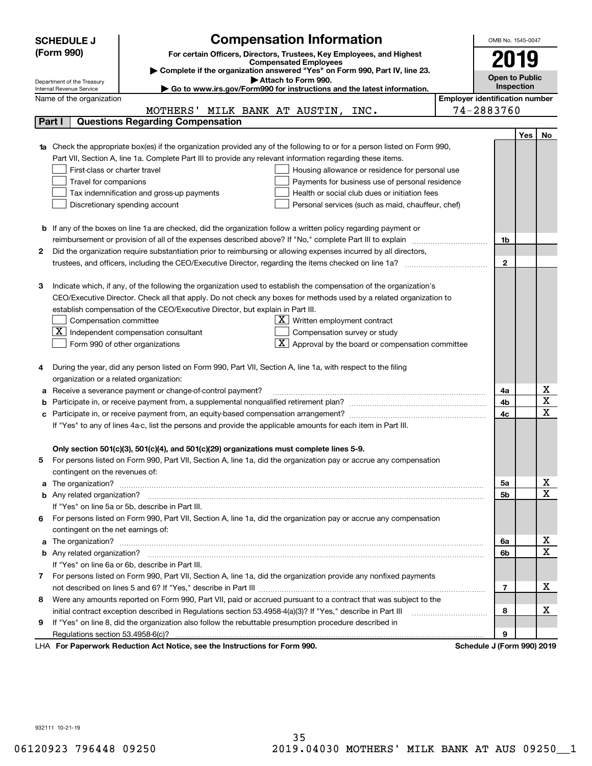|    | <b>SCHEDULE J</b>                       | <b>Compensation Information</b>                                                                                                                                                                                                    |                                       | OMB No. 1545-0047     |            |                         |
|----|-----------------------------------------|------------------------------------------------------------------------------------------------------------------------------------------------------------------------------------------------------------------------------------|---------------------------------------|-----------------------|------------|-------------------------|
|    | (Form 990)                              | For certain Officers, Directors, Trustees, Key Employees, and Highest                                                                                                                                                              |                                       |                       |            |                         |
|    |                                         | <b>Compensated Employees</b>                                                                                                                                                                                                       |                                       | 2019                  |            |                         |
|    | Department of the Treasury              | Complete if the organization answered "Yes" on Form 990, Part IV, line 23.<br>Attach to Form 990.                                                                                                                                  |                                       | <b>Open to Public</b> |            |                         |
|    | Internal Revenue Service                | Go to www.irs.gov/Form990 for instructions and the latest information.                                                                                                                                                             |                                       | Inspection            |            |                         |
|    | Name of the organization                |                                                                                                                                                                                                                                    | <b>Employer identification number</b> |                       |            |                         |
|    |                                         | MOTHERS'<br>MILK BANK AT AUSTIN,<br>INC.                                                                                                                                                                                           |                                       | 74-2883760            |            |                         |
|    | Part I                                  | <b>Questions Regarding Compensation</b>                                                                                                                                                                                            |                                       |                       |            |                         |
|    |                                         |                                                                                                                                                                                                                                    |                                       |                       | <b>Yes</b> | No                      |
|    |                                         | <b>1a</b> Check the appropriate box(es) if the organization provided any of the following to or for a person listed on Form 990,                                                                                                   |                                       |                       |            |                         |
|    |                                         | Part VII, Section A, line 1a. Complete Part III to provide any relevant information regarding these items.                                                                                                                         |                                       |                       |            |                         |
|    | First-class or charter travel           | Housing allowance or residence for personal use                                                                                                                                                                                    |                                       |                       |            |                         |
|    | Travel for companions                   | Payments for business use of personal residence                                                                                                                                                                                    |                                       |                       |            |                         |
|    |                                         | Tax indemnification and gross-up payments<br>Health or social club dues or initiation fees                                                                                                                                         |                                       |                       |            |                         |
|    |                                         | Discretionary spending account<br>Personal services (such as maid, chauffeur, chef)                                                                                                                                                |                                       |                       |            |                         |
|    |                                         |                                                                                                                                                                                                                                    |                                       |                       |            |                         |
|    |                                         | <b>b</b> If any of the boxes on line 1a are checked, did the organization follow a written policy regarding payment or<br>reimbursement or provision of all of the expenses described above? If "No," complete Part III to explain |                                       | 1b                    |            |                         |
| 2  |                                         | Did the organization require substantiation prior to reimbursing or allowing expenses incurred by all directors,                                                                                                                   |                                       |                       |            |                         |
|    |                                         |                                                                                                                                                                                                                                    |                                       | $\mathbf{2}$          |            |                         |
|    |                                         |                                                                                                                                                                                                                                    |                                       |                       |            |                         |
| з  |                                         | Indicate which, if any, of the following the organization used to establish the compensation of the organization's                                                                                                                 |                                       |                       |            |                         |
|    |                                         | CEO/Executive Director. Check all that apply. Do not check any boxes for methods used by a related organization to                                                                                                                 |                                       |                       |            |                         |
|    |                                         | establish compensation of the CEO/Executive Director, but explain in Part III.                                                                                                                                                     |                                       |                       |            |                         |
|    | Compensation committee                  | $X$ Written employment contract                                                                                                                                                                                                    |                                       |                       |            |                         |
|    |                                         | Independent compensation consultant<br>Compensation survey or study                                                                                                                                                                |                                       |                       |            |                         |
|    |                                         | Approval by the board or compensation committee<br>Form 990 of other organizations                                                                                                                                                 |                                       |                       |            |                         |
|    |                                         |                                                                                                                                                                                                                                    |                                       |                       |            |                         |
|    |                                         | During the year, did any person listed on Form 990, Part VII, Section A, line 1a, with respect to the filing                                                                                                                       |                                       |                       |            |                         |
|    | organization or a related organization: |                                                                                                                                                                                                                                    |                                       |                       |            |                         |
|    |                                         | Receive a severance payment or change-of-control payment?                                                                                                                                                                          |                                       | 4a                    |            | x                       |
|    |                                         |                                                                                                                                                                                                                                    |                                       | 4b                    |            | $\overline{\mathbf{x}}$ |
|    |                                         |                                                                                                                                                                                                                                    |                                       | 4c                    |            | $\overline{\mathbf{x}}$ |
|    |                                         | If "Yes" to any of lines 4a-c, list the persons and provide the applicable amounts for each item in Part III.                                                                                                                      |                                       |                       |            |                         |
|    |                                         |                                                                                                                                                                                                                                    |                                       |                       |            |                         |
|    |                                         | Only section 501(c)(3), 501(c)(4), and 501(c)(29) organizations must complete lines 5-9.                                                                                                                                           |                                       |                       |            |                         |
| 5. |                                         | For persons listed on Form 990, Part VII, Section A, line 1a, did the organization pay or accrue any compensation                                                                                                                  |                                       |                       |            |                         |
|    | contingent on the revenues of:          |                                                                                                                                                                                                                                    |                                       |                       |            | <u>x</u>                |
|    |                                         | a The organization? <b>Manual Community Community</b> Community Community Community Community Community Community Community                                                                                                        |                                       | 5a<br>5b              |            | $\overline{\mathbf{x}}$ |
|    |                                         | If "Yes" on line 5a or 5b, describe in Part III.                                                                                                                                                                                   |                                       |                       |            |                         |
| 6. |                                         | For persons listed on Form 990, Part VII, Section A, line 1a, did the organization pay or accrue any compensation                                                                                                                  |                                       |                       |            |                         |
|    | contingent on the net earnings of:      |                                                                                                                                                                                                                                    |                                       |                       |            |                         |
|    |                                         |                                                                                                                                                                                                                                    |                                       | 6a                    |            | <u>x</u>                |
|    |                                         |                                                                                                                                                                                                                                    |                                       | 6b                    |            | $\overline{\mathbf{x}}$ |
|    |                                         | If "Yes" on line 6a or 6b, describe in Part III.                                                                                                                                                                                   |                                       |                       |            |                         |
|    |                                         | 7 For persons listed on Form 990, Part VII, Section A, line 1a, did the organization provide any nonfixed payments                                                                                                                 |                                       |                       |            |                         |
|    |                                         |                                                                                                                                                                                                                                    |                                       | $\overline{7}$        |            | х                       |
| 8  |                                         | Were any amounts reported on Form 990, Part VII, paid or accrued pursuant to a contract that was subject to the                                                                                                                    |                                       |                       |            |                         |
|    |                                         |                                                                                                                                                                                                                                    |                                       | 8                     |            | х                       |
| 9  |                                         | If "Yes" on line 8, did the organization also follow the rebuttable presumption procedure described in                                                                                                                             |                                       |                       |            |                         |
|    |                                         |                                                                                                                                                                                                                                    |                                       | 9                     |            |                         |
|    |                                         | uli Dedication Ast Notice, and the Instructions for Form 000                                                                                                                                                                       |                                       | $\overline{10}$       |            |                         |

LHA For Paperwork Reduction Act Notice, see the Instructions for Form 990. Schedule J (Form 990) 2019

932111 10-21-19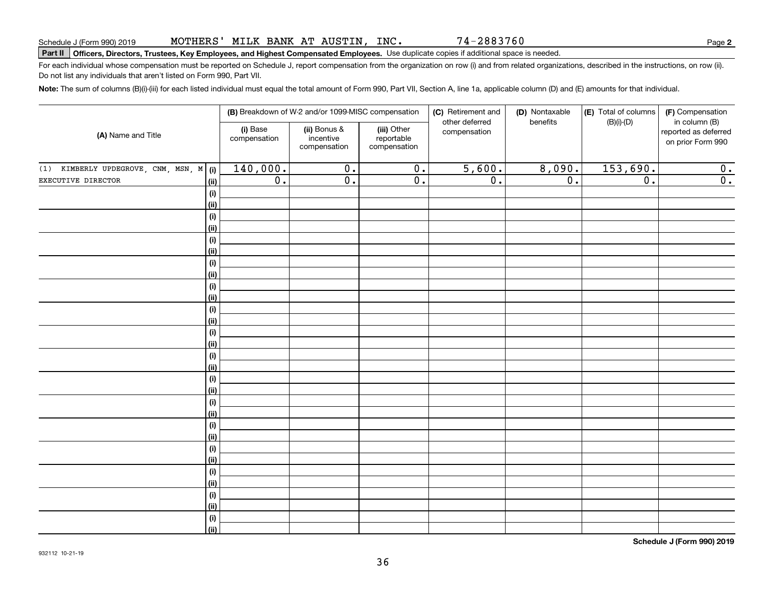**Schedule J (Form 990) 2019**

# Schedule J (Form 990) 2019 Page MOTHERS' MILK BANK AT AUSTIN, INC.

### Part II | Officers, Directors, Trustees, Key Employees, and Highest Compensated Employees. Use duplicate copies if additional space is needed.

For each individual whose compensation must be reported on Schedule J, report compensation from the organization on row (i) and from related organizations, described in the instructions, on row (ii). Do not list any individuals that aren't listed on Form 990, Part VII.

Note: The sum of columns (B)(i)-(iii) for each listed individual must equal the total amount of Form 990, Part VII, Section A, line 1a, applicable column (D) and (E) amounts for that individual.

|                                           |                          | (B) Breakdown of W-2 and/or 1099-MISC compensation |                                           | (C) Retirement and<br>other deferred | (D) Nontaxable   | (E) Total of columns | (F) Compensation                                           |
|-------------------------------------------|--------------------------|----------------------------------------------------|-------------------------------------------|--------------------------------------|------------------|----------------------|------------------------------------------------------------|
| (A) Name and Title                        | (i) Base<br>compensation | (ii) Bonus &<br>incentive<br>compensation          | (iii) Other<br>reportable<br>compensation | compensation                         | benefits         | $(B)(i)-(D)$         | in column (B)<br>reported as deferred<br>on prior Form 990 |
| $(1)$ KIMBERLY UPDEGROVE, CNM, MSN, M (i) | 140,000.                 | $\overline{0}$ .                                   | $\overline{0}$ .                          | 5,600.                               | 8,090.           | 153,690.             | 0.                                                         |
| EXECUTIVE DIRECTOR<br>(ii)                | $\overline{0}$ .         | $\overline{0}$ .                                   | 0.                                        | $\overline{0}$ .                     | $\overline{0}$ . | $\overline{0}$ .     | $\overline{0}$ .                                           |
| (i)                                       |                          |                                                    |                                           |                                      |                  |                      |                                                            |
| (i)                                       |                          |                                                    |                                           |                                      |                  |                      |                                                            |
| (i)                                       |                          |                                                    |                                           |                                      |                  |                      |                                                            |
| (ii)                                      |                          |                                                    |                                           |                                      |                  |                      |                                                            |
| $\qquad \qquad \textbf{(i)}$              |                          |                                                    |                                           |                                      |                  |                      |                                                            |
| (ii)                                      |                          |                                                    |                                           |                                      |                  |                      |                                                            |
| $(\sf{i})$                                |                          |                                                    |                                           |                                      |                  |                      |                                                            |
| (ii)                                      |                          |                                                    |                                           |                                      |                  |                      |                                                            |
| $\qquad \qquad \textbf{(i)}$              |                          |                                                    |                                           |                                      |                  |                      |                                                            |
| (ii)                                      |                          |                                                    |                                           |                                      |                  |                      |                                                            |
| $\qquad \qquad \textbf{(i)}$              |                          |                                                    |                                           |                                      |                  |                      |                                                            |
| (ii)                                      |                          |                                                    |                                           |                                      |                  |                      |                                                            |
| $(\sf{i})$                                |                          |                                                    |                                           |                                      |                  |                      |                                                            |
| (ii)<br>$\qquad \qquad \textbf{(i)}$      |                          |                                                    |                                           |                                      |                  |                      |                                                            |
| (ii)                                      |                          |                                                    |                                           |                                      |                  |                      |                                                            |
| $(\sf{i})$                                |                          |                                                    |                                           |                                      |                  |                      |                                                            |
| (ii)                                      |                          |                                                    |                                           |                                      |                  |                      |                                                            |
| $\qquad \qquad \textbf{(i)}$              |                          |                                                    |                                           |                                      |                  |                      |                                                            |
| (ii)                                      |                          |                                                    |                                           |                                      |                  |                      |                                                            |
| $(\sf{i})$                                |                          |                                                    |                                           |                                      |                  |                      |                                                            |
| (ii)                                      |                          |                                                    |                                           |                                      |                  |                      |                                                            |
| (i)                                       |                          |                                                    |                                           |                                      |                  |                      |                                                            |
| (ii)                                      |                          |                                                    |                                           |                                      |                  |                      |                                                            |
| (i)                                       |                          |                                                    |                                           |                                      |                  |                      |                                                            |
| (ii)                                      |                          |                                                    |                                           |                                      |                  |                      |                                                            |
| (i)                                       |                          |                                                    |                                           |                                      |                  |                      |                                                            |
| (ii)                                      |                          |                                                    |                                           |                                      |                  |                      |                                                            |
| (i)                                       |                          |                                                    |                                           |                                      |                  |                      |                                                            |
| (ii)                                      |                          |                                                    |                                           |                                      |                  |                      |                                                            |

36

## 74-2883760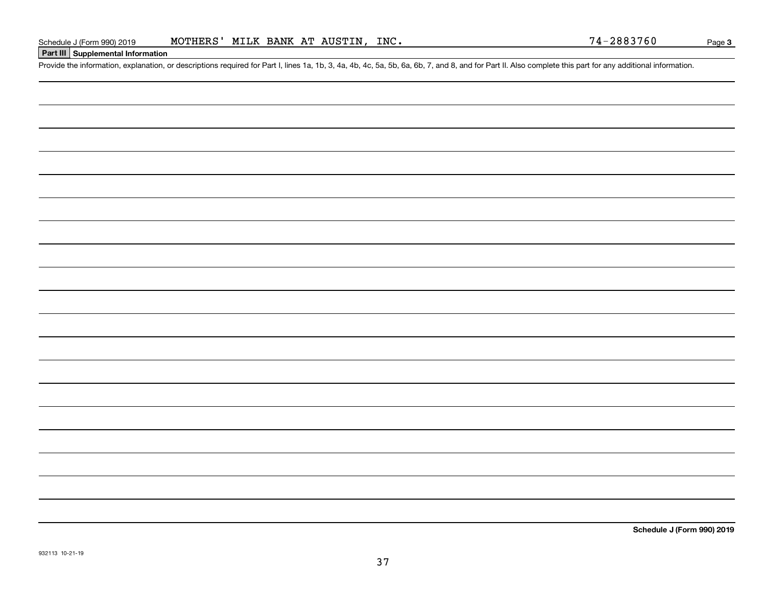# **Part III Supplemental Information**

Provide the information, explanation, or descriptions required for Part I, lines 1a, 1b, 3, 4a, 4b, 4c, 5a, 5b, 6a, 6b, 7, and 8, and for Part II. Also complete this part for any additional information.

**Schedule J (Form 990) 2019**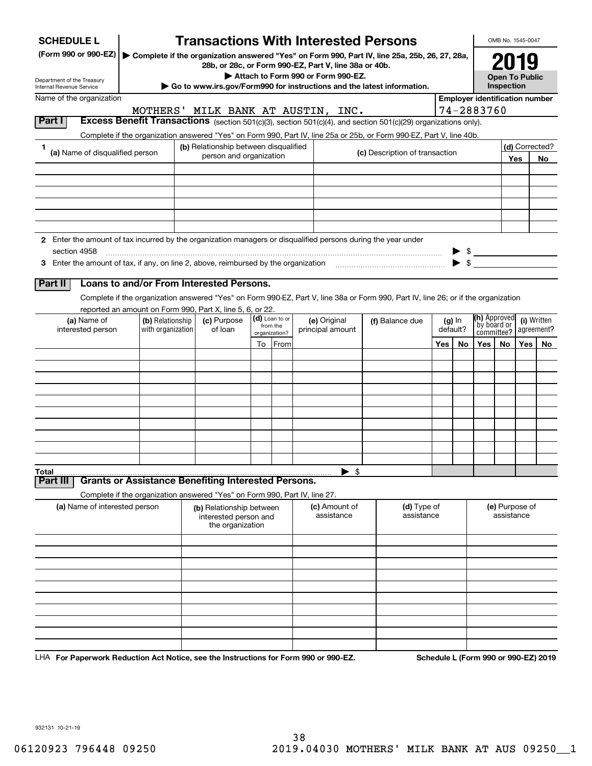| <b>SCHEDULE L</b>                                                                                                                                                                                                                                                                                                                                                                                                                                                                                                                                                                                                                                                                                                                                                                                                                                                                                                                                                                                                                                                                                                                                                                                                                                                                                                                                                                  |  |             |  | <b>Transactions With Interested Persons</b>           |                                                                                               |     |          |                                                     | OMB No. 1545-0047            |     |                |
|------------------------------------------------------------------------------------------------------------------------------------------------------------------------------------------------------------------------------------------------------------------------------------------------------------------------------------------------------------------------------------------------------------------------------------------------------------------------------------------------------------------------------------------------------------------------------------------------------------------------------------------------------------------------------------------------------------------------------------------------------------------------------------------------------------------------------------------------------------------------------------------------------------------------------------------------------------------------------------------------------------------------------------------------------------------------------------------------------------------------------------------------------------------------------------------------------------------------------------------------------------------------------------------------------------------------------------------------------------------------------------|--|-------------|--|-------------------------------------------------------|-----------------------------------------------------------------------------------------------|-----|----------|-----------------------------------------------------|------------------------------|-----|----------------|
| (Form 990 or 990-EZ)                                                                                                                                                                                                                                                                                                                                                                                                                                                                                                                                                                                                                                                                                                                                                                                                                                                                                                                                                                                                                                                                                                                                                                                                                                                                                                                                                               |  |             |  | 28b, or 28c, or Form 990-EZ, Part V, line 38a or 40b. | Complete if the organization answered "Yes" on Form 990, Part IV, line 25a, 25b, 26, 27, 28a, |     |          |                                                     |                              |     |                |
| Department of the Treasury                                                                                                                                                                                                                                                                                                                                                                                                                                                                                                                                                                                                                                                                                                                                                                                                                                                                                                                                                                                                                                                                                                                                                                                                                                                                                                                                                         |  |             |  | Attach to Form 990 or Form 990-EZ.                    |                                                                                               |     |          |                                                     | <b>Open To Public</b>        |     |                |
| Internal Revenue Service                                                                                                                                                                                                                                                                                                                                                                                                                                                                                                                                                                                                                                                                                                                                                                                                                                                                                                                                                                                                                                                                                                                                                                                                                                                                                                                                                           |  |             |  |                                                       |                                                                                               |     |          |                                                     | Inspection                   |     |                |
|                                                                                                                                                                                                                                                                                                                                                                                                                                                                                                                                                                                                                                                                                                                                                                                                                                                                                                                                                                                                                                                                                                                                                                                                                                                                                                                                                                                    |  |             |  |                                                       |                                                                                               |     |          | <b>Employer identification number</b><br>74-2883760 |                              |     |                |
| Part I                                                                                                                                                                                                                                                                                                                                                                                                                                                                                                                                                                                                                                                                                                                                                                                                                                                                                                                                                                                                                                                                                                                                                                                                                                                                                                                                                                             |  |             |  |                                                       |                                                                                               |     |          |                                                     |                              |     |                |
|                                                                                                                                                                                                                                                                                                                                                                                                                                                                                                                                                                                                                                                                                                                                                                                                                                                                                                                                                                                                                                                                                                                                                                                                                                                                                                                                                                                    |  |             |  |                                                       |                                                                                               |     |          |                                                     |                              |     |                |
| 1                                                                                                                                                                                                                                                                                                                                                                                                                                                                                                                                                                                                                                                                                                                                                                                                                                                                                                                                                                                                                                                                                                                                                                                                                                                                                                                                                                                  |  |             |  |                                                       |                                                                                               |     |          |                                                     |                              |     | (d) Corrected? |
|                                                                                                                                                                                                                                                                                                                                                                                                                                                                                                                                                                                                                                                                                                                                                                                                                                                                                                                                                                                                                                                                                                                                                                                                                                                                                                                                                                                    |  |             |  |                                                       |                                                                                               |     |          |                                                     |                              | Yes | No.            |
|                                                                                                                                                                                                                                                                                                                                                                                                                                                                                                                                                                                                                                                                                                                                                                                                                                                                                                                                                                                                                                                                                                                                                                                                                                                                                                                                                                                    |  |             |  |                                                       |                                                                                               |     |          |                                                     |                              |     |                |
|                                                                                                                                                                                                                                                                                                                                                                                                                                                                                                                                                                                                                                                                                                                                                                                                                                                                                                                                                                                                                                                                                                                                                                                                                                                                                                                                                                                    |  |             |  |                                                       |                                                                                               |     |          |                                                     |                              |     |                |
|                                                                                                                                                                                                                                                                                                                                                                                                                                                                                                                                                                                                                                                                                                                                                                                                                                                                                                                                                                                                                                                                                                                                                                                                                                                                                                                                                                                    |  |             |  |                                                       |                                                                                               |     |          |                                                     |                              |     |                |
|                                                                                                                                                                                                                                                                                                                                                                                                                                                                                                                                                                                                                                                                                                                                                                                                                                                                                                                                                                                                                                                                                                                                                                                                                                                                                                                                                                                    |  |             |  |                                                       |                                                                                               |     |          |                                                     |                              |     |                |
|                                                                                                                                                                                                                                                                                                                                                                                                                                                                                                                                                                                                                                                                                                                                                                                                                                                                                                                                                                                                                                                                                                                                                                                                                                                                                                                                                                                    |  |             |  |                                                       |                                                                                               |     |          |                                                     |                              |     |                |
|                                                                                                                                                                                                                                                                                                                                                                                                                                                                                                                                                                                                                                                                                                                                                                                                                                                                                                                                                                                                                                                                                                                                                                                                                                                                                                                                                                                    |  |             |  |                                                       |                                                                                               |     |          |                                                     |                              |     |                |
|                                                                                                                                                                                                                                                                                                                                                                                                                                                                                                                                                                                                                                                                                                                                                                                                                                                                                                                                                                                                                                                                                                                                                                                                                                                                                                                                                                                    |  |             |  |                                                       |                                                                                               |     |          | $\triangleright$ \$                                 |                              |     |                |
|                                                                                                                                                                                                                                                                                                                                                                                                                                                                                                                                                                                                                                                                                                                                                                                                                                                                                                                                                                                                                                                                                                                                                                                                                                                                                                                                                                                    |  |             |  |                                                       |                                                                                               |     |          | $\blacktriangleright$ \$                            |                              |     |                |
| Part II                                                                                                                                                                                                                                                                                                                                                                                                                                                                                                                                                                                                                                                                                                                                                                                                                                                                                                                                                                                                                                                                                                                                                                                                                                                                                                                                                                            |  |             |  |                                                       |                                                                                               |     |          |                                                     |                              |     |                |
|                                                                                                                                                                                                                                                                                                                                                                                                                                                                                                                                                                                                                                                                                                                                                                                                                                                                                                                                                                                                                                                                                                                                                                                                                                                                                                                                                                                    |  |             |  |                                                       |                                                                                               |     |          |                                                     |                              |     |                |
|                                                                                                                                                                                                                                                                                                                                                                                                                                                                                                                                                                                                                                                                                                                                                                                                                                                                                                                                                                                                                                                                                                                                                                                                                                                                                                                                                                                    |  |             |  |                                                       |                                                                                               |     |          |                                                     |                              |     |                |
| (a) Name of                                                                                                                                                                                                                                                                                                                                                                                                                                                                                                                                                                                                                                                                                                                                                                                                                                                                                                                                                                                                                                                                                                                                                                                                                                                                                                                                                                        |  | (c) Purpose |  | (e) Original                                          | (f) Balance due                                                                               |     | $(g)$ In | (h) Approved<br>by board or                         |                              |     | (i) Written    |
|                                                                                                                                                                                                                                                                                                                                                                                                                                                                                                                                                                                                                                                                                                                                                                                                                                                                                                                                                                                                                                                                                                                                                                                                                                                                                                                                                                                    |  |             |  |                                                       |                                                                                               |     | default? | committee?                                          |                              |     | agreement?     |
|                                                                                                                                                                                                                                                                                                                                                                                                                                                                                                                                                                                                                                                                                                                                                                                                                                                                                                                                                                                                                                                                                                                                                                                                                                                                                                                                                                                    |  |             |  |                                                       |                                                                                               | Yes | No.      | Yes                                                 | No.                          | Yes | No             |
|                                                                                                                                                                                                                                                                                                                                                                                                                                                                                                                                                                                                                                                                                                                                                                                                                                                                                                                                                                                                                                                                                                                                                                                                                                                                                                                                                                                    |  |             |  |                                                       |                                                                                               |     |          |                                                     |                              |     |                |
|                                                                                                                                                                                                                                                                                                                                                                                                                                                                                                                                                                                                                                                                                                                                                                                                                                                                                                                                                                                                                                                                                                                                                                                                                                                                                                                                                                                    |  |             |  |                                                       |                                                                                               |     |          |                                                     |                              |     |                |
|                                                                                                                                                                                                                                                                                                                                                                                                                                                                                                                                                                                                                                                                                                                                                                                                                                                                                                                                                                                                                                                                                                                                                                                                                                                                                                                                                                                    |  |             |  |                                                       |                                                                                               |     |          |                                                     |                              |     |                |
|                                                                                                                                                                                                                                                                                                                                                                                                                                                                                                                                                                                                                                                                                                                                                                                                                                                                                                                                                                                                                                                                                                                                                                                                                                                                                                                                                                                    |  |             |  |                                                       |                                                                                               |     |          |                                                     |                              |     |                |
|                                                                                                                                                                                                                                                                                                                                                                                                                                                                                                                                                                                                                                                                                                                                                                                                                                                                                                                                                                                                                                                                                                                                                                                                                                                                                                                                                                                    |  |             |  |                                                       |                                                                                               |     |          |                                                     |                              |     |                |
|                                                                                                                                                                                                                                                                                                                                                                                                                                                                                                                                                                                                                                                                                                                                                                                                                                                                                                                                                                                                                                                                                                                                                                                                                                                                                                                                                                                    |  |             |  |                                                       |                                                                                               |     |          |                                                     |                              |     |                |
|                                                                                                                                                                                                                                                                                                                                                                                                                                                                                                                                                                                                                                                                                                                                                                                                                                                                                                                                                                                                                                                                                                                                                                                                                                                                                                                                                                                    |  |             |  |                                                       |                                                                                               |     |          |                                                     |                              |     |                |
|                                                                                                                                                                                                                                                                                                                                                                                                                                                                                                                                                                                                                                                                                                                                                                                                                                                                                                                                                                                                                                                                                                                                                                                                                                                                                                                                                                                    |  |             |  |                                                       |                                                                                               |     |          |                                                     |                              |     |                |
|                                                                                                                                                                                                                                                                                                                                                                                                                                                                                                                                                                                                                                                                                                                                                                                                                                                                                                                                                                                                                                                                                                                                                                                                                                                                                                                                                                                    |  |             |  |                                                       |                                                                                               |     |          |                                                     |                              |     |                |
| Go to www.irs.gov/Form990 for instructions and the latest information.<br>Name of the organization<br>MOTHERS' MILK BANK AT AUSTIN, INC.<br>Excess Benefit Transactions (section 501(c)(3), section 501(c)(4), and section 501(c)(29) organizations only).<br>Complete if the organization answered "Yes" on Form 990, Part IV, line 25a or 25b, or Form 990-EZ, Part V, line 40b.<br>(b) Relationship between disqualified<br>(a) Name of disqualified person<br>(c) Description of transaction<br>person and organization<br>2 Enter the amount of tax incurred by the organization managers or disqualified persons during the year under<br>section 4958<br>Loans to and/or From Interested Persons.<br>Complete if the organization answered "Yes" on Form 990-EZ, Part V, line 38a or Form 990, Part IV, line 26; or if the organization<br>reported an amount on Form 990, Part X, line 5, 6, or 22.<br>(d) Loan to or<br>(b) Relationship<br>from the<br>interested person<br>with organization<br>of loan<br>principal amount<br>organization?<br>To From<br>\$<br>Total<br><b>Grants or Assistance Benefiting Interested Persons.</b><br>Part III<br>Complete if the organization answered "Yes" on Form 990, Part IV, line 27.<br>(a) Name of interested person<br>(c) Amount of<br>(b) Relationship between<br>assistance<br>interested person and<br>the organization |  |             |  |                                                       |                                                                                               |     |          |                                                     |                              |     |                |
|                                                                                                                                                                                                                                                                                                                                                                                                                                                                                                                                                                                                                                                                                                                                                                                                                                                                                                                                                                                                                                                                                                                                                                                                                                                                                                                                                                                    |  |             |  |                                                       |                                                                                               |     |          |                                                     |                              |     |                |
|                                                                                                                                                                                                                                                                                                                                                                                                                                                                                                                                                                                                                                                                                                                                                                                                                                                                                                                                                                                                                                                                                                                                                                                                                                                                                                                                                                                    |  |             |  |                                                       | (d) Type of<br>assistance                                                                     |     |          |                                                     | (e) Purpose of<br>assistance |     |                |
|                                                                                                                                                                                                                                                                                                                                                                                                                                                                                                                                                                                                                                                                                                                                                                                                                                                                                                                                                                                                                                                                                                                                                                                                                                                                                                                                                                                    |  |             |  |                                                       |                                                                                               |     |          |                                                     |                              |     |                |
|                                                                                                                                                                                                                                                                                                                                                                                                                                                                                                                                                                                                                                                                                                                                                                                                                                                                                                                                                                                                                                                                                                                                                                                                                                                                                                                                                                                    |  |             |  |                                                       |                                                                                               |     |          |                                                     |                              |     |                |
|                                                                                                                                                                                                                                                                                                                                                                                                                                                                                                                                                                                                                                                                                                                                                                                                                                                                                                                                                                                                                                                                                                                                                                                                                                                                                                                                                                                    |  |             |  |                                                       |                                                                                               |     |          |                                                     |                              |     |                |
|                                                                                                                                                                                                                                                                                                                                                                                                                                                                                                                                                                                                                                                                                                                                                                                                                                                                                                                                                                                                                                                                                                                                                                                                                                                                                                                                                                                    |  |             |  |                                                       |                                                                                               |     |          |                                                     |                              |     |                |
|                                                                                                                                                                                                                                                                                                                                                                                                                                                                                                                                                                                                                                                                                                                                                                                                                                                                                                                                                                                                                                                                                                                                                                                                                                                                                                                                                                                    |  |             |  |                                                       |                                                                                               |     |          |                                                     |                              |     |                |
|                                                                                                                                                                                                                                                                                                                                                                                                                                                                                                                                                                                                                                                                                                                                                                                                                                                                                                                                                                                                                                                                                                                                                                                                                                                                                                                                                                                    |  |             |  |                                                       |                                                                                               |     |          |                                                     |                              |     |                |
|                                                                                                                                                                                                                                                                                                                                                                                                                                                                                                                                                                                                                                                                                                                                                                                                                                                                                                                                                                                                                                                                                                                                                                                                                                                                                                                                                                                    |  |             |  |                                                       |                                                                                               |     |          |                                                     |                              |     |                |
|                                                                                                                                                                                                                                                                                                                                                                                                                                                                                                                                                                                                                                                                                                                                                                                                                                                                                                                                                                                                                                                                                                                                                                                                                                                                                                                                                                                    |  |             |  |                                                       |                                                                                               |     |          |                                                     |                              |     |                |
|                                                                                                                                                                                                                                                                                                                                                                                                                                                                                                                                                                                                                                                                                                                                                                                                                                                                                                                                                                                                                                                                                                                                                                                                                                                                                                                                                                                    |  |             |  |                                                       |                                                                                               |     |          |                                                     |                              |     |                |

LHA For Paperwork Reduction Act Notice, see the Instructions for Form 990 or 990-EZ. Schedule L (Form 990 or 990-EZ) 2019

932131 10-21-19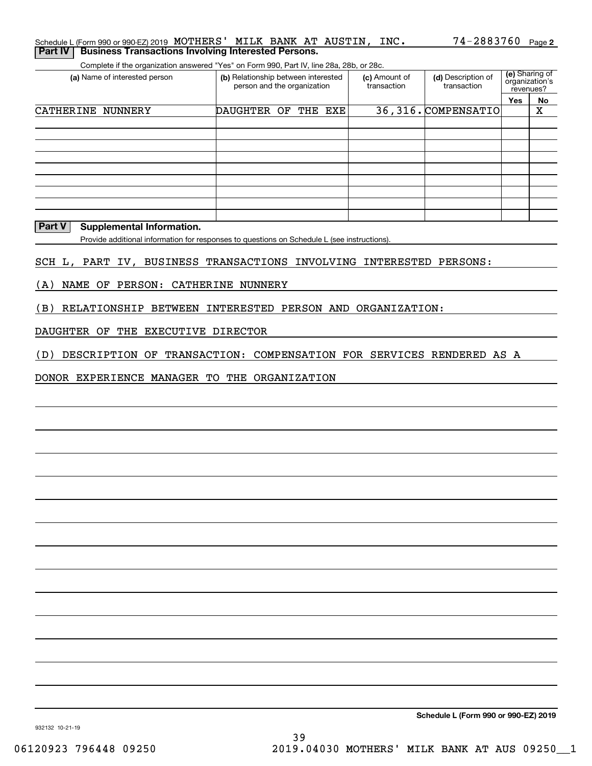| Schedule L (Form 990 or 990-EZ) 2019 MOTHERS ' MILK BANK AT AUSTIN, INC. |  |  |  | $74 - 2883760$ Page 2 |  |
|--------------------------------------------------------------------------|--|--|--|-----------------------|--|
| <b>Part IV   Business Transactions Involving Interested Persons.</b>     |  |  |  |                       |  |

Complete if the organization answered "Yes" on Form 990, Part IV, line 28a, 28b, or 28c.

| (a) Name of interested person | (b) Relationship between interested<br>person and the organization |         | (c) Amount of<br>transaction | (d) Description of<br>transaction | revenues? | (e) Sharing of<br>organization's |
|-------------------------------|--------------------------------------------------------------------|---------|------------------------------|-----------------------------------|-----------|----------------------------------|
|                               |                                                                    |         |                              |                                   | Yes       | No                               |
| CATHERINE<br>NUNNERY          | DAUGHTER OF                                                        | THE EXE |                              | 36, 316. COMPENSATIO              |           | X                                |
|                               |                                                                    |         |                              |                                   |           |                                  |
|                               |                                                                    |         |                              |                                   |           |                                  |
|                               |                                                                    |         |                              |                                   |           |                                  |
|                               |                                                                    |         |                              |                                   |           |                                  |
|                               |                                                                    |         |                              |                                   |           |                                  |
|                               |                                                                    |         |                              |                                   |           |                                  |
|                               |                                                                    |         |                              |                                   |           |                                  |
|                               |                                                                    |         |                              |                                   |           |                                  |
|                               |                                                                    |         |                              |                                   |           |                                  |

**Part V** Supplemental Information.

Provide additional information for responses to questions on Schedule L (see instructions).

SCH L, PART IV, BUSINESS TRANSACTIONS INVOLVING INTERESTED PERSONS:

(A) NAME OF PERSON: CATHERINE NUNNERY

(B) RELATIONSHIP BETWEEN INTERESTED PERSON AND ORGANIZATION:

DAUGHTER OF THE EXECUTIVE DIRECTOR

(D) DESCRIPTION OF TRANSACTION: COMPENSATION FOR SERVICES RENDERED AS A

DONOR EXPERIENCE MANAGER TO THE ORGANIZATION

**Schedule L (Form 990 or 990-EZ) 2019**

932132 10-21-19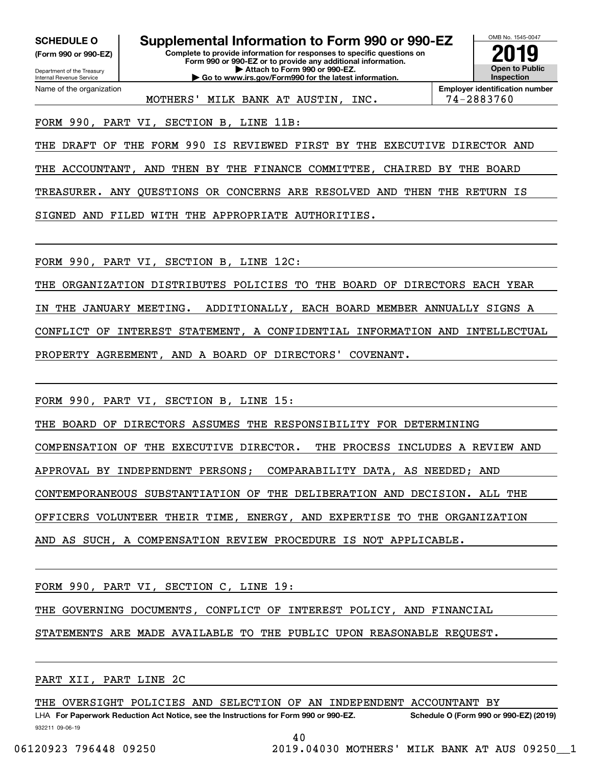**(Form 990 or 990-EZ)**

**Complete to provide information for responses to specific questions on Form 990 or 990-EZ or to provide any additional information. | Attach to Form 990 or 990-EZ. | Go to www.irs.gov/Form990 for the latest information. SCHEDULE O Supplemental Information to Form 990 or 990-EZ**  $\frac{1008 \text{ No. 1545-004}}{2019}$ 



MOTHERS' MILK BANK AT AUSTIN, INC. | 74-2883760

FORM 990, PART VI, SECTION B, LINE 11B:

THE DRAFT OF THE FORM 990 IS REVIEWED FIRST BY THE EXECUTIVE DIRECTOR AND

THE ACCOUNTANT, AND THEN BY THE FINANCE COMMITTEE, CHAIRED BY THE BOARD

TREASURER. ANY QUESTIONS OR CONCERNS ARE RESOLVED AND THEN THE RETURN IS

SIGNED AND FILED WITH THE APPROPRIATE AUTHORITIES.

FORM 990, PART VI, SECTION B, LINE 12C:

THE ORGANIZATION DISTRIBUTES POLICIES TO THE BOARD OF DIRECTORS EACH YEAR IN THE JANUARY MEETING. ADDITIONALLY, EACH BOARD MEMBER ANNUALLY SIGNS A CONFLICT OF INTEREST STATEMENT, A CONFIDENTIAL INFORMATION AND INTELLECTUAL PROPERTY AGREEMENT, AND A BOARD OF DIRECTORS' COVENANT.

FORM 990, PART VI, SECTION B, LINE 15:

THE BOARD OF DIRECTORS ASSUMES THE RESPONSIBILITY FOR DETERMINING

COMPENSATION OF THE EXECUTIVE DIRECTOR. THE PROCESS INCLUDES A REVIEW AND

APPROVAL BY INDEPENDENT PERSONS; COMPARABILITY DATA, AS NEEDED; AND

CONTEMPORANEOUS SUBSTANTIATION OF THE DELIBERATION AND DECISION. ALL THE

OFFICERS VOLUNTEER THEIR TIME, ENERGY, AND EXPERTISE TO THE ORGANIZATION

AND AS SUCH, A COMPENSATION REVIEW PROCEDURE IS NOT APPLICABLE.

FORM 990, PART VI, SECTION C, LINE 19:

THE GOVERNING DOCUMENTS, CONFLICT OF INTEREST POLICY, AND FINANCIAL

STATEMENTS ARE MADE AVAILABLE TO THE PUBLIC UPON REASONABLE REQUEST.

PART XII, PART LINE 2C

THE OVERSIGHT POLICIES AND SELECTION OF AN INDEPENDENT ACCOUNTANT BY

932211 09-06-19 **For Paperwork Reduction Act Notice, see the Instructions for Form 990 or 990-EZ. Schedule O (Form 990 or 990-EZ) (2019)** LHA

40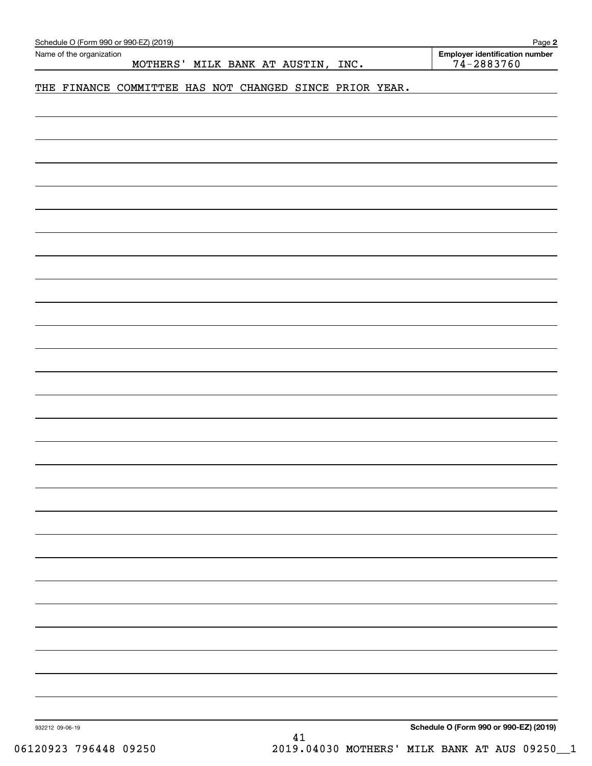| Name of the organization | Schedule O (Form 990 or 990-EZ) (2019)                  |  | MOTHERS' MILK BANK AT AUSTIN, INC. |  | <b>Employer identification number</b><br>$74 - 2883760$ |
|--------------------------|---------------------------------------------------------|--|------------------------------------|--|---------------------------------------------------------|
|                          | THE FINANCE COMMITTEE HAS NOT CHANGED SINCE PRIOR YEAR. |  |                                    |  |                                                         |
|                          |                                                         |  |                                    |  |                                                         |
|                          |                                                         |  |                                    |  |                                                         |
|                          |                                                         |  |                                    |  |                                                         |
|                          |                                                         |  |                                    |  |                                                         |
|                          |                                                         |  |                                    |  |                                                         |
|                          |                                                         |  |                                    |  |                                                         |
|                          |                                                         |  |                                    |  |                                                         |
|                          |                                                         |  |                                    |  |                                                         |
|                          |                                                         |  |                                    |  |                                                         |
|                          |                                                         |  |                                    |  |                                                         |
|                          |                                                         |  |                                    |  |                                                         |
|                          |                                                         |  |                                    |  |                                                         |
|                          |                                                         |  |                                    |  |                                                         |
|                          |                                                         |  |                                    |  |                                                         |
|                          |                                                         |  |                                    |  |                                                         |
|                          |                                                         |  |                                    |  |                                                         |
|                          |                                                         |  |                                    |  |                                                         |
|                          |                                                         |  |                                    |  |                                                         |
|                          |                                                         |  |                                    |  |                                                         |
|                          |                                                         |  |                                    |  |                                                         |
|                          |                                                         |  |                                    |  |                                                         |
|                          |                                                         |  |                                    |  |                                                         |
|                          |                                                         |  |                                    |  |                                                         |
|                          |                                                         |  |                                    |  |                                                         |
|                          |                                                         |  |                                    |  |                                                         |
|                          |                                                         |  |                                    |  |                                                         |
|                          |                                                         |  |                                    |  |                                                         |
|                          |                                                         |  |                                    |  |                                                         |
|                          |                                                         |  |                                    |  |                                                         |
|                          |                                                         |  |                                    |  |                                                         |
|                          |                                                         |  |                                    |  |                                                         |
|                          |                                                         |  |                                    |  |                                                         |
|                          |                                                         |  |                                    |  |                                                         |
|                          |                                                         |  |                                    |  |                                                         |
|                          |                                                         |  |                                    |  |                                                         |
|                          |                                                         |  |                                    |  |                                                         |
|                          |                                                         |  |                                    |  | Schedule O (Form 990 or 990-EZ) (2019)                  |

06120923 796448 09250 2019.04030 MOTHERS' MILK BANK AT AUS 09250\_\_1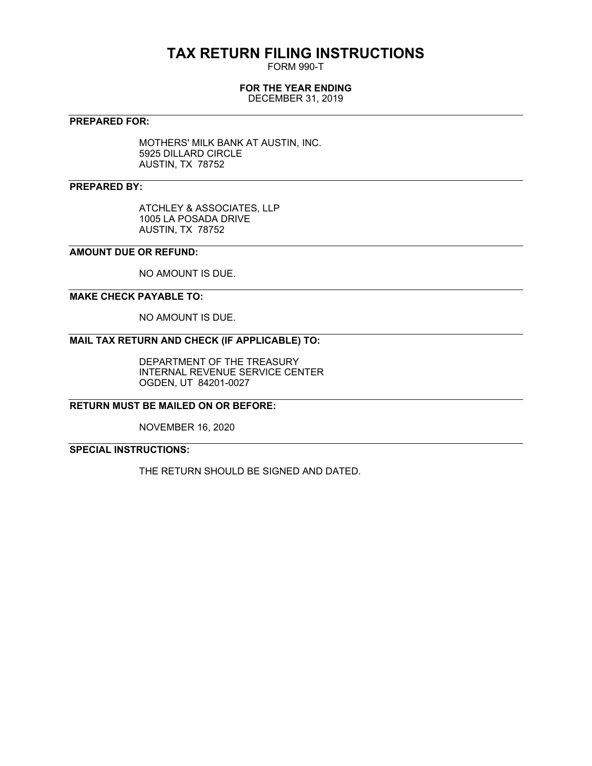# **TAX RETURN FILING INSTRUCTIONS**

FORM 990-T

# **FOR THE YEAR ENDING**

DECEMBER 31, 2019

# **PREPARED FOR:**

MOTHERS' MILK BANK AT AUSTIN, INC. 5925 DILLARD CIRCLE AUSTIN, TX 78752

# **PREPARED BY:**

ATCHLEY & ASSOCIATES, LLP 1005 LA POSADA DRIVE AUSTIN, TX 78752

# **AMOUNT DUE OR REFUND:**

NO AMOUNT IS DUE.

# **MAKE CHECK PAYABLE TO:**

NO AMOUNT IS DUE.

# **MAIL TAX RETURN AND CHECK (IF APPLICABLE) TO:**

DEPARTMENT OF THE TREASURY INTERNAL REVENUE SERVICE CENTER OGDEN, UT 84201-0027

# **RETURN MUST BE MAILED ON OR BEFORE:**

NOVEMBER 16, 2020

# **SPECIAL INSTRUCTIONS:**

THE RETURN SHOULD BE SIGNED AND DATED.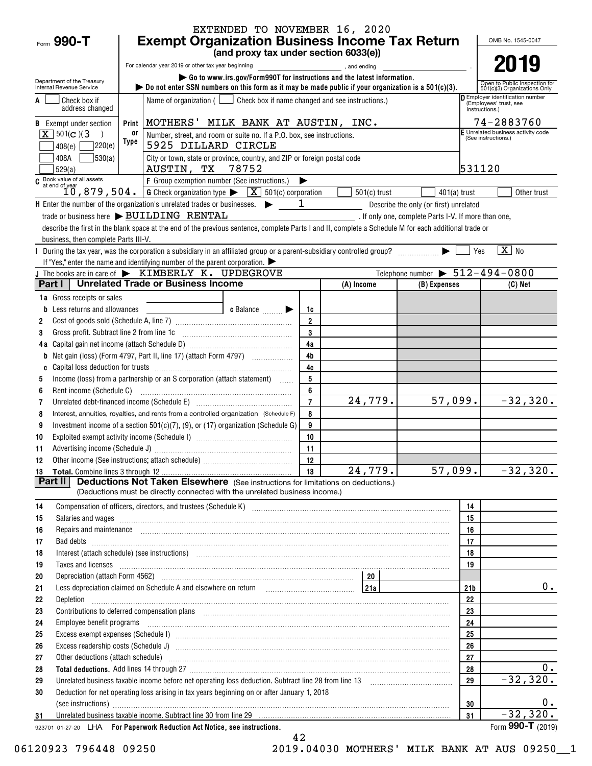|                                                                                                                 |       |                                                                                                                                                                                                                                      | EXTENDED TO NOVEMBER 16, 2020                                           |                |                          |                                                      |                 | OMB No. 1545-0047                                                          |
|-----------------------------------------------------------------------------------------------------------------|-------|--------------------------------------------------------------------------------------------------------------------------------------------------------------------------------------------------------------------------------------|-------------------------------------------------------------------------|----------------|--------------------------|------------------------------------------------------|-----------------|----------------------------------------------------------------------------|
| Form 990-T                                                                                                      |       | <b>Exempt Organization Business Income Tax Return</b>                                                                                                                                                                                | (and proxy tax under section 6033(e))                                   |                |                          |                                                      |                 |                                                                            |
|                                                                                                                 |       | For calendar year 2019 or other tax year beginning                                                                                                                                                                                   |                                                                         |                |                          |                                                      |                 |                                                                            |
|                                                                                                                 |       |                                                                                                                                                                                                                                      | Go to www.irs.gov/Form990T for instructions and the latest information. |                | and ending<br>and ending |                                                      |                 |                                                                            |
| Department of the Treasury<br>Internal Revenue Service                                                          |       | bo not enter SSN numbers on this form as it may be made public if your organization is a $501(c)(3)$ .                                                                                                                               |                                                                         |                |                          |                                                      |                 | Open to Public Inspection for<br>501(c)(3) Organizations Only              |
| Check box if<br>address changed                                                                                 |       | Name of organization ( $\Box$ Check box if name changed and see instructions.)                                                                                                                                                       |                                                                         |                |                          |                                                      |                 | Employer identification number<br>(Employees' trust, see<br>instructions.) |
| <b>B</b> Exempt under section                                                                                   | Print | MOTHERS' MILK BANK AT AUSTIN, INC.                                                                                                                                                                                                   |                                                                         |                |                          |                                                      |                 | 74-2883760                                                                 |
| $X \mid 501(c)$ (3)                                                                                             | 0ľ    | Number, street, and room or suite no. If a P.O. box, see instructions.                                                                                                                                                               |                                                                         |                |                          |                                                      |                 | F Unrelated business activity code<br>(See instructions.)                  |
| 220(e) <br>408(e)                                                                                               | Type  | 5925 DILLARD CIRCLE                                                                                                                                                                                                                  |                                                                         |                |                          |                                                      |                 |                                                                            |
| 530(a) <br>408A<br>529(a)                                                                                       |       | City or town, state or province, country, and ZIP or foreign postal code<br><b>AUSTIN, TX 78752</b>                                                                                                                                  |                                                                         |                |                          |                                                      | 531120          |                                                                            |
| C Book value of all assets<br>at end of year                                                                    |       | F Group exemption number (See instructions.)                                                                                                                                                                                         |                                                                         | ▶              |                          |                                                      |                 |                                                                            |
|                                                                                                                 |       | $10,879,504.$ G Check organization type $\triangleright$ $\boxed{\text{X}}$ 501(c) corporation                                                                                                                                       |                                                                         |                | $501(c)$ trust           | $401(a)$ trust                                       |                 | Other trust                                                                |
| <b>H</b> Enter the number of the organization's unrelated trades or businesses. $\triangleright$ $\blacksquare$ |       |                                                                                                                                                                                                                                      |                                                                         |                |                          | Describe the only (or first) unrelated               |                 |                                                                            |
|                                                                                                                 |       | trade or business here > BUILDING RENTAL                                                                                                                                                                                             |                                                                         |                |                          | . If only one, complete Parts I-V. If more than one, |                 |                                                                            |
|                                                                                                                 |       | describe the first in the blank space at the end of the previous sentence, complete Parts I and II, complete a Schedule M for each additional trade or                                                                               |                                                                         |                |                          |                                                      |                 |                                                                            |
| business, then complete Parts III-V.                                                                            |       |                                                                                                                                                                                                                                      |                                                                         |                |                          |                                                      |                 |                                                                            |
|                                                                                                                 |       |                                                                                                                                                                                                                                      |                                                                         |                |                          |                                                      | T Yes           | $\boxed{\text{X}}$ No                                                      |
| J The books are in care of $\blacktriangleright$ KIMBERLY K. UPDEGROVE                                          |       | If "Yes," enter the name and identifying number of the parent corporation. $\blacktriangleright$                                                                                                                                     |                                                                         |                |                          | Telephone number $\triangleright$ 512-494-0800       |                 |                                                                            |
| <b>Part I   Unrelated Trade or Business Income</b>                                                              |       |                                                                                                                                                                                                                                      |                                                                         |                | (A) Income               | (B) Expenses                                         |                 | $(C)$ Net                                                                  |
| 1a Gross receipts or sales                                                                                      |       |                                                                                                                                                                                                                                      |                                                                         |                |                          |                                                      |                 |                                                                            |
| Less returns and allowances<br>b                                                                                |       |                                                                                                                                                                                                                                      | $\vert$ c Balance $\vert$ $\vert$                                       | 1c             |                          |                                                      |                 |                                                                            |
| 2                                                                                                               |       |                                                                                                                                                                                                                                      |                                                                         | $\overline{2}$ |                          |                                                      |                 |                                                                            |
| 3                                                                                                               |       | Gross profit. Subtract line 2 from line 1c [11] [11] [12] [12] [13] [14] [15] [15] [15] [15] [15] [15] [15] [1                                                                                                                       |                                                                         | $\mathbf 3$    |                          |                                                      |                 |                                                                            |
| 4a                                                                                                              |       |                                                                                                                                                                                                                                      |                                                                         | 4a             |                          |                                                      |                 |                                                                            |
| b                                                                                                               |       | Net gain (loss) (Form 4797, Part II, line 17) (attach Form 4797)                                                                                                                                                                     |                                                                         | 4 <sub>b</sub> |                          |                                                      |                 |                                                                            |
| C                                                                                                               |       |                                                                                                                                                                                                                                      |                                                                         | 4c             |                          |                                                      |                 |                                                                            |
| 5                                                                                                               |       | Income (loss) from a partnership or an S corporation (attach statement)                                                                                                                                                              |                                                                         | 5              |                          |                                                      |                 |                                                                            |
| 6                                                                                                               |       |                                                                                                                                                                                                                                      |                                                                         | 6              |                          |                                                      |                 |                                                                            |
| 7                                                                                                               |       |                                                                                                                                                                                                                                      |                                                                         | $\overline{7}$ | 24,779.                  | 57,099.                                              |                 | $-32,320.$                                                                 |
| 8                                                                                                               |       | Interest, annuities, royalties, and rents from a controlled organization (Schedule F)                                                                                                                                                |                                                                         | 8              |                          |                                                      |                 |                                                                            |
| 9                                                                                                               |       | Investment income of a section 501(c)(7), (9), or (17) organization (Schedule G)                                                                                                                                                     |                                                                         | 9<br>10        |                          |                                                      |                 |                                                                            |
| 10<br>11                                                                                                        |       |                                                                                                                                                                                                                                      |                                                                         | 11             |                          |                                                      |                 |                                                                            |
| 12                                                                                                              |       |                                                                                                                                                                                                                                      |                                                                         | 12             |                          |                                                      |                 |                                                                            |
| 13                                                                                                              |       |                                                                                                                                                                                                                                      |                                                                         | 13             | 24,779.                  | 57,099.                                              |                 | $-32,320.$                                                                 |
| Part II                                                                                                         |       |                                                                                                                                                                                                                                      |                                                                         |                |                          |                                                      |                 |                                                                            |
|                                                                                                                 |       | (Deductions must be directly connected with the unrelated business income.)                                                                                                                                                          |                                                                         |                |                          |                                                      |                 |                                                                            |
| 14                                                                                                              |       | Compensation of officers, directors, and trustees (Schedule K) [11] [2010] Compensation of officers, directors, and trustees (Schedule K) [11] [2010] [2010] [2010] [2010] [2010] [2010] [2010] [2010] [2010] [2010] [2010] [2       |                                                                         |                |                          |                                                      | 14              |                                                                            |
| 15                                                                                                              |       | Salaries and wages information continuous contracts and wages in the salaries and wages incommutation of the salarities and wages in the salarities and wages in the salarities of the salarities of the salarities of the sal       |                                                                         |                |                          |                                                      | 15              |                                                                            |
| 16                                                                                                              |       | Repairs and maintenance <i>[1] [1] [1] [1] [1] [1] [1] [1] [1]</i> [1] <b>[1] [1] [1] [1] [1] [1] [1] [1] [1] [1] [1] [1] [1] [1] [1] [1] [1] [1] [1] [1] [1] [1] [1] [1] [1] [1]</b>                                                |                                                                         |                |                          |                                                      | 16              |                                                                            |
| 17                                                                                                              |       |                                                                                                                                                                                                                                      |                                                                         |                |                          |                                                      | 17              |                                                                            |
| 18                                                                                                              |       | Interest (attach schedule) (see instructions) www.communicalisations.communicalisations.communicalisations.com                                                                                                                       |                                                                         |                |                          |                                                      | 18              |                                                                            |
| 19                                                                                                              |       | Taxes and licenses <b>contractive and contract and contract and contract and contract and contract and contract and contract and contract and contract and contract and contract and contract and contract and contract and cont</b> |                                                                         |                |                          |                                                      | 19              |                                                                            |
| 20<br>21                                                                                                        |       |                                                                                                                                                                                                                                      |                                                                         |                |                          |                                                      | 21 <sub>b</sub> | $0$ .                                                                      |
| 22                                                                                                              |       |                                                                                                                                                                                                                                      |                                                                         |                |                          |                                                      | 22              |                                                                            |
| 23                                                                                                              |       | Contributions to deferred compensation plans [11] manufactured contributions to deferred compensation plans [11] manufactured compensation plans [11] manufactured compensation plans [11] manufactured contributions to defer       |                                                                         |                |                          |                                                      | 23              |                                                                            |
| 24                                                                                                              |       | Employee benefit programs in the continuum contract of the contract of the contract of the contract of the contract of the contract of the contract of the contract of the contract of the contract of the contract of the con       |                                                                         |                |                          |                                                      | 24              |                                                                            |
| 25                                                                                                              |       |                                                                                                                                                                                                                                      |                                                                         |                |                          |                                                      | 25              |                                                                            |
| 26                                                                                                              |       |                                                                                                                                                                                                                                      |                                                                         |                |                          |                                                      | 26              |                                                                            |
| 27                                                                                                              |       | Other deductions (attach schedule) www.communications.communications.communications.communications.communications.com                                                                                                                |                                                                         |                |                          |                                                      | 27              |                                                                            |
| 28                                                                                                              |       |                                                                                                                                                                                                                                      |                                                                         |                |                          |                                                      | 28              | $0$ .                                                                      |
| 29                                                                                                              |       |                                                                                                                                                                                                                                      |                                                                         |                |                          |                                                      | 29              | $-32,320.$                                                                 |
| 30                                                                                                              |       | Deduction for net operating loss arising in tax years beginning on or after January 1, 2018                                                                                                                                          |                                                                         |                |                          |                                                      |                 |                                                                            |
|                                                                                                                 |       | (see instructions) www.communications.com/inductions.com/inductions.com/inductions.com/inductions.com/inductions.com/inductions.com/inductions.com/inductions.com/inductions.com/inductions.com/inductions.com/inductions.com/       |                                                                         |                |                          |                                                      | 30              | $0$ .                                                                      |
| 31                                                                                                              |       | Unrelated business taxable income. Subtract line 30 from line 29 [11] manufacture incommunications and the Uni                                                                                                                       |                                                                         |                |                          |                                                      | 31              | $-32,320.$                                                                 |
| 923701 01-27-20 LHA For Paperwork Reduction Act Notice, see instructions.                                       |       |                                                                                                                                                                                                                                      |                                                                         |                |                          |                                                      |                 | Form 990-T (2019)                                                          |

42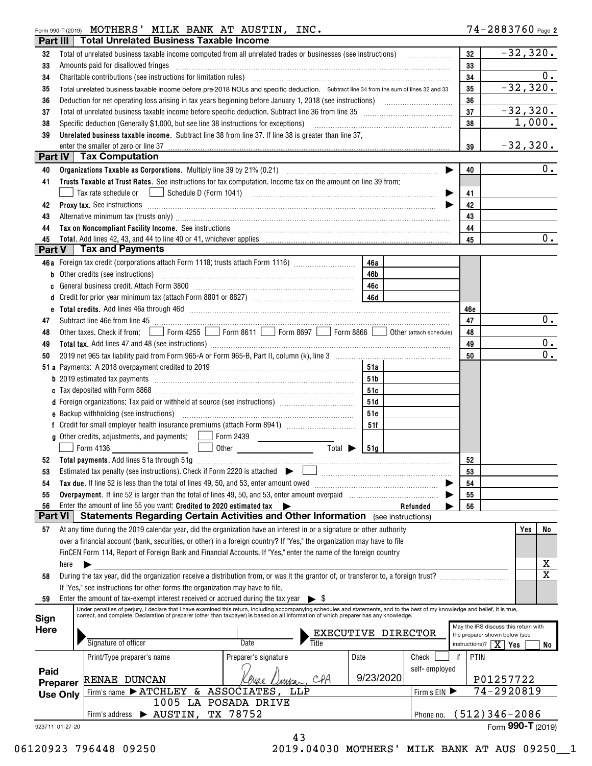### Form 990-T(2019) **MUTHERS MILIK BANK AT AUSTIN, INC.** / 4-Z 8 8 3 / 6 U Page MOTHERS' MILK BANK AT AUSTIN, INC.

| Part III        |                 | <b>Total Unrelated Business Taxable Income</b>                                                                                                                                                                                                                      |                             |           |               |            |                                               |
|-----------------|-----------------|---------------------------------------------------------------------------------------------------------------------------------------------------------------------------------------------------------------------------------------------------------------------|-----------------------------|-----------|---------------|------------|-----------------------------------------------|
| 32              |                 |                                                                                                                                                                                                                                                                     |                             |           |               | 32         | $-32,320.$                                    |
| 33              |                 | Amounts paid for disallowed fringes                                                                                                                                                                                                                                 |                             |           |               | 33         |                                               |
| 34              |                 | Charitable contributions (see instructions for limitation rules) [11] manufacture in the contributions (see instructions for limitation rules) [11] manufacture in the contributions (see instructions for limitation rules) [                                      |                             |           |               | 34         | 0.                                            |
| 35              |                 | Total unrelated business taxable income before pre-2018 NOLs and specific deduction. Subtract line 34 from the sum of lines 32 and 33                                                                                                                               |                             |           |               | 35         | $-32,320.$                                    |
| 36              |                 |                                                                                                                                                                                                                                                                     |                             |           |               | 36         |                                               |
| 37              |                 |                                                                                                                                                                                                                                                                     |                             |           |               | 37         | $-32,320.$                                    |
| 38              |                 |                                                                                                                                                                                                                                                                     |                             |           |               | 38         | 1,000.                                        |
| 39              |                 | Unrelated business taxable income. Subtract line 38 from line 37. If line 38 is greater than line 37,                                                                                                                                                               |                             |           |               |            |                                               |
|                 |                 | enter the smaller of zero or line 37                                                                                                                                                                                                                                |                             |           |               | 39         | $-32,320.$                                    |
|                 |                 | <b>Part IV   Tax Computation</b>                                                                                                                                                                                                                                    |                             |           |               |            |                                               |
| 40              |                 |                                                                                                                                                                                                                                                                     |                             |           | ▶             | 40         | 0.                                            |
| 41              |                 | Trusts Taxable at Trust Rates. See instructions for tax computation. Income tax on the amount on line 39 from:                                                                                                                                                      |                             |           |               |            |                                               |
|                 |                 | Tax rate schedule or                                                                                                                                                                                                                                                |                             |           |               | 41         |                                               |
| 42              |                 | Proxy tax. See instructions <i>machines and contained a contained a contained a contained a contained a contained a</i>                                                                                                                                             |                             |           |               | 42         |                                               |
| 43              |                 | Alternative minimum tax (trusts only) manufactured and an according term of the state of the state of the state of the state of the state of the state of the state of the state of the state of the state of the state of the                                      |                             |           |               | 43         |                                               |
| 44              |                 | Tax on Noncompliant Facility Income. See instructions [1001] [1001] [1001] [1001] [1001] [1001] [1001] [1001] [1001] [1001] [1001] [1001] [1001] [1001] [1001] [1001] [1001] [1001] [1001] [1001] [1001] [1001] [1001] [1001]                                       |                             |           |               | 44         |                                               |
| 45              |                 |                                                                                                                                                                                                                                                                     |                             |           |               | 45         | $0$ .                                         |
| Part V          |                 | <b>Tax and Payments</b>                                                                                                                                                                                                                                             |                             |           |               |            |                                               |
|                 |                 | 46a Foreign tax credit (corporations attach Form 1118; trusts attach Form 1116) [                                                                                                                                                                                   |                             | 46a       |               |            |                                               |
|                 |                 |                                                                                                                                                                                                                                                                     |                             | 46b       |               |            |                                               |
|                 |                 | General business credit. Attach Form 3800                                                                                                                                                                                                                           |                             | 46c       |               |            |                                               |
| C               |                 |                                                                                                                                                                                                                                                                     |                             |           |               |            |                                               |
| d               |                 |                                                                                                                                                                                                                                                                     |                             |           |               |            |                                               |
|                 |                 |                                                                                                                                                                                                                                                                     |                             |           |               | 46e        | 0.                                            |
| 47              |                 | Subtract line 46e from line 45 <b>manual construction</b> 45                                                                                                                                                                                                        |                             |           |               | 47         |                                               |
| 48              |                 | Other taxes. Check if from: Form 4255 Form 8611 Form 8697 Steve 866 Other (attach schedule)                                                                                                                                                                         |                             |           |               | 48         |                                               |
| 49              |                 |                                                                                                                                                                                                                                                                     |                             |           |               | 49         | 0.<br>0.                                      |
| 50              |                 |                                                                                                                                                                                                                                                                     |                             |           |               | 50         |                                               |
|                 |                 |                                                                                                                                                                                                                                                                     |                             | 51a       |               |            |                                               |
|                 |                 |                                                                                                                                                                                                                                                                     |                             | 51b       |               |            |                                               |
|                 |                 |                                                                                                                                                                                                                                                                     |                             | 51c       |               |            |                                               |
|                 |                 | d Foreign organizations: Tax paid or withheld at source (see instructions) [                                                                                                                                                                                        |                             | 51d       |               |            |                                               |
|                 |                 | e Backup withholding (see instructions) [11] [12] manufacture materials and the Backup withholding (see instructions)                                                                                                                                               |                             | 51e       |               |            |                                               |
|                 |                 |                                                                                                                                                                                                                                                                     |                             | 51f       |               |            |                                               |
|                 |                 | <b>g</b> Other credits, adjustments, and payments: <u>[16]</u> Form 2439 [16] CHERRY CHERRY ASSEMBLE                                                                                                                                                                |                             |           |               |            |                                               |
|                 |                 | Form 4136<br>$\perp$                                                                                                                                                                                                                                                | Total $\blacktriangleright$ | 51a       |               |            |                                               |
| 52              |                 |                                                                                                                                                                                                                                                                     |                             |           |               | 52         |                                               |
| 53              |                 | Estimated tax penalty (see instructions). Check if Form 2220 is attached $\blacktriangleright$                                                                                                                                                                      |                             |           |               | 53         |                                               |
| 54              |                 | Tax due. If line 52 is less than the total of lines 49, 50, and 53, enter amount owed                                                                                                                                                                               |                             |           |               | 54         |                                               |
| 55              |                 |                                                                                                                                                                                                                                                                     |                             |           |               | 55         |                                               |
| 56              |                 | Enter the amount of line 55 you want: Credited to 2020 estimated tax                                                                                                                                                                                                |                             |           | Refunded      | 56         |                                               |
| <b>Part VI</b>  |                 | <b>Statements Regarding Certain Activities and Other Information</b> (see instructions)                                                                                                                                                                             |                             |           |               |            |                                               |
| 57              |                 | At any time during the 2019 calendar year, did the organization have an interest in or a signature or other authority                                                                                                                                               |                             |           |               |            | No<br>Yes                                     |
|                 |                 | over a financial account (bank, securities, or other) in a foreign country? If "Yes," the organization may have to file                                                                                                                                             |                             |           |               |            |                                               |
|                 |                 | FinCEN Form 114, Report of Foreign Bank and Financial Accounts. If "Yes," enter the name of the foreign country                                                                                                                                                     |                             |           |               |            |                                               |
|                 | here            |                                                                                                                                                                                                                                                                     |                             |           |               |            | х                                             |
| 58              |                 | During the tax year, did the organization receive a distribution from, or was it the grantor of, or transferor to, a foreign trust?                                                                                                                                 |                             |           |               |            | $\mathbf X$                                   |
|                 |                 | If "Yes," see instructions for other forms the organization may have to file.                                                                                                                                                                                       |                             |           |               |            |                                               |
| 59              |                 | Enter the amount of tax-exempt interest received or accrued during the tax year<br>Under penalties of perjury, I declare that I have examined this return, including accompanying schedules and statements, and to the best of my knowledge and belief, it is true, | ► \$                        |           |               |            |                                               |
| Sign            |                 | correct, and complete. Declaration of preparer (other than taxpayer) is based on all information of which preparer has any knowledge.                                                                                                                               |                             |           |               |            |                                               |
| <b>Here</b>     |                 |                                                                                                                                                                                                                                                                     |                             |           |               |            | May the IRS discuss this return with          |
|                 |                 | Signature of officer                                                                                                                                                                                                                                                | <b>EXECUTIVE</b><br>Date    |           | DIRECTOR      |            | the preparer shown below (see                 |
|                 |                 |                                                                                                                                                                                                                                                                     |                             |           |               |            | instructions)? $\boxed{\mathbf{X}}$ Yes<br>No |
|                 |                 | Print/Type preparer's name                                                                                                                                                                                                                                          | Preparer's signature        | Date      | Check         | PTIN<br>if |                                               |
| Paid            |                 |                                                                                                                                                                                                                                                                     |                             |           | self-employed |            |                                               |
|                 | Preparer        | <b>RENAE DUNCAN</b>                                                                                                                                                                                                                                                 | CPA<br>luae                 | 9/23/2020 |               |            | P01257722                                     |
|                 | <b>Use Only</b> | Firm's name > ATCHLEY & ASSOCIATES,                                                                                                                                                                                                                                 | LLP                         |           | Firm's EIN    |            | $74 - 2920819$                                |
|                 |                 | 1005 LA POSADA DRIVE                                                                                                                                                                                                                                                |                             |           |               |            |                                               |
|                 |                 | $\blacktriangleright$ AUSTIN,<br>Firm's address                                                                                                                                                                                                                     | TX 78752                    |           | Phone no.     |            | $(512)346 - 2086$                             |
| 923711 01-27-20 |                 |                                                                                                                                                                                                                                                                     |                             |           |               |            | Form 990-T (2019)                             |
|                 |                 |                                                                                                                                                                                                                                                                     | 43                          |           |               |            |                                               |

06120923 796448 09250 2019.04030 MOTHERS' MILK BANK AT AUS 09250\_\_1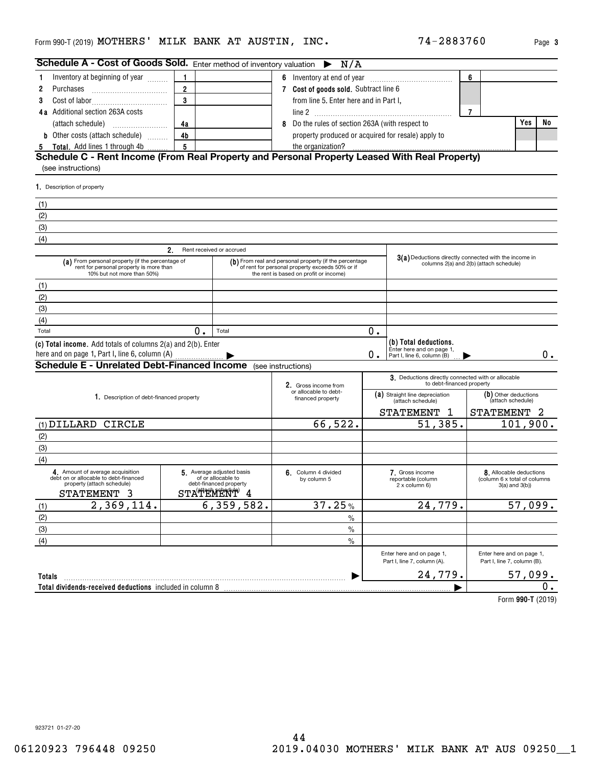| Inventory at beginning of year         |    | 6 Inventory at end of year                         | 6 |     |    |
|----------------------------------------|----|----------------------------------------------------|---|-----|----|
| 2<br>Purchases                         |    | <b>Cost of goods sold.</b> Subtract line 6         |   |     |    |
| 3                                      |    | from line 5. Enter here and in Part I,             |   |     |    |
| 4a Additional section 263A costs       |    |                                                    |   |     |    |
|                                        | 4a | 8 Do the rules of section 263A (with respect to    |   | Yes | No |
| <b>b</b> Other costs (attach schedule) | 4b | property produced or acquired for resale) apply to |   |     |    |
| 5 Total. Add lines 1 through 4b        |    |                                                    |   |     |    |

### 1. Description of property

| (1)                                                                                                                                                                                                                        |                |                                    |                                                                                                                                                     |                                                        |                                                                                                  |                                                          |  |  |
|----------------------------------------------------------------------------------------------------------------------------------------------------------------------------------------------------------------------------|----------------|------------------------------------|-----------------------------------------------------------------------------------------------------------------------------------------------------|--------------------------------------------------------|--------------------------------------------------------------------------------------------------|----------------------------------------------------------|--|--|
| (2)                                                                                                                                                                                                                        |                |                                    |                                                                                                                                                     |                                                        |                                                                                                  |                                                          |  |  |
| (3)                                                                                                                                                                                                                        |                |                                    |                                                                                                                                                     |                                                        |                                                                                                  |                                                          |  |  |
| (4)                                                                                                                                                                                                                        |                |                                    |                                                                                                                                                     |                                                        |                                                                                                  |                                                          |  |  |
|                                                                                                                                                                                                                            | 2.             | Rent received or accrued           |                                                                                                                                                     |                                                        |                                                                                                  |                                                          |  |  |
| (a) From personal property (if the percentage of<br>rent for personal property is more than<br>10% but not more than 50%)                                                                                                  |                |                                    | (b) From real and personal property (if the percentage<br>of rent for personal property exceeds 50% or if<br>the rent is based on profit or income) |                                                        | 3(a) Deductions directly connected with the income in<br>columns 2(a) and 2(b) (attach schedule) |                                                          |  |  |
| (1)                                                                                                                                                                                                                        |                |                                    |                                                                                                                                                     |                                                        |                                                                                                  |                                                          |  |  |
| (2)                                                                                                                                                                                                                        |                |                                    |                                                                                                                                                     |                                                        |                                                                                                  |                                                          |  |  |
| (3)                                                                                                                                                                                                                        |                |                                    |                                                                                                                                                     |                                                        |                                                                                                  |                                                          |  |  |
| (4)                                                                                                                                                                                                                        |                |                                    |                                                                                                                                                     |                                                        |                                                                                                  |                                                          |  |  |
| Total                                                                                                                                                                                                                      | $\mathbf{0}$ . | Total                              |                                                                                                                                                     | 0.                                                     |                                                                                                  |                                                          |  |  |
| (c) Total income. Add totals of columns 2(a) and 2(b). Enter<br>here and on page 1, Part I, line 6, column (A)                                                                                                             |                |                                    |                                                                                                                                                     | 0.                                                     | (b) Total deductions.<br>Enter here and on page 1,<br>Part I, line 6, column (B)                 | 0.                                                       |  |  |
| <b>Schedule E - Unrelated Debt-Financed Income</b>                                                                                                                                                                         |                |                                    | (see instructions)                                                                                                                                  |                                                        |                                                                                                  |                                                          |  |  |
|                                                                                                                                                                                                                            |                |                                    | 2. Gross income from                                                                                                                                |                                                        | 3. Deductions directly connected with or allocable<br>to debt-financed property                  |                                                          |  |  |
| 1. Description of debt-financed property                                                                                                                                                                                   |                |                                    | or allocable to debt-<br>financed property                                                                                                          |                                                        | (a) Straight line depreciation<br>(attach schedule)                                              | $(b)$ Other deductions<br>(attach schedule)              |  |  |
|                                                                                                                                                                                                                            |                |                                    |                                                                                                                                                     |                                                        | <b>STATEMENT</b>                                                                                 | <b>STATEMENT</b>                                         |  |  |
| (1) DILLARD CIRCLE                                                                                                                                                                                                         |                |                                    | 66,522.                                                                                                                                             |                                                        | $\overline{51,385}$ .                                                                            | 101,900.                                                 |  |  |
| (2)                                                                                                                                                                                                                        |                |                                    |                                                                                                                                                     |                                                        |                                                                                                  |                                                          |  |  |
| (3)                                                                                                                                                                                                                        |                |                                    |                                                                                                                                                     |                                                        |                                                                                                  |                                                          |  |  |
| (4)                                                                                                                                                                                                                        |                |                                    |                                                                                                                                                     |                                                        |                                                                                                  |                                                          |  |  |
| 4. Amount of average acquisition<br>5 Average adjusted basis<br>debt on or allocable to debt-financed<br>of or allocable to<br>property (attach schedule)<br>debt-financed property<br>STATEMENT<br><b>STATEMENT</b><br>-3 |                | 6. Column 4 divided<br>by column 5 |                                                                                                                                                     | 7. Gross income<br>reportable (column<br>2 x column 6) | 8. Allocable deductions<br>(column 6 x total of columns<br>$3(a)$ and $3(b)$ )                   |                                                          |  |  |
| 2,369,114.<br>(1)                                                                                                                                                                                                          |                | 6, 359, 582.                       | 37.25%                                                                                                                                              |                                                        | 24,779.                                                                                          | 57,099.                                                  |  |  |
| (2)                                                                                                                                                                                                                        |                |                                    | $\frac{0}{0}$                                                                                                                                       |                                                        |                                                                                                  |                                                          |  |  |
| (3)                                                                                                                                                                                                                        |                |                                    | $\frac{0}{0}$                                                                                                                                       |                                                        |                                                                                                  |                                                          |  |  |
| (4)                                                                                                                                                                                                                        |                |                                    | $\frac{0}{0}$                                                                                                                                       |                                                        |                                                                                                  |                                                          |  |  |
|                                                                                                                                                                                                                            |                |                                    |                                                                                                                                                     |                                                        | Enter here and on page 1,<br>Part I, line 7, column (A).                                         | Enter here and on page 1,<br>Part I, line 7, column (B). |  |  |
| Totals                                                                                                                                                                                                                     |                |                                    |                                                                                                                                                     |                                                        | 24,779.                                                                                          | 57,099.                                                  |  |  |
| Total dividends-received deductions included in column 8                                                                                                                                                                   |                |                                    |                                                                                                                                                     |                                                        |                                                                                                  |                                                          |  |  |
|                                                                                                                                                                                                                            |                |                                    |                                                                                                                                                     |                                                        |                                                                                                  |                                                          |  |  |

**990-T**  Form (2019)

923721 01-27-20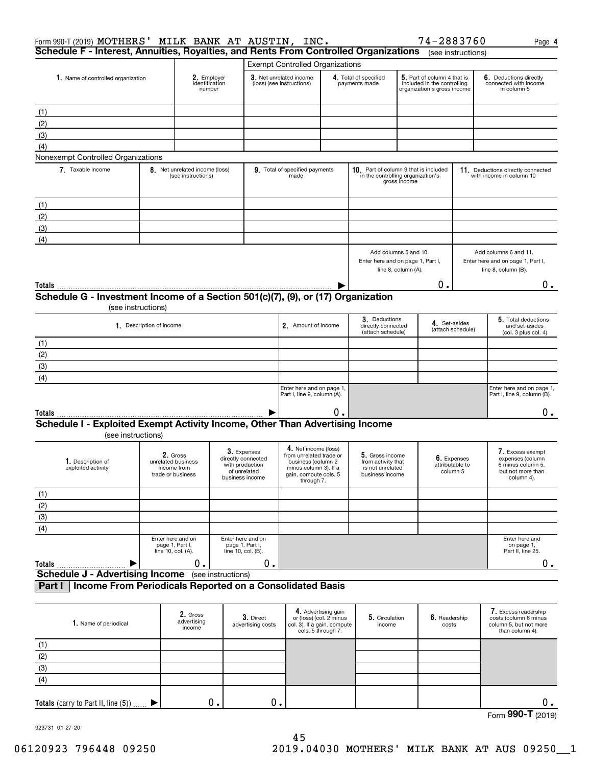| Form 990-T (2019) MOTHERS' MILK BANK AT AUSTIN, INC.                                 |                          |                                                                    |                                                      |                                                                                         |                                                                                                                                       |                                                   |                                                                                            |                                                                                           | 74-2883760                                                    |                                                                                              | Page 4                                                                            |  |
|--------------------------------------------------------------------------------------|--------------------------|--------------------------------------------------------------------|------------------------------------------------------|-----------------------------------------------------------------------------------------|---------------------------------------------------------------------------------------------------------------------------------------|---------------------------------------------------|--------------------------------------------------------------------------------------------|-------------------------------------------------------------------------------------------|---------------------------------------------------------------|----------------------------------------------------------------------------------------------|-----------------------------------------------------------------------------------|--|
| Schedule F - Interest, Annuities, Royalties, and Rents From Controlled Organizations |                          |                                                                    |                                                      |                                                                                         |                                                                                                                                       |                                                   |                                                                                            |                                                                                           |                                                               | (see instructions)                                                                           |                                                                                   |  |
|                                                                                      |                          |                                                                    |                                                      |                                                                                         | <b>Exempt Controlled Organizations</b>                                                                                                |                                                   |                                                                                            |                                                                                           |                                                               |                                                                                              |                                                                                   |  |
| 2. Employer<br>1. Name of controlled organization<br>identification<br>number        |                          |                                                                    | 3. Net unrelated income<br>(loss) (see instructions) |                                                                                         |                                                                                                                                       | 4. Total of specified<br>payments made            |                                                                                            | 5. Part of column 4 that is<br>included in the controlling<br>organization's gross income |                                                               | 6. Deductions directly<br>connected with income<br>in column 5                               |                                                                                   |  |
|                                                                                      |                          |                                                                    |                                                      |                                                                                         |                                                                                                                                       |                                                   |                                                                                            |                                                                                           |                                                               |                                                                                              |                                                                                   |  |
| (1)                                                                                  |                          |                                                                    |                                                      |                                                                                         |                                                                                                                                       |                                                   |                                                                                            |                                                                                           |                                                               |                                                                                              |                                                                                   |  |
| (2)                                                                                  |                          |                                                                    |                                                      |                                                                                         |                                                                                                                                       |                                                   |                                                                                            |                                                                                           |                                                               |                                                                                              |                                                                                   |  |
| (3)                                                                                  |                          |                                                                    |                                                      |                                                                                         |                                                                                                                                       |                                                   |                                                                                            |                                                                                           |                                                               |                                                                                              |                                                                                   |  |
| (4)                                                                                  |                          |                                                                    |                                                      |                                                                                         |                                                                                                                                       |                                                   |                                                                                            |                                                                                           |                                                               |                                                                                              |                                                                                   |  |
| Nonexempt Controlled Organizations                                                   |                          |                                                                    |                                                      |                                                                                         |                                                                                                                                       |                                                   |                                                                                            |                                                                                           |                                                               |                                                                                              |                                                                                   |  |
| 7. Taxable Income                                                                    |                          | 8. Net unrelated income (loss)<br>(see instructions)               |                                                      |                                                                                         | 9. Total of specified payments<br>made                                                                                                |                                                   | 10. Part of column 9 that is included<br>in the controlling organization's<br>gross income |                                                                                           | 11. Deductions directly connected<br>with income in column 10 |                                                                                              |                                                                                   |  |
| (1)                                                                                  |                          |                                                                    |                                                      |                                                                                         |                                                                                                                                       |                                                   |                                                                                            |                                                                                           |                                                               |                                                                                              |                                                                                   |  |
| (2)                                                                                  |                          |                                                                    |                                                      |                                                                                         |                                                                                                                                       |                                                   |                                                                                            |                                                                                           |                                                               |                                                                                              |                                                                                   |  |
|                                                                                      |                          |                                                                    |                                                      |                                                                                         |                                                                                                                                       |                                                   |                                                                                            |                                                                                           |                                                               |                                                                                              |                                                                                   |  |
| (3)                                                                                  |                          |                                                                    |                                                      |                                                                                         |                                                                                                                                       |                                                   |                                                                                            |                                                                                           |                                                               |                                                                                              |                                                                                   |  |
| (4)                                                                                  |                          |                                                                    |                                                      |                                                                                         |                                                                                                                                       |                                                   |                                                                                            |                                                                                           |                                                               |                                                                                              |                                                                                   |  |
|                                                                                      |                          |                                                                    |                                                      |                                                                                         |                                                                                                                                       |                                                   | Add columns 5 and 10.<br>Enter here and on page 1, Part I,                                 | line 8, column (A).                                                                       |                                                               |                                                                                              | Add columns 6 and 11.<br>Enter here and on page 1, Part I,<br>line 8, column (B). |  |
| Totals                                                                               |                          |                                                                    |                                                      |                                                                                         |                                                                                                                                       |                                                   |                                                                                            |                                                                                           | Ο.                                                            |                                                                                              | 0.                                                                                |  |
| Schedule G - Investment Income of a Section 501(c)(7), (9), or (17) Organization     |                          |                                                                    |                                                      |                                                                                         |                                                                                                                                       |                                                   |                                                                                            |                                                                                           |                                                               |                                                                                              |                                                                                   |  |
|                                                                                      | (see instructions)       |                                                                    |                                                      |                                                                                         |                                                                                                                                       |                                                   |                                                                                            |                                                                                           |                                                               |                                                                                              |                                                                                   |  |
|                                                                                      |                          |                                                                    |                                                      |                                                                                         |                                                                                                                                       |                                                   |                                                                                            |                                                                                           |                                                               |                                                                                              |                                                                                   |  |
|                                                                                      | 1. Description of income |                                                                    |                                                      |                                                                                         | 2. Amount of income                                                                                                                   |                                                   | 3. Deductions<br>directly connected                                                        |                                                                                           | 4. Set-asides<br>(attach schedule)                            |                                                                                              | 5. Total deductions<br>and set-asides                                             |  |
|                                                                                      |                          |                                                                    |                                                      |                                                                                         |                                                                                                                                       |                                                   | (attach schedule)                                                                          |                                                                                           |                                                               |                                                                                              | (col. 3 plus col. 4)                                                              |  |
| (1)                                                                                  |                          |                                                                    |                                                      |                                                                                         |                                                                                                                                       |                                                   |                                                                                            |                                                                                           |                                                               |                                                                                              |                                                                                   |  |
| (2)                                                                                  |                          |                                                                    |                                                      |                                                                                         |                                                                                                                                       |                                                   |                                                                                            |                                                                                           |                                                               |                                                                                              |                                                                                   |  |
| (3)                                                                                  |                          |                                                                    |                                                      |                                                                                         |                                                                                                                                       |                                                   |                                                                                            |                                                                                           |                                                               |                                                                                              |                                                                                   |  |
| (4)                                                                                  |                          |                                                                    |                                                      |                                                                                         |                                                                                                                                       |                                                   |                                                                                            |                                                                                           |                                                               |                                                                                              |                                                                                   |  |
|                                                                                      |                          |                                                                    |                                                      |                                                                                         | Enter here and on page 1,<br>Part I, line 9, column (A).                                                                              |                                                   |                                                                                            |                                                                                           |                                                               |                                                                                              | Enter here and on page 1,<br>Part I, line 9, column (B).                          |  |
| Totals                                                                               |                          |                                                                    |                                                      |                                                                                         |                                                                                                                                       | 0.                                                |                                                                                            |                                                                                           |                                                               |                                                                                              | 0.                                                                                |  |
| Schedule I - Exploited Exempt Activity Income, Other Than Advertising Income         |                          |                                                                    |                                                      |                                                                                         |                                                                                                                                       |                                                   |                                                                                            |                                                                                           |                                                               |                                                                                              |                                                                                   |  |
|                                                                                      |                          |                                                                    |                                                      |                                                                                         |                                                                                                                                       |                                                   |                                                                                            |                                                                                           |                                                               |                                                                                              |                                                                                   |  |
| (see instructions)                                                                   |                          |                                                                    |                                                      |                                                                                         |                                                                                                                                       |                                                   |                                                                                            |                                                                                           |                                                               |                                                                                              |                                                                                   |  |
| 1. Description of<br>exploited activity                                              |                          | 2. Gross<br>unrelated business<br>income from<br>trade or business |                                                      | 3. Expenses<br>directly connected<br>with production<br>of unrelated<br>business income | 4. Net income (loss)<br>from unrelated trade or<br>business (column 2<br>minus column 3). If a<br>gain, compute cols. 5<br>through 7. |                                                   | 5. Gross income<br>from activity that<br>is not unrelated<br>business income               | 6. Expenses<br>attributable to<br>column 5                                                |                                                               | 7. Excess exempt<br>expenses (column<br>6 minus column 5,<br>but not more than<br>column 4). |                                                                                   |  |
| (1)                                                                                  |                          |                                                                    |                                                      |                                                                                         |                                                                                                                                       |                                                   |                                                                                            |                                                                                           |                                                               |                                                                                              |                                                                                   |  |
| (2)                                                                                  |                          |                                                                    |                                                      |                                                                                         |                                                                                                                                       |                                                   |                                                                                            |                                                                                           |                                                               |                                                                                              |                                                                                   |  |
| (3)                                                                                  |                          |                                                                    |                                                      |                                                                                         |                                                                                                                                       |                                                   |                                                                                            |                                                                                           |                                                               |                                                                                              |                                                                                   |  |
|                                                                                      |                          |                                                                    |                                                      |                                                                                         |                                                                                                                                       |                                                   |                                                                                            |                                                                                           |                                                               |                                                                                              |                                                                                   |  |
| (4)                                                                                  |                          | Enter here and on                                                  |                                                      | Enter here and on                                                                       |                                                                                                                                       |                                                   |                                                                                            |                                                                                           |                                                               |                                                                                              | Enter here and                                                                    |  |
|                                                                                      |                          | page 1, Part I,<br>line 10, col. (A).                              |                                                      | page 1, Part I,<br>line 10, col. (B).                                                   |                                                                                                                                       |                                                   |                                                                                            |                                                                                           |                                                               |                                                                                              | on page 1,<br>Part II, line 25.                                                   |  |
| <b>Totals</b><br>▶                                                                   |                          | 0.                                                                 |                                                      | 0.                                                                                      |                                                                                                                                       |                                                   |                                                                                            |                                                                                           |                                                               |                                                                                              | $0$ .                                                                             |  |
| <b>Schedule J - Advertising Income</b>                                               |                          |                                                                    | (see instructions)                                   |                                                                                         |                                                                                                                                       |                                                   |                                                                                            |                                                                                           |                                                               |                                                                                              |                                                                                   |  |
| Income From Periodicals Reported on a Consolidated Basis<br>Part I                   |                          |                                                                    |                                                      |                                                                                         |                                                                                                                                       |                                                   |                                                                                            |                                                                                           |                                                               |                                                                                              |                                                                                   |  |
| 1. Name of periodical                                                                |                          | 2. Gross<br>advertising                                            |                                                      | 3. Direct                                                                               |                                                                                                                                       | 4. Advertising gain<br>or (loss) (col. 2 minus    | 5. Circulation                                                                             |                                                                                           | 6. Readership                                                 |                                                                                              | 7. Excess readership<br>costs (column 6 minus                                     |  |
|                                                                                      |                          | income                                                             |                                                      | advertising costs                                                                       |                                                                                                                                       | col. 3). If a gain, compute<br>cols. 5 through 7. | income                                                                                     |                                                                                           | costs                                                         |                                                                                              | column 5, but not more<br>than column 4).                                         |  |
|                                                                                      |                          |                                                                    |                                                      |                                                                                         |                                                                                                                                       |                                                   |                                                                                            |                                                                                           |                                                               |                                                                                              |                                                                                   |  |
| (1)                                                                                  |                          |                                                                    |                                                      |                                                                                         |                                                                                                                                       |                                                   |                                                                                            |                                                                                           |                                                               |                                                                                              |                                                                                   |  |
| (2)                                                                                  |                          |                                                                    |                                                      |                                                                                         |                                                                                                                                       |                                                   |                                                                                            |                                                                                           |                                                               |                                                                                              |                                                                                   |  |

Form (2019) **990-T** 0. 0. 0. 0. 0. 0.

923731 01-27-20

(3) (4)

**Totals** (carry to Part II, line (5))

 $\blacktriangleright$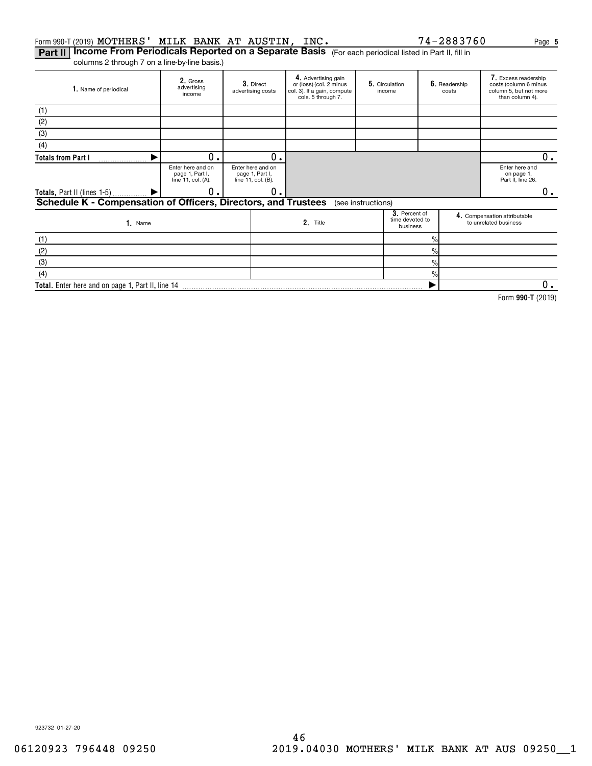## Form 990-T (2019) <code>MOTHERS' MILK BANK AT AUSTIN, INC.</code>  $74-2883760$  Page

 $\blacktriangleright$ 

Part II | Income From Periodicals Reported on a Separate Basis (For each periodical listed in Part II, fill in columns 2 through 7 on a line-by-line basis.)

**Total.**  Enter here and on page 1, Part II, line 14

**Z.** Gross<br>advertising income 3. Direct advertising costs **2.** Gross **2. 3.** Direct **4.** Advertising gain **5.** Circulation **6.** Readership **7. 3.** Direct or (loss) (col. 2 minus **5.** Circulation **6.** Readership cos col. 3). If a gain, compute cols. 5 through 7. 5. Circulation income 6. Readership costs 7. Excess readership costs (column 6 minus column 5, but not more than column 4). 1. Name of periodical Enter here and on page 1, Part I, line 11, col. (A). Enter here and on page 1, Part I, line 11, col. (B). Enter here and on page 1, Part II, line 26. **3.** Percent of time devoted to business Name **The Compensation attributable**<br>
2. Title **2.** Title **1. huginess** to unrelated business **1. 1. huginess** to unrelated business **Totals from Part I Totals,** Part II (lines 1-5) . . . . . . . . . . . . **3.** Percent of  $\left| \begin{array}{c} 4.1 \end{array} \right|$ **1. Name 1. 2. Title** . . . . . . . . . . . . . . . . . . . .  $\frac{1}{2}$  $\frac{1}{2}$ %  $\frac{9}{6}$ (1) (2)  $\overline{3}$ (4) (see instructions) (1) (2) (3) (4) **Schedule K - Compensation of Officers, Directors, and Trustees**  $\blacktriangleright$  $\blacktriangleright$  $0.$  0.  $\begin{array}{ccccccc} 0. & \hspace{1.5cm} & 0. & \hspace{1.5cm} & \hspace{1.5cm} & \hspace{1.5cm} & \hspace{1.5cm} & \hspace{1.5cm} & \hspace{1.5cm} & \hspace{1.5cm} & \hspace{1.5cm} & \hspace{1.5cm} & \hspace{1.5cm} & \hspace{1.5cm} & \hspace{1.5cm} & \hspace{1.5cm} & \hspace{1.5cm} & \hspace{1.5cm} & \hspace{1.5cm} & \hspace{1.5cm} \end{array}$  $0_{.}$ 

923732 01-27-20

**990-T**  Form (2019)

 $\overline{0}$ .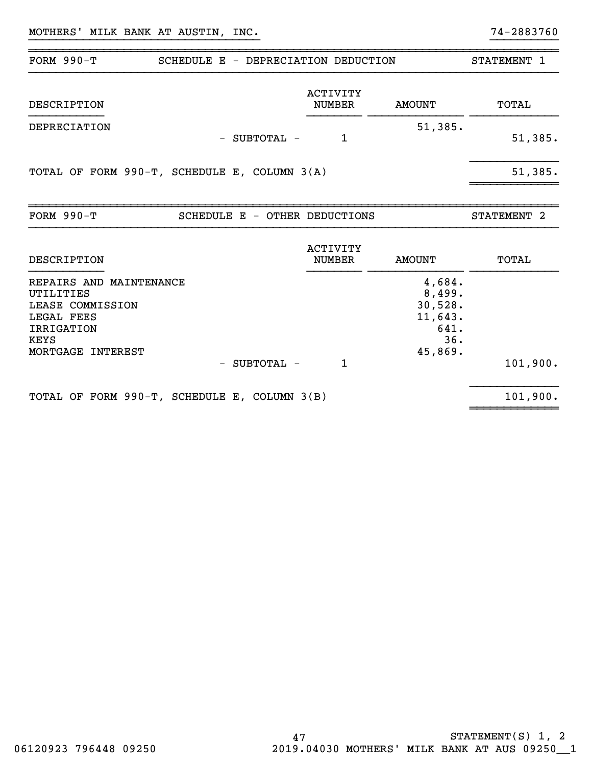| FORM $990-T$                                                                                                             | SCHEDULE E - DEPRECIATION DEDUCTION |                                  |                                                                  | STATEMENT 1            |
|--------------------------------------------------------------------------------------------------------------------------|-------------------------------------|----------------------------------|------------------------------------------------------------------|------------------------|
| DESCRIPTION                                                                                                              |                                     | <b>ACTIVITY</b><br><b>NUMBER</b> | <b>AMOUNT</b>                                                    | TOTAL                  |
| <b>DEPRECIATION</b>                                                                                                      | - SUBTOTAL -                        | 1                                | 51,385.                                                          | 51,385.                |
| TOTAL OF FORM 990-T, SCHEDULE E, COLUMN 3(A)                                                                             |                                     |                                  |                                                                  | 51,385.                |
| <b>FORM 990-T</b>                                                                                                        | SCHEDULE E - OTHER DEDUCTIONS       |                                  |                                                                  | STATEMENT <sub>2</sub> |
| DESCRIPTION                                                                                                              |                                     | <b>ACTIVITY</b><br><b>NUMBER</b> | <b>AMOUNT</b>                                                    | TOTAL                  |
| REPAIRS AND MAINTENANCE<br>UTILITIES<br>LEASE COMMISSION<br>LEGAL FEES<br><b>IRRIGATION</b><br>KEYS<br>MORTGAGE INTEREST |                                     |                                  | 4,684.<br>8,499.<br>30,528.<br>11,643.<br>641.<br>36.<br>45,869. |                        |
|                                                                                                                          | SUBTOTAL -<br>$\qquad \qquad -$     | 1                                |                                                                  | 101,900.               |
| TOTAL OF FORM 990-T, SCHEDULE E, COLUMN 3(B)                                                                             |                                     |                                  |                                                                  | 101,900.               |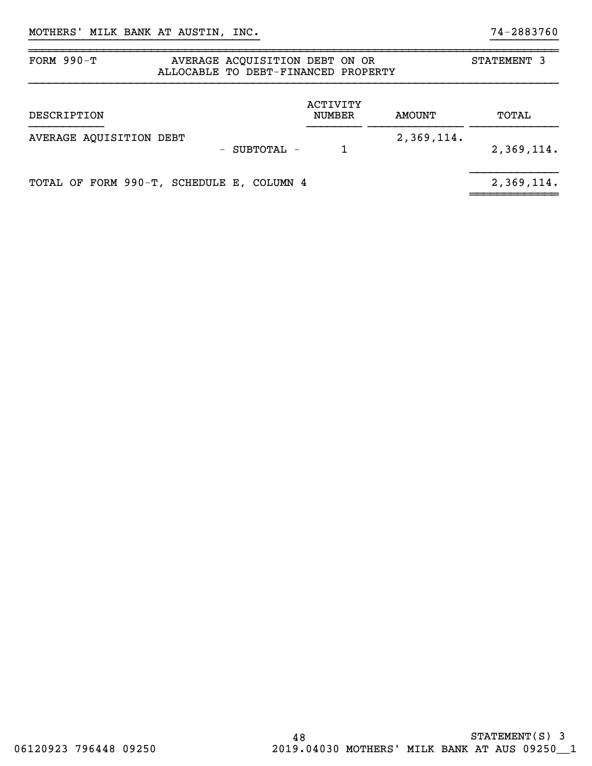| FORM $990-T$            | AVERAGE ACQUISITION DEBT ON OR<br>ALLOCABLE TO DEBT-FINANCED PROPERTY |                           |            | STATEMENT 3 |
|-------------------------|-----------------------------------------------------------------------|---------------------------|------------|-------------|
| DESCRIPTION             |                                                                       | ACTIVITY<br><b>NUMBER</b> | AMOUNT     | TOTAL       |
| AVERAGE AQUISITION DEBT | - SUBTOTAL -                                                          |                           | 2,369,114. | 2,369,114.  |
|                         | TOTAL OF FORM 990-T, SCHEDULE E, COLUMN 4                             |                           |            | 2,369,114.  |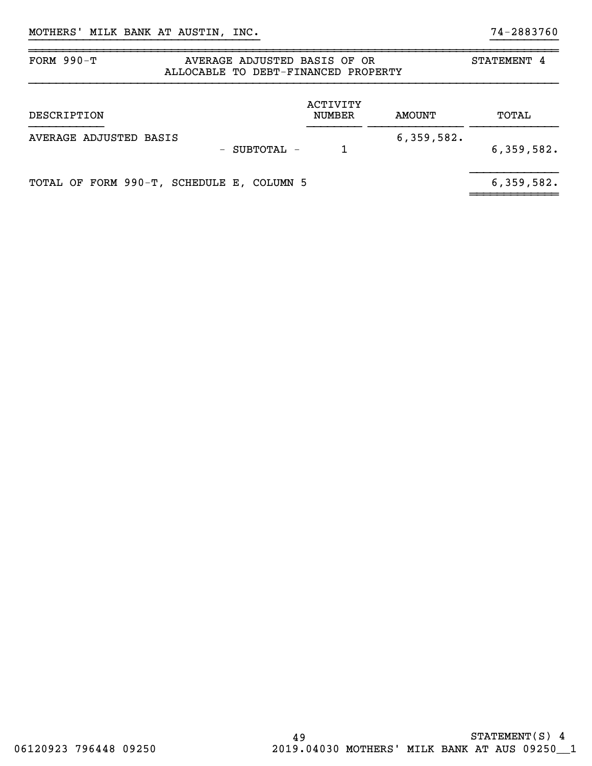| FORM $990-T$                              | AVERAGE ADJUSTED BASIS OF OR<br>ALLOCABLE TO DEBT-FINANCED PROPERTY |              |              |  |
|-------------------------------------------|---------------------------------------------------------------------|--------------|--------------|--|
| DESCRIPTION                               | ACTIVITY<br><b>NUMBER</b>                                           | AMOUNT       | TOTAL        |  |
| AVERAGE ADJUSTED BASIS<br>- SUBTOTAL -    |                                                                     | 6, 359, 582. | 6, 359, 582. |  |
| TOTAL OF FORM 990-T, SCHEDULE E, COLUMN 5 |                                                                     |              | 6,359,582.   |  |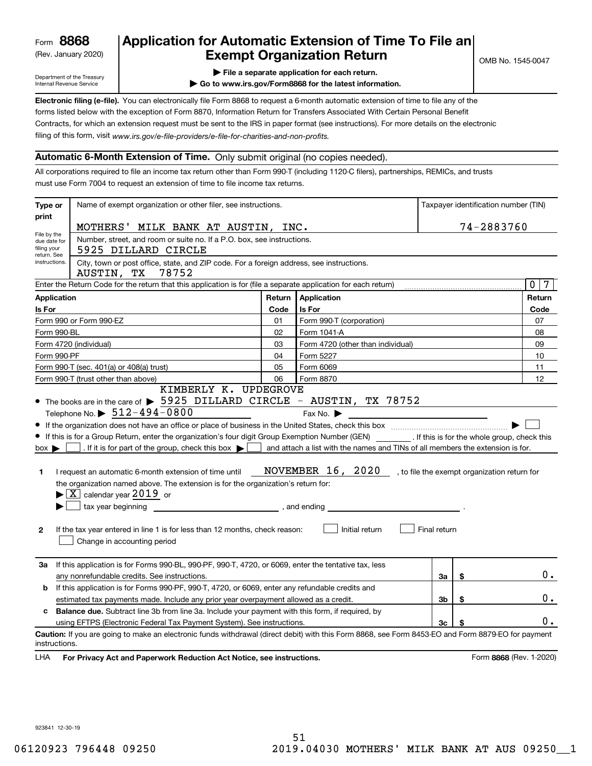# (Rev. January 2020) **Cxempt Organization Return** and the No. 1545-0047 **Application for Automatic Extension of Time To File an**

Department of the Treasury Internal Revenue Service

**| File a separate application for each return.**

**| Go to www.irs.gov/Form8868 for the latest information.**

**Electronic filing (e-file).** You can electronically file Form 8868 to request a 6-month automatic extension of time to file any of the filing of this form, visit www.irs.gov/e-file-providers/e-file-for-charities-and-non-profits. forms listed below with the exception of Form 8870, Information Return for Transfers Associated With Certain Personal Benefit Contracts, for which an extension request must be sent to the IRS in paper format (see instructions). For more details on the electronic

# **Automatic 6-Month Extension of Time.** Only submit original (no copies needed).

All corporations required to file an income tax return other than Form 990-T (including 1120-C filers), partnerships, REMICs, and trusts must use Form 7004 to request an extension of time to file income tax returns.

| Type or                                                                                                                                                                | Name of exempt organization or other filer, see instructions.                                                                                                                                                                                                                                                                                                                                                                                                                                                                                                                                                                       |                                       | Taxpayer identification number (TIN)                                                                                                                                         |              |    |                         |  |
|------------------------------------------------------------------------------------------------------------------------------------------------------------------------|-------------------------------------------------------------------------------------------------------------------------------------------------------------------------------------------------------------------------------------------------------------------------------------------------------------------------------------------------------------------------------------------------------------------------------------------------------------------------------------------------------------------------------------------------------------------------------------------------------------------------------------|---------------------------------------|------------------------------------------------------------------------------------------------------------------------------------------------------------------------------|--------------|----|-------------------------|--|
| print                                                                                                                                                                  | 74-2883760<br>MOTHERS' MILK BANK AT AUSTIN, INC.                                                                                                                                                                                                                                                                                                                                                                                                                                                                                                                                                                                    |                                       |                                                                                                                                                                              |              |    |                         |  |
| File by the<br>due date for<br>filing your                                                                                                                             | Number, street, and room or suite no. If a P.O. box, see instructions.<br>5925 DILLARD CIRCLE                                                                                                                                                                                                                                                                                                                                                                                                                                                                                                                                       |                                       |                                                                                                                                                                              |              |    |                         |  |
| return. See<br>instructions.                                                                                                                                           | City, town or post office, state, and ZIP code. For a foreign address, see instructions.<br>AUSTIN, TX<br>78752                                                                                                                                                                                                                                                                                                                                                                                                                                                                                                                     |                                       |                                                                                                                                                                              |              |    |                         |  |
|                                                                                                                                                                        | Enter the Return Code for the return that this application is for (file a separate application for each return)                                                                                                                                                                                                                                                                                                                                                                                                                                                                                                                     |                                       |                                                                                                                                                                              |              |    | $\mathbf 0$<br>7        |  |
| <b>Application</b>                                                                                                                                                     |                                                                                                                                                                                                                                                                                                                                                                                                                                                                                                                                                                                                                                     | Return                                | Application                                                                                                                                                                  | Return       |    |                         |  |
| Is For                                                                                                                                                                 |                                                                                                                                                                                                                                                                                                                                                                                                                                                                                                                                                                                                                                     | Code                                  | Is For                                                                                                                                                                       |              |    | Code                    |  |
|                                                                                                                                                                        | Form 990 or Form 990-EZ                                                                                                                                                                                                                                                                                                                                                                                                                                                                                                                                                                                                             | 01                                    | Form 990-T (corporation)                                                                                                                                                     | 07           |    |                         |  |
| Form 990-BL                                                                                                                                                            |                                                                                                                                                                                                                                                                                                                                                                                                                                                                                                                                                                                                                                     | 02                                    | Form 1041-A                                                                                                                                                                  |              |    | 08                      |  |
|                                                                                                                                                                        | Form 4720 (individual)                                                                                                                                                                                                                                                                                                                                                                                                                                                                                                                                                                                                              | 03                                    | Form 4720 (other than individual)                                                                                                                                            |              |    | 09                      |  |
| Form 990-PF                                                                                                                                                            |                                                                                                                                                                                                                                                                                                                                                                                                                                                                                                                                                                                                                                     | 04                                    | Form 5227                                                                                                                                                                    |              |    | 10                      |  |
|                                                                                                                                                                        | Form 990-T (sec. 401(a) or 408(a) trust)                                                                                                                                                                                                                                                                                                                                                                                                                                                                                                                                                                                            | 05                                    | Form 6069                                                                                                                                                                    |              |    | 11                      |  |
|                                                                                                                                                                        | Form 990-T (trust other than above)<br>KIMBERLY K. UPDEGROVE                                                                                                                                                                                                                                                                                                                                                                                                                                                                                                                                                                        | 06                                    | Form 8870                                                                                                                                                                    |              |    | 12                      |  |
| $box \blacktriangleright$<br>1<br>2                                                                                                                                    | Telephone No. $\triangleright$ 512-494-0800<br>If this is for a Group Return, enter the organization's four digit Group Exemption Number (GEN) _________. If this is for the whole group, check this<br>. If it is for part of the group, check this box $\blacktriangleright$<br>I request an automatic 6-month extension of time until<br>the organization named above. The extension is for the organization's return for:<br>$\blacktriangleright$ $\boxed{\text{X}}$ calendar year 2019 or<br>tax year beginning<br>If the tax year entered in line 1 is for less than 12 months, check reason:<br>Change in accounting period | $\overline{\phantom{a}}$ , and ending | Fax No.<br>and attach a list with the names and TINs of all members the extension is for.<br>NOVEMBER 16, 2020, to file the exempt organization return for<br>Initial return | Final return |    |                         |  |
| If this application is for Forms 990-BL, 990-PF, 990-T, 4720, or 6069, enter the tentative tax, less<br>За<br>\$<br>any nonrefundable credits. See instructions.<br>За |                                                                                                                                                                                                                                                                                                                                                                                                                                                                                                                                                                                                                                     |                                       |                                                                                                                                                                              |              |    | $0$ .                   |  |
| If this application is for Forms 990-PF, 990-T, 4720, or 6069, enter any refundable credits and<br>b                                                                   |                                                                                                                                                                                                                                                                                                                                                                                                                                                                                                                                                                                                                                     |                                       |                                                                                                                                                                              |              |    |                         |  |
| 3 <sub>b</sub><br>\$<br>estimated tax payments made. Include any prior year overpayment allowed as a credit.                                                           |                                                                                                                                                                                                                                                                                                                                                                                                                                                                                                                                                                                                                                     |                                       |                                                                                                                                                                              |              | 0. |                         |  |
| c                                                                                                                                                                      | <b>Balance due.</b> Subtract line 3b from line 3a. Include your payment with this form, if required, by                                                                                                                                                                                                                                                                                                                                                                                                                                                                                                                             |                                       |                                                                                                                                                                              |              |    |                         |  |
|                                                                                                                                                                        | using EFTPS (Electronic Federal Tax Payment System). See instructions.                                                                                                                                                                                                                                                                                                                                                                                                                                                                                                                                                              |                                       |                                                                                                                                                                              | 3c           | S  | $0$ .                   |  |
| instructions.                                                                                                                                                          | Caution: If you are going to make an electronic funds withdrawal (direct debit) with this Form 8868, see Form 8453-EO and Form 8879-EO for payment                                                                                                                                                                                                                                                                                                                                                                                                                                                                                  |                                       |                                                                                                                                                                              |              |    |                         |  |
| <b>LHA</b>                                                                                                                                                             | For Privacy Act and Paperwork Reduction Act Notice, see instructions.                                                                                                                                                                                                                                                                                                                                                                                                                                                                                                                                                               |                                       |                                                                                                                                                                              |              |    | Form 8868 (Rev. 1-2020) |  |